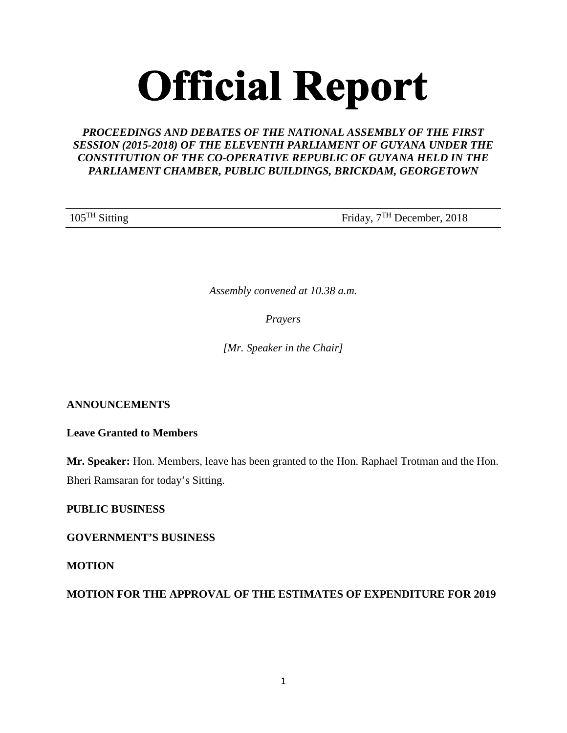# **Official Report**

# *PROCEEDINGS AND DEBATES OF THE NATIONAL ASSEMBLY OF THE FIRST SESSION (2015-2018) OF THE ELEVENTH PARLIAMENT OF GUYANA UNDER THE CONSTITUTION OF THE CO-OPERATIVE REPUBLIC OF GUYANA HELD IN THE PARLIAMENT CHAMBER, PUBLIC BUILDINGS, BRICKDAM, GEORGETOWN*

105<sup>TH</sup> Sitting Friday, 7<sup>TH</sup> December, 2018

*Assembly convened at 10.38 a.m.*

*Prayers*

*[Mr. Speaker in the Chair]*

## **ANNOUNCEMENTS**

**Leave Granted to Members**

**Mr. Speaker:** Hon. Members, leave has been granted to the Hon. Raphael Trotman and the Hon. Bheri Ramsaran for today's Sitting.

**PUBLIC BUSINESS** 

**GOVERNMENT'S BUSINESS** 

**MOTION**

**MOTION FOR THE APPROVAL OF THE ESTIMATES OF EXPENDITURE FOR 2019**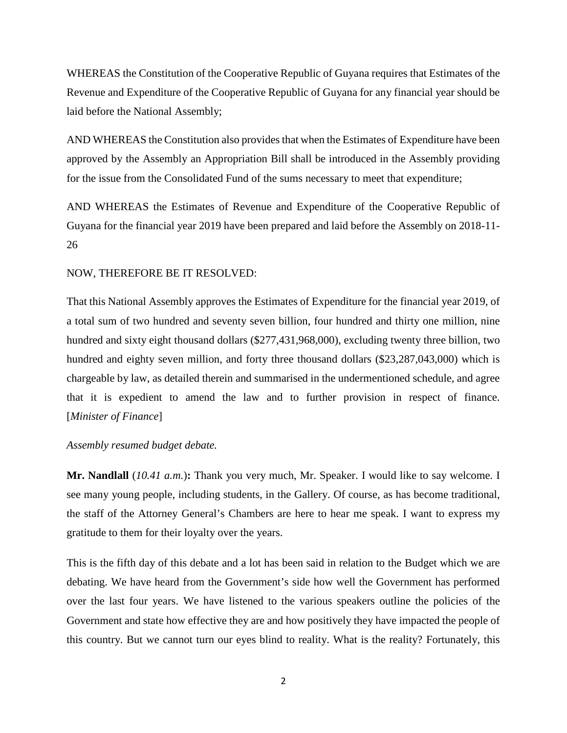WHEREAS the Constitution of the Cooperative Republic of Guyana requires that Estimates of the Revenue and Expenditure of the Cooperative Republic of Guyana for any financial year should be laid before the National Assembly;

AND WHEREAS the Constitution also provides that when the Estimates of Expenditure have been approved by the Assembly an Appropriation Bill shall be introduced in the Assembly providing for the issue from the Consolidated Fund of the sums necessary to meet that expenditure;

AND WHEREAS the Estimates of Revenue and Expenditure of the Cooperative Republic of Guyana for the financial year 2019 have been prepared and laid before the Assembly on 2018-11- 26

## NOW, THEREFORE BE IT RESOLVED:

That this National Assembly approves the Estimates of Expenditure for the financial year 2019, of a total sum of two hundred and seventy seven billion, four hundred and thirty one million, nine hundred and sixty eight thousand dollars (\$277,431,968,000), excluding twenty three billion, two hundred and eighty seven million, and forty three thousand dollars (\$23,287,043,000) which is chargeable by law, as detailed therein and summarised in the undermentioned schedule, and agree that it is expedient to amend the law and to further provision in respect of finance. [*Minister of Finance*]

*Assembly resumed budget debate.*

**Mr. Nandlall** (*10.41 a.m.*)**:** Thank you very much, Mr. Speaker. I would like to say welcome. I see many young people, including students, in the Gallery. Of course, as has become traditional, the staff of the Attorney General's Chambers are here to hear me speak. I want to express my gratitude to them for their loyalty over the years.

This is the fifth day of this debate and a lot has been said in relation to the Budget which we are debating. We have heard from the Government's side how well the Government has performed over the last four years. We have listened to the various speakers outline the policies of the Government and state how effective they are and how positively they have impacted the people of this country. But we cannot turn our eyes blind to reality. What is the reality? Fortunately, this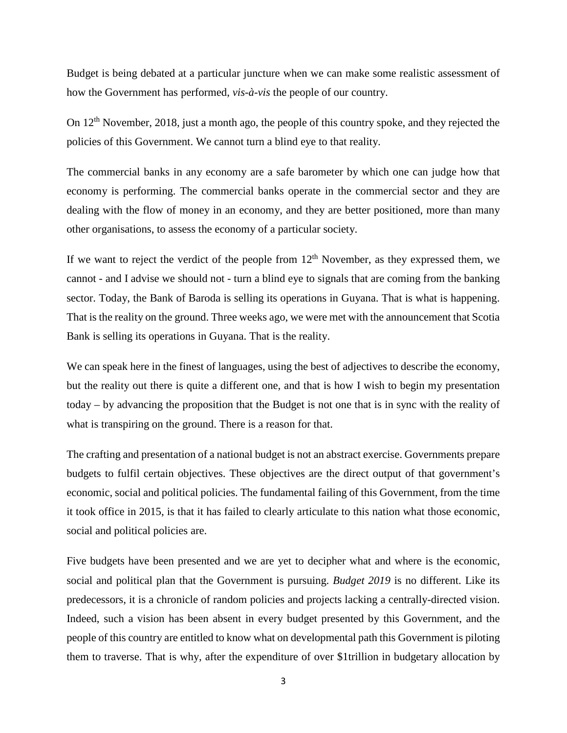Budget is being debated at a particular juncture when we can make some realistic assessment of how the Government has performed, *vis-à-vis* the people of our country.

On 12<sup>th</sup> November, 2018, just a month ago, the people of this country spoke, and they rejected the policies of this Government. We cannot turn a blind eye to that reality.

The commercial banks in any economy are a safe barometer by which one can judge how that economy is performing. The commercial banks operate in the commercial sector and they are dealing with the flow of money in an economy, and they are better positioned, more than many other organisations, to assess the economy of a particular society.

If we want to reject the verdict of the people from  $12<sup>th</sup>$  November, as they expressed them, we cannot - and I advise we should not - turn a blind eye to signals that are coming from the banking sector. Today, the Bank of Baroda is selling its operations in Guyana. That is what is happening. That is the reality on the ground. Three weeks ago, we were met with the announcement that Scotia Bank is selling its operations in Guyana. That is the reality.

We can speak here in the finest of languages, using the best of adjectives to describe the economy, but the reality out there is quite a different one, and that is how I wish to begin my presentation today – by advancing the proposition that the Budget is not one that is in sync with the reality of what is transpiring on the ground. There is a reason for that.

The crafting and presentation of a national budget is not an abstract exercise. Governments prepare budgets to fulfil certain objectives. These objectives are the direct output of that government's economic, social and political policies. The fundamental failing of this Government, from the time it took office in 2015, is that it has failed to clearly articulate to this nation what those economic, social and political policies are.

Five budgets have been presented and we are yet to decipher what and where is the economic, social and political plan that the Government is pursuing. *Budget 2019* is no different. Like its predecessors, it is a chronicle of random policies and projects lacking a centrally-directed vision. Indeed, such a vision has been absent in every budget presented by this Government, and the people of this country are entitled to know what on developmental path this Government is piloting them to traverse. That is why, after the expenditure of over \$1trillion in budgetary allocation by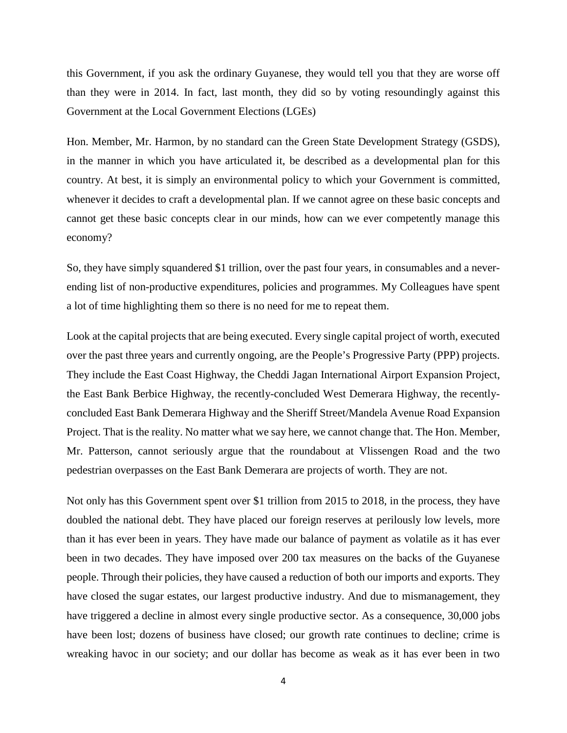this Government, if you ask the ordinary Guyanese, they would tell you that they are worse off than they were in 2014. In fact, last month, they did so by voting resoundingly against this Government at the Local Government Elections (LGEs)

Hon. Member, Mr. Harmon, by no standard can the Green State Development Strategy (GSDS), in the manner in which you have articulated it, be described as a developmental plan for this country. At best, it is simply an environmental policy to which your Government is committed, whenever it decides to craft a developmental plan. If we cannot agree on these basic concepts and cannot get these basic concepts clear in our minds, how can we ever competently manage this economy?

So, they have simply squandered \$1 trillion, over the past four years, in consumables and a neverending list of non-productive expenditures, policies and programmes. My Colleagues have spent a lot of time highlighting them so there is no need for me to repeat them.

Look at the capital projects that are being executed. Every single capital project of worth, executed over the past three years and currently ongoing, are the People's Progressive Party (PPP) projects. They include the East Coast Highway, the Cheddi Jagan International Airport Expansion Project, the East Bank Berbice Highway, the recently-concluded West Demerara Highway, the recentlyconcluded East Bank Demerara Highway and the Sheriff Street/Mandela Avenue Road Expansion Project. That is the reality. No matter what we say here, we cannot change that. The Hon. Member, Mr. Patterson, cannot seriously argue that the roundabout at Vlissengen Road and the two pedestrian overpasses on the East Bank Demerara are projects of worth. They are not.

Not only has this Government spent over \$1 trillion from 2015 to 2018, in the process, they have doubled the national debt. They have placed our foreign reserves at perilously low levels, more than it has ever been in years. They have made our balance of payment as volatile as it has ever been in two decades. They have imposed over 200 tax measures on the backs of the Guyanese people. Through their policies, they have caused a reduction of both our imports and exports. They have closed the sugar estates, our largest productive industry. And due to mismanagement, they have triggered a decline in almost every single productive sector. As a consequence, 30,000 jobs have been lost; dozens of business have closed; our growth rate continues to decline; crime is wreaking havoc in our society; and our dollar has become as weak as it has ever been in two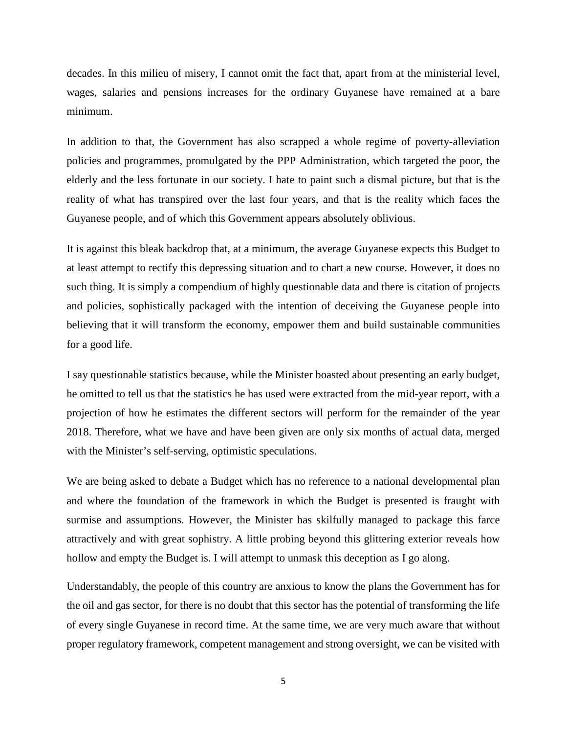decades. In this milieu of misery, I cannot omit the fact that, apart from at the ministerial level, wages, salaries and pensions increases for the ordinary Guyanese have remained at a bare minimum.

In addition to that, the Government has also scrapped a whole regime of poverty-alleviation policies and programmes, promulgated by the PPP Administration, which targeted the poor, the elderly and the less fortunate in our society. I hate to paint such a dismal picture, but that is the reality of what has transpired over the last four years, and that is the reality which faces the Guyanese people, and of which this Government appears absolutely oblivious.

It is against this bleak backdrop that, at a minimum, the average Guyanese expects this Budget to at least attempt to rectify this depressing situation and to chart a new course. However, it does no such thing. It is simply a compendium of highly questionable data and there is citation of projects and policies, sophistically packaged with the intention of deceiving the Guyanese people into believing that it will transform the economy, empower them and build sustainable communities for a good life.

I say questionable statistics because, while the Minister boasted about presenting an early budget, he omitted to tell us that the statistics he has used were extracted from the mid-year report, with a projection of how he estimates the different sectors will perform for the remainder of the year 2018. Therefore, what we have and have been given are only six months of actual data, merged with the Minister's self-serving, optimistic speculations.

We are being asked to debate a Budget which has no reference to a national developmental plan and where the foundation of the framework in which the Budget is presented is fraught with surmise and assumptions. However, the Minister has skilfully managed to package this farce attractively and with great sophistry. A little probing beyond this glittering exterior reveals how hollow and empty the Budget is. I will attempt to unmask this deception as I go along.

Understandably, the people of this country are anxious to know the plans the Government has for the oil and gas sector, for there is no doubt that this sector has the potential of transforming the life of every single Guyanese in record time. At the same time, we are very much aware that without proper regulatory framework, competent management and strong oversight, we can be visited with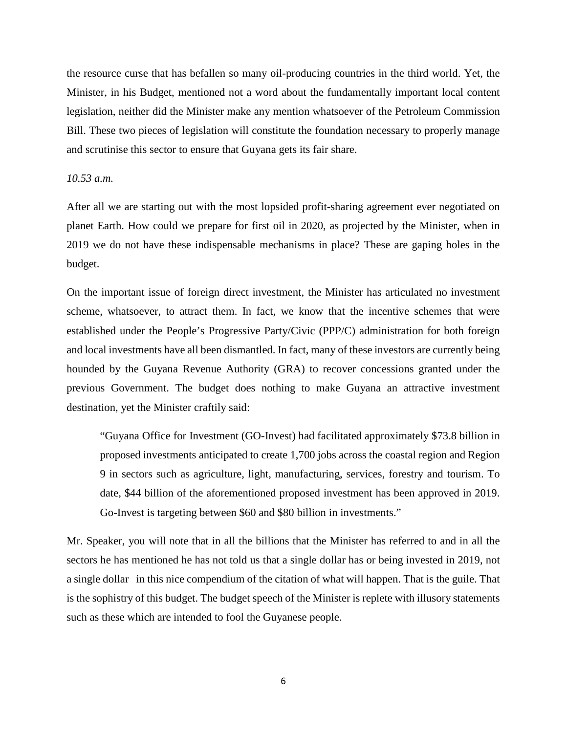the resource curse that has befallen so many oil-producing countries in the third world. Yet, the Minister, in his Budget, mentioned not a word about the fundamentally important local content legislation, neither did the Minister make any mention whatsoever of the Petroleum Commission Bill. These two pieces of legislation will constitute the foundation necessary to properly manage and scrutinise this sector to ensure that Guyana gets its fair share.

### *10.53 a.m.*

After all we are starting out with the most lopsided profit-sharing agreement ever negotiated on planet Earth. How could we prepare for first oil in 2020, as projected by the Minister, when in 2019 we do not have these indispensable mechanisms in place? These are gaping holes in the budget.

On the important issue of foreign direct investment, the Minister has articulated no investment scheme, whatsoever, to attract them. In fact, we know that the incentive schemes that were established under the People's Progressive Party/Civic (PPP/C) administration for both foreign and local investments have all been dismantled. In fact, many of these investors are currently being hounded by the Guyana Revenue Authority (GRA) to recover concessions granted under the previous Government. The budget does nothing to make Guyana an attractive investment destination, yet the Minister craftily said:

"Guyana Office for Investment (GO-Invest) had facilitated approximately \$73.8 billion in proposed investments anticipated to create 1,700 jobs across the coastal region and Region 9 in sectors such as agriculture, light, manufacturing, services, forestry and tourism. To date, \$44 billion of the aforementioned proposed investment has been approved in 2019. Go-Invest is targeting between \$60 and \$80 billion in investments."

Mr. Speaker, you will note that in all the billions that the Minister has referred to and in all the sectors he has mentioned he has not told us that a single dollar has or being invested in 2019, not a single dollar in this nice compendium of the citation of what will happen. That is the guile. That is the sophistry of this budget. The budget speech of the Minister is replete with illusory statements such as these which are intended to fool the Guyanese people.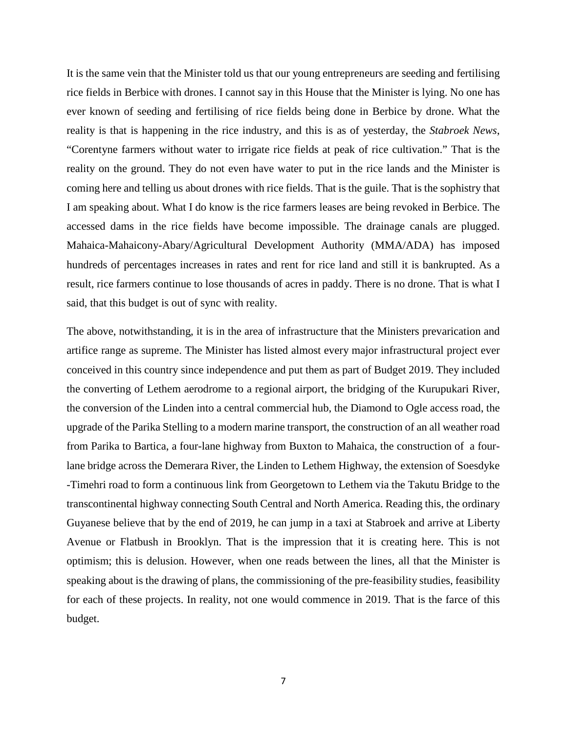It is the same vein that the Minister told us that our young entrepreneurs are seeding and fertilising rice fields in Berbice with drones. I cannot say in this House that the Minister is lying. No one has ever known of seeding and fertilising of rice fields being done in Berbice by drone. What the reality is that is happening in the rice industry, and this is as of yesterday, the *Stabroek News*, "Corentyne farmers without water to irrigate rice fields at peak of rice cultivation." That is the reality on the ground. They do not even have water to put in the rice lands and the Minister is coming here and telling us about drones with rice fields. That is the guile. That is the sophistry that I am speaking about. What I do know is the rice farmers leases are being revoked in Berbice. The accessed dams in the rice fields have become impossible. The drainage canals are plugged. Mahaica-Mahaicony-Abary/Agricultural Development Authority (MMA/ADA) has imposed hundreds of percentages increases in rates and rent for rice land and still it is bankrupted. As a result, rice farmers continue to lose thousands of acres in paddy. There is no drone. That is what I said, that this budget is out of sync with reality.

The above, notwithstanding, it is in the area of infrastructure that the Ministers prevarication and artifice range as supreme. The Minister has listed almost every major infrastructural project ever conceived in this country since independence and put them as part of Budget 2019. They included the converting of Lethem aerodrome to a regional airport, the bridging of the Kurupukari River, the conversion of the Linden into a central commercial hub, the Diamond to Ogle access road, the upgrade of the Parika Stelling to a modern marine transport, the construction of an all weather road from Parika to Bartica, a four-lane highway from Buxton to Mahaica, the construction of a fourlane bridge across the Demerara River, the Linden to Lethem Highway, the extension of Soesdyke -Timehri road to form a continuous link from Georgetown to Lethem via the Takutu Bridge to the transcontinental highway connecting South Central and North America. Reading this, the ordinary Guyanese believe that by the end of 2019, he can jump in a taxi at Stabroek and arrive at Liberty Avenue or Flatbush in Brooklyn. That is the impression that it is creating here. This is not optimism; this is delusion. However, when one reads between the lines, all that the Minister is speaking about is the drawing of plans, the commissioning of the pre-feasibility studies, feasibility for each of these projects. In reality, not one would commence in 2019. That is the farce of this budget.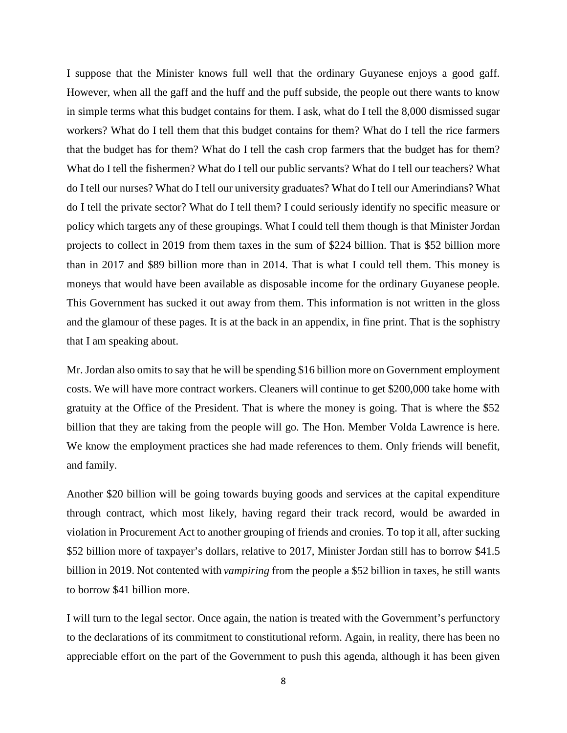I suppose that the Minister knows full well that the ordinary Guyanese enjoys a good gaff. However, when all the gaff and the huff and the puff subside, the people out there wants to know in simple terms what this budget contains for them. I ask, what do I tell the 8,000 dismissed sugar workers? What do I tell them that this budget contains for them? What do I tell the rice farmers that the budget has for them? What do I tell the cash crop farmers that the budget has for them? What do I tell the fishermen? What do I tell our public servants? What do I tell our teachers? What do I tell our nurses? What do I tell our university graduates? What do I tell our Amerindians? What do I tell the private sector? What do I tell them? I could seriously identify no specific measure or policy which targets any of these groupings. What I could tell them though is that Minister Jordan projects to collect in 2019 from them taxes in the sum of \$224 billion. That is \$52 billion more than in 2017 and \$89 billion more than in 2014. That is what I could tell them. This money is moneys that would have been available as disposable income for the ordinary Guyanese people. This Government has sucked it out away from them. This information is not written in the gloss and the glamour of these pages. It is at the back in an appendix, in fine print. That is the sophistry that I am speaking about.

Mr. Jordan also omits to say that he will be spending \$16 billion more on Government employment costs. We will have more contract workers. Cleaners will continue to get \$200,000 take home with gratuity at the Office of the President. That is where the money is going. That is where the \$52 billion that they are taking from the people will go. The Hon. Member Volda Lawrence is here. We know the employment practices she had made references to them. Only friends will benefit, and family.

Another \$20 billion will be going towards buying goods and services at the capital expenditure through contract, which most likely, having regard their track record, would be awarded in violation in Procurement Act to another grouping of friends and cronies. To top it all, after sucking \$52 billion more of taxpayer's dollars, relative to 2017, Minister Jordan still has to borrow \$41.5 billion in 2019. Not contented with *vampiring* from the people a \$52 billion in taxes, he still wants to borrow \$41 billion more.

I will turn to the legal sector. Once again, the nation is treated with the Government's perfunctory to the declarations of its commitment to constitutional reform. Again, in reality, there has been no appreciable effort on the part of the Government to push this agenda, although it has been given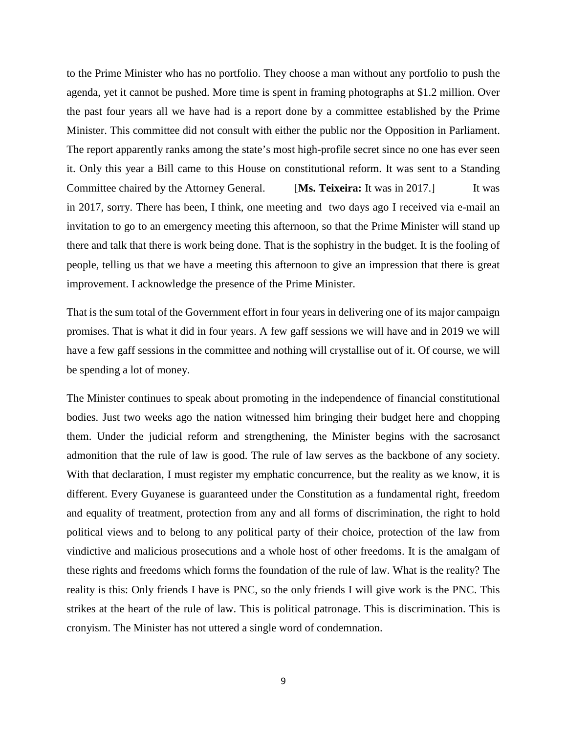to the Prime Minister who has no portfolio. They choose a man without any portfolio to push the agenda, yet it cannot be pushed. More time is spent in framing photographs at \$1.2 million. Over the past four years all we have had is a report done by a committee established by the Prime Minister. This committee did not consult with either the public nor the Opposition in Parliament. The report apparently ranks among the state's most high-profile secret since no one has ever seen it. Only this year a Bill came to this House on constitutional reform. It was sent to a Standing Committee chaired by the Attorney General. [**Ms. Teixeira:** It was in 2017.] It was in 2017, sorry. There has been, I think, one meeting and two days ago I received via e-mail an invitation to go to an emergency meeting this afternoon, so that the Prime Minister will stand up there and talk that there is work being done. That is the sophistry in the budget. It is the fooling of people, telling us that we have a meeting this afternoon to give an impression that there is great improvement. I acknowledge the presence of the Prime Minister.

That is the sum total of the Government effort in four years in delivering one of its major campaign promises. That is what it did in four years. A few gaff sessions we will have and in 2019 we will have a few gaff sessions in the committee and nothing will crystallise out of it. Of course, we will be spending a lot of money.

The Minister continues to speak about promoting in the independence of financial constitutional bodies. Just two weeks ago the nation witnessed him bringing their budget here and chopping them. Under the judicial reform and strengthening, the Minister begins with the sacrosanct admonition that the rule of law is good. The rule of law serves as the backbone of any society. With that declaration, I must register my emphatic concurrence, but the reality as we know, it is different. Every Guyanese is guaranteed under the Constitution as a fundamental right, freedom and equality of treatment, protection from any and all forms of discrimination, the right to hold political views and to belong to any political party of their choice, protection of the law from vindictive and malicious prosecutions and a whole host of other freedoms. It is the amalgam of these rights and freedoms which forms the foundation of the rule of law. What is the reality? The reality is this: Only friends I have is PNC, so the only friends I will give work is the PNC. This strikes at the heart of the rule of law. This is political patronage. This is discrimination. This is cronyism. The Minister has not uttered a single word of condemnation.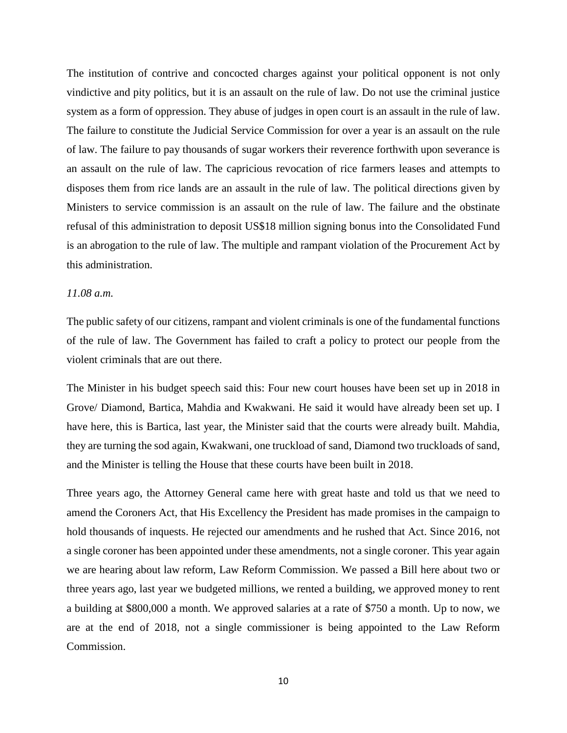The institution of contrive and concocted charges against your political opponent is not only vindictive and pity politics, but it is an assault on the rule of law. Do not use the criminal justice system as a form of oppression. They abuse of judges in open court is an assault in the rule of law. The failure to constitute the Judicial Service Commission for over a year is an assault on the rule of law. The failure to pay thousands of sugar workers their reverence forthwith upon severance is an assault on the rule of law. The capricious revocation of rice farmers leases and attempts to disposes them from rice lands are an assault in the rule of law. The political directions given by Ministers to service commission is an assault on the rule of law. The failure and the obstinate refusal of this administration to deposit US\$18 million signing bonus into the Consolidated Fund is an abrogation to the rule of law. The multiple and rampant violation of the Procurement Act by this administration.

#### *11.08 a.m.*

The public safety of our citizens, rampant and violent criminals is one of the fundamental functions of the rule of law. The Government has failed to craft a policy to protect our people from the violent criminals that are out there.

The Minister in his budget speech said this: Four new court houses have been set up in 2018 in Grove/ Diamond, Bartica, Mahdia and Kwakwani. He said it would have already been set up. I have here, this is Bartica, last year, the Minister said that the courts were already built. Mahdia, they are turning the sod again, Kwakwani, one truckload of sand, Diamond two truckloads of sand, and the Minister is telling the House that these courts have been built in 2018.

Three years ago, the Attorney General came here with great haste and told us that we need to amend the Coroners Act, that His Excellency the President has made promises in the campaign to hold thousands of inquests. He rejected our amendments and he rushed that Act. Since 2016, not a single coroner has been appointed under these amendments, not a single coroner. This year again we are hearing about law reform, Law Reform Commission. We passed a Bill here about two or three years ago, last year we budgeted millions, we rented a building, we approved money to rent a building at \$800,000 a month. We approved salaries at a rate of \$750 a month. Up to now, we are at the end of 2018, not a single commissioner is being appointed to the Law Reform Commission.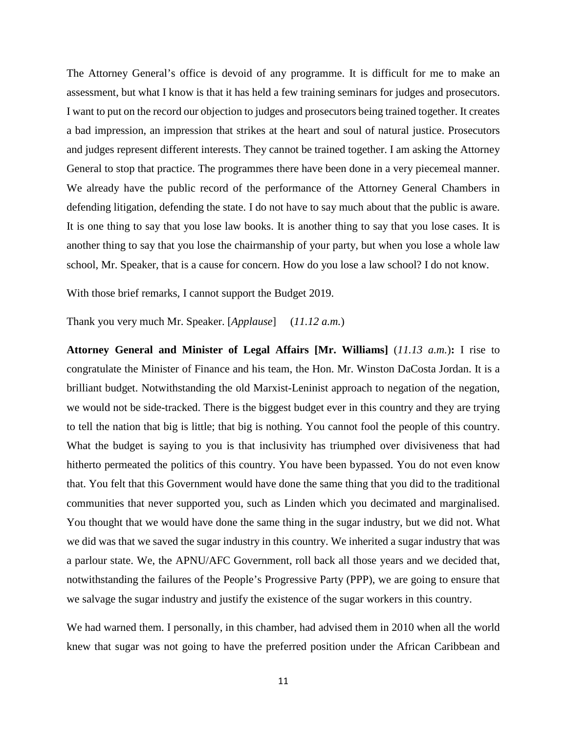The Attorney General's office is devoid of any programme. It is difficult for me to make an assessment, but what I know is that it has held a few training seminars for judges and prosecutors. I want to put on the record our objection to judges and prosecutors being trained together. It creates a bad impression, an impression that strikes at the heart and soul of natural justice. Prosecutors and judges represent different interests. They cannot be trained together. I am asking the Attorney General to stop that practice. The programmes there have been done in a very piecemeal manner. We already have the public record of the performance of the Attorney General Chambers in defending litigation, defending the state. I do not have to say much about that the public is aware. It is one thing to say that you lose law books. It is another thing to say that you lose cases. It is another thing to say that you lose the chairmanship of your party, but when you lose a whole law school, Mr. Speaker, that is a cause for concern. How do you lose a law school? I do not know.

With those brief remarks, I cannot support the Budget 2019.

Thank you very much Mr. Speaker. [*Applause*] (*11.12 a.m.*)

**Attorney General and Minister of Legal Affairs [Mr. Williams]** (*11.13 a.m.*)**:** I rise to congratulate the Minister of Finance and his team, the Hon. Mr. Winston DaCosta Jordan. It is a brilliant budget. Notwithstanding the old Marxist-Leninist approach to negation of the negation, we would not be side-tracked. There is the biggest budget ever in this country and they are trying to tell the nation that big is little; that big is nothing. You cannot fool the people of this country. What the budget is saying to you is that inclusivity has triumphed over divisiveness that had hitherto permeated the politics of this country. You have been bypassed. You do not even know that. You felt that this Government would have done the same thing that you did to the traditional communities that never supported you, such as Linden which you decimated and marginalised. You thought that we would have done the same thing in the sugar industry, but we did not. What we did was that we saved the sugar industry in this country. We inherited a sugar industry that was a parlour state. We, the APNU/AFC Government, roll back all those years and we decided that, notwithstanding the failures of the People's Progressive Party (PPP), we are going to ensure that we salvage the sugar industry and justify the existence of the sugar workers in this country.

We had warned them. I personally, in this chamber, had advised them in 2010 when all the world knew that sugar was not going to have the preferred position under the African Caribbean and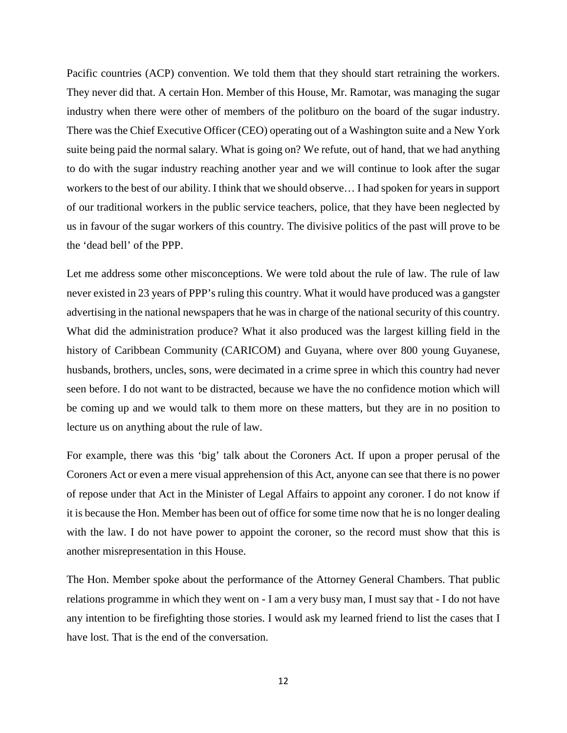Pacific countries (ACP) convention. We told them that they should start retraining the workers. They never did that. A certain Hon. Member of this House, Mr. Ramotar, was managing the sugar industry when there were other of members of the politburo on the board of the sugar industry. There was the Chief Executive Officer (CEO) operating out of a Washington suite and a New York suite being paid the normal salary. What is going on? We refute, out of hand, that we had anything to do with the sugar industry reaching another year and we will continue to look after the sugar workers to the best of our ability. I think that we should observe… I had spoken for years in support of our traditional workers in the public service teachers, police, that they have been neglected by us in favour of the sugar workers of this country. The divisive politics of the past will prove to be the 'dead bell' of the PPP.

Let me address some other misconceptions. We were told about the rule of law. The rule of law never existed in 23 years of PPP's ruling this country. What it would have produced was a gangster advertising in the national newspapers that he was in charge of the national security of this country. What did the administration produce? What it also produced was the largest killing field in the history of Caribbean Community (CARICOM) and Guyana, where over 800 young Guyanese, husbands, brothers, uncles, sons, were decimated in a crime spree in which this country had never seen before. I do not want to be distracted, because we have the no confidence motion which will be coming up and we would talk to them more on these matters, but they are in no position to lecture us on anything about the rule of law.

For example, there was this 'big' talk about the Coroners Act. If upon a proper perusal of the Coroners Act or even a mere visual apprehension of this Act, anyone can see that there is no power of repose under that Act in the Minister of Legal Affairs to appoint any coroner. I do not know if it is because the Hon. Member has been out of office for some time now that he is no longer dealing with the law. I do not have power to appoint the coroner, so the record must show that this is another misrepresentation in this House.

The Hon. Member spoke about the performance of the Attorney General Chambers. That public relations programme in which they went on - I am a very busy man, I must say that - I do not have any intention to be firefighting those stories. I would ask my learned friend to list the cases that I have lost. That is the end of the conversation.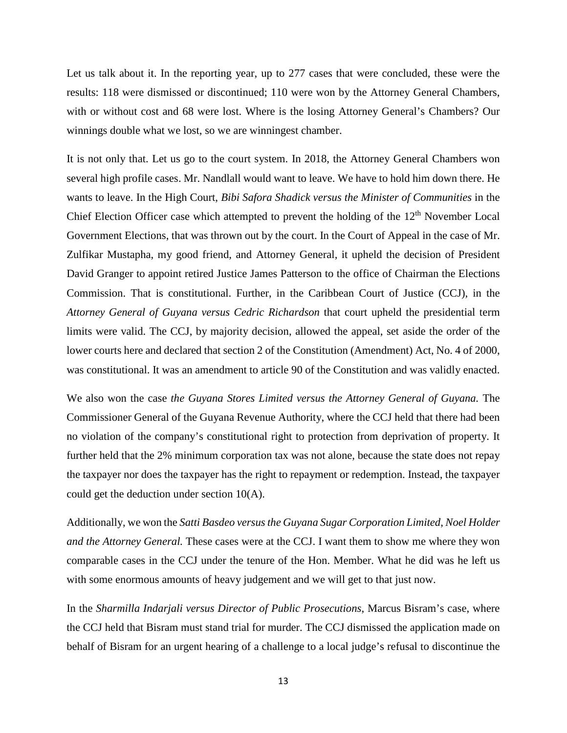Let us talk about it. In the reporting year, up to 277 cases that were concluded, these were the results: 118 were dismissed or discontinued; 110 were won by the Attorney General Chambers, with or without cost and 68 were lost. Where is the losing Attorney General's Chambers? Our winnings double what we lost, so we are winningest chamber.

It is not only that. Let us go to the court system. In 2018, the Attorney General Chambers won several high profile cases. Mr. Nandlall would want to leave. We have to hold him down there. He wants to leave. In the High Court, *Bibi Safora Shadick versus the Minister of Communities* in the Chief Election Officer case which attempted to prevent the holding of the 12<sup>th</sup> November Local Government Elections, that was thrown out by the court. In the Court of Appeal in the case of Mr. Zulfikar Mustapha, my good friend, and Attorney General, it upheld the decision of President David Granger to appoint retired Justice James Patterson to the office of Chairman the Elections Commission. That is constitutional. Further, in the Caribbean Court of Justice (CCJ), in the *Attorney General of Guyana versus Cedric Richardson* that court upheld the presidential term limits were valid. The CCJ, by majority decision, allowed the appeal, set aside the order of the lower courts here and declared that section 2 of the Constitution (Amendment) Act, No. 4 of 2000, was constitutional. It was an amendment to article 90 of the Constitution and was validly enacted.

We also won the case *the Guyana Stores Limited versus the Attorney General of Guyana.* The Commissioner General of the Guyana Revenue Authority, where the CCJ held that there had been no violation of the company's constitutional right to protection from deprivation of property. It further held that the 2% minimum corporation tax was not alone, because the state does not repay the taxpayer nor does the taxpayer has the right to repayment or redemption. Instead, the taxpayer could get the deduction under section 10(A).

Additionally, we won the *Satti Basdeo versus the Guyana Sugar Corporation Limited*, *Noel Holder and the Attorney General.* These cases were at the CCJ. I want them to show me where they won comparable cases in the CCJ under the tenure of the Hon. Member. What he did was he left us with some enormous amounts of heavy judgement and we will get to that just now.

In the *Sharmilla Indarjali versus Director of Public Prosecutions*, Marcus Bisram's case, where the CCJ held that Bisram must stand trial for murder. The CCJ dismissed the application made on behalf of Bisram for an urgent hearing of a challenge to a local judge's refusal to discontinue the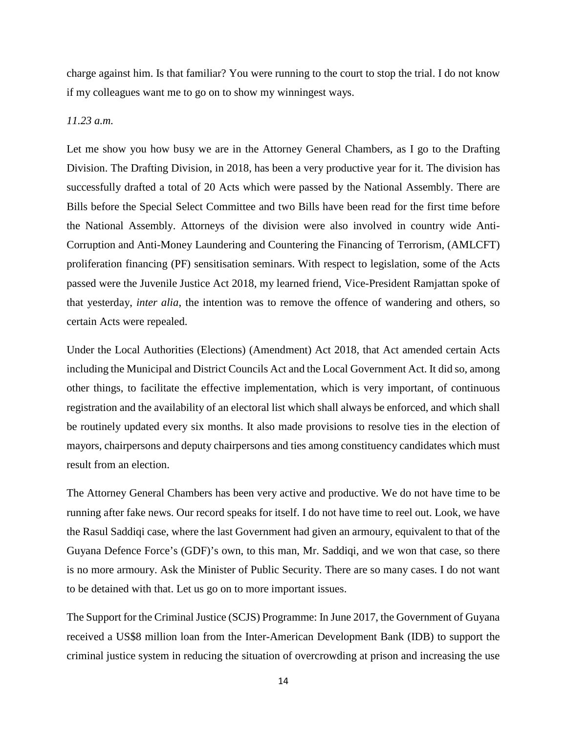charge against him. Is that familiar? You were running to the court to stop the trial. I do not know if my colleagues want me to go on to show my winningest ways.

### *11.23 a.m.*

Let me show you how busy we are in the Attorney General Chambers, as I go to the Drafting Division. The Drafting Division, in 2018, has been a very productive year for it. The division has successfully drafted a total of 20 Acts which were passed by the National Assembly. There are Bills before the Special Select Committee and two Bills have been read for the first time before the National Assembly. Attorneys of the division were also involved in country wide Anti-Corruption and Anti-Money Laundering and Countering the Financing of Terrorism, (AMLCFT) proliferation financing (PF) sensitisation seminars. With respect to legislation, some of the Acts passed were the Juvenile Justice Act 2018, my learned friend, Vice-President Ramjattan spoke of that yesterday, *inter alia*, the intention was to remove the offence of wandering and others, so certain Acts were repealed.

Under the Local Authorities (Elections) (Amendment) Act 2018, that Act amended certain Acts including the Municipal and District Councils Act and the Local Government Act. It did so, among other things, to facilitate the effective implementation, which is very important, of continuous registration and the availability of an electoral list which shall always be enforced, and which shall be routinely updated every six months. It also made provisions to resolve ties in the election of mayors, chairpersons and deputy chairpersons and ties among constituency candidates which must result from an election.

The Attorney General Chambers has been very active and productive. We do not have time to be running after fake news. Our record speaks for itself. I do not have time to reel out. Look, we have the Rasul Saddiqi case, where the last Government had given an armoury, equivalent to that of the Guyana Defence Force's (GDF)'s own, to this man, Mr. Saddiqi, and we won that case, so there is no more armoury. Ask the Minister of Public Security. There are so many cases. I do not want to be detained with that. Let us go on to more important issues.

The Support for the Criminal Justice (SCJS) Programme: In June 2017, the Government of Guyana received a US\$8 million loan from the Inter-American Development Bank (IDB) to support the criminal justice system in reducing the situation of overcrowding at prison and increasing the use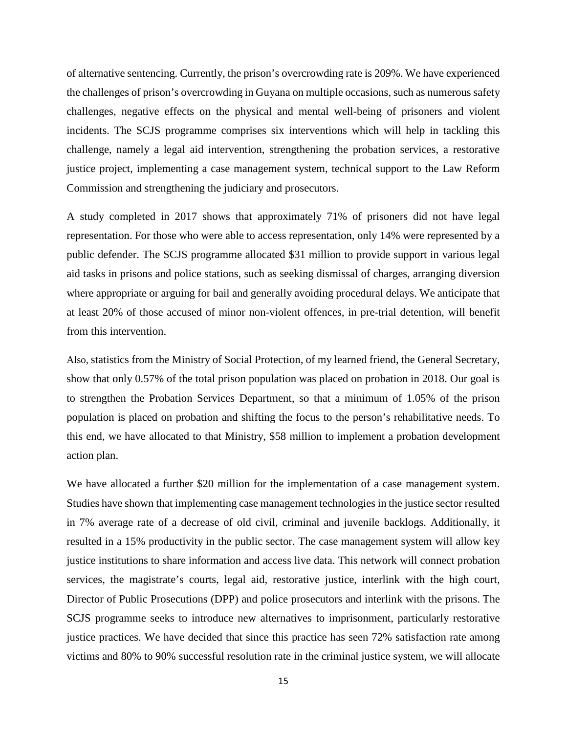of alternative sentencing. Currently, the prison's overcrowding rate is 209%. We have experienced the challenges of prison's overcrowding in Guyana on multiple occasions, such as numerous safety challenges, negative effects on the physical and mental well-being of prisoners and violent incidents. The SCJS programme comprises six interventions which will help in tackling this challenge, namely a legal aid intervention, strengthening the probation services, a restorative justice project, implementing a case management system, technical support to the Law Reform Commission and strengthening the judiciary and prosecutors.

A study completed in 2017 shows that approximately 71% of prisoners did not have legal representation. For those who were able to access representation, only 14% were represented by a public defender. The SCJS programme allocated \$31 million to provide support in various legal aid tasks in prisons and police stations, such as seeking dismissal of charges, arranging diversion where appropriate or arguing for bail and generally avoiding procedural delays. We anticipate that at least 20% of those accused of minor non-violent offences, in pre-trial detention, will benefit from this intervention.

Also, statistics from the Ministry of Social Protection, of my learned friend, the General Secretary, show that only 0.57% of the total prison population was placed on probation in 2018. Our goal is to strengthen the Probation Services Department, so that a minimum of 1.05% of the prison population is placed on probation and shifting the focus to the person's rehabilitative needs. To this end, we have allocated to that Ministry, \$58 million to implement a probation development action plan.

We have allocated a further \$20 million for the implementation of a case management system. Studies have shown that implementing case management technologies in the justice sector resulted in 7% average rate of a decrease of old civil, criminal and juvenile backlogs. Additionally, it resulted in a 15% productivity in the public sector. The case management system will allow key justice institutions to share information and access live data. This network will connect probation services, the magistrate's courts, legal aid, restorative justice, interlink with the high court, Director of Public Prosecutions (DPP) and police prosecutors and interlink with the prisons. The SCJS programme seeks to introduce new alternatives to imprisonment, particularly restorative justice practices. We have decided that since this practice has seen 72% satisfaction rate among victims and 80% to 90% successful resolution rate in the criminal justice system, we will allocate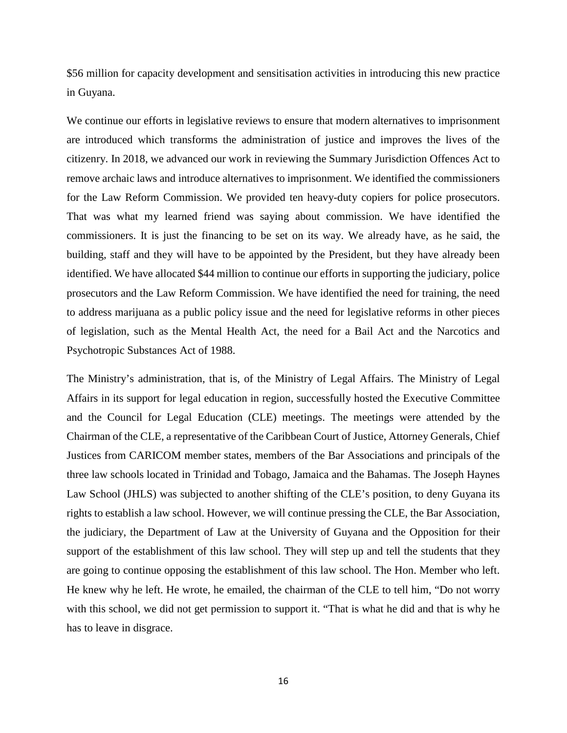\$56 million for capacity development and sensitisation activities in introducing this new practice in Guyana.

We continue our efforts in legislative reviews to ensure that modern alternatives to imprisonment are introduced which transforms the administration of justice and improves the lives of the citizenry. In 2018, we advanced our work in reviewing the Summary Jurisdiction Offences Act to remove archaic laws and introduce alternatives to imprisonment. We identified the commissioners for the Law Reform Commission. We provided ten heavy-duty copiers for police prosecutors. That was what my learned friend was saying about commission. We have identified the commissioners. It is just the financing to be set on its way. We already have, as he said, the building, staff and they will have to be appointed by the President, but they have already been identified. We have allocated \$44 million to continue our efforts in supporting the judiciary, police prosecutors and the Law Reform Commission. We have identified the need for training, the need to address marijuana as a public policy issue and the need for legislative reforms in other pieces of legislation, such as the Mental Health Act, the need for a Bail Act and the Narcotics and Psychotropic Substances Act of 1988.

The Ministry's administration, that is, of the Ministry of Legal Affairs. The Ministry of Legal Affairs in its support for legal education in region, successfully hosted the Executive Committee and the Council for Legal Education (CLE) meetings. The meetings were attended by the Chairman of the CLE, a representative of the Caribbean Court of Justice, Attorney Generals, Chief Justices from CARICOM member states, members of the Bar Associations and principals of the three law schools located in Trinidad and Tobago, Jamaica and the Bahamas. The Joseph Haynes Law School (JHLS) was subjected to another shifting of the CLE's position, to deny Guyana its rights to establish a law school. However, we will continue pressing the CLE, the Bar Association, the judiciary, the Department of Law at the University of Guyana and the Opposition for their support of the establishment of this law school. They will step up and tell the students that they are going to continue opposing the establishment of this law school. The Hon. Member who left. He knew why he left. He wrote, he emailed, the chairman of the CLE to tell him, "Do not worry with this school, we did not get permission to support it. "That is what he did and that is why he has to leave in disgrace.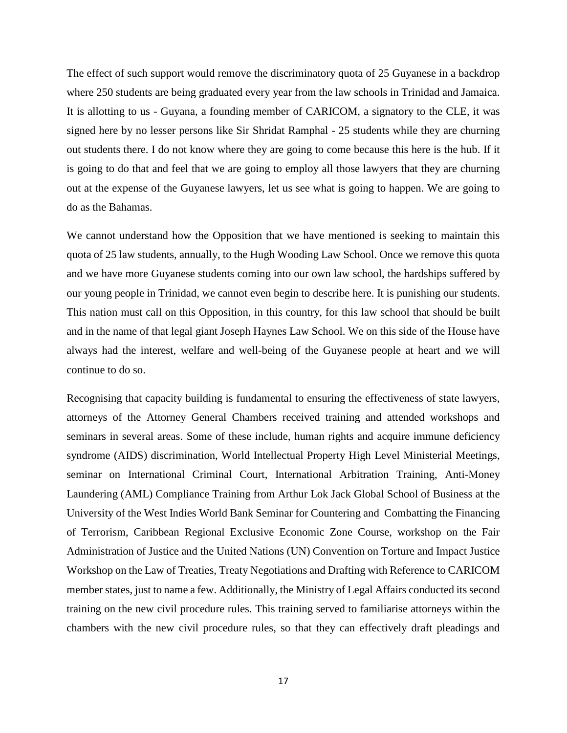The effect of such support would remove the discriminatory quota of 25 Guyanese in a backdrop where 250 students are being graduated every year from the law schools in Trinidad and Jamaica. It is allotting to us - Guyana, a founding member of CARICOM, a signatory to the CLE, it was signed here by no lesser persons like Sir Shridat Ramphal - 25 students while they are churning out students there. I do not know where they are going to come because this here is the hub. If it is going to do that and feel that we are going to employ all those lawyers that they are churning out at the expense of the Guyanese lawyers, let us see what is going to happen. We are going to do as the Bahamas.

We cannot understand how the Opposition that we have mentioned is seeking to maintain this quota of 25 law students, annually, to the Hugh Wooding Law School. Once we remove this quota and we have more Guyanese students coming into our own law school, the hardships suffered by our young people in Trinidad, we cannot even begin to describe here. It is punishing our students. This nation must call on this Opposition, in this country, for this law school that should be built and in the name of that legal giant Joseph Haynes Law School. We on this side of the House have always had the interest, welfare and well-being of the Guyanese people at heart and we will continue to do so.

Recognising that capacity building is fundamental to ensuring the effectiveness of state lawyers, attorneys of the Attorney General Chambers received training and attended workshops and seminars in several areas. Some of these include, human rights and acquire immune deficiency syndrome (AIDS) discrimination, World Intellectual Property High Level Ministerial Meetings, seminar on International Criminal Court, International Arbitration Training, Anti-Money Laundering (AML) Compliance Training from Arthur Lok Jack Global School of Business at the University of the West Indies World Bank Seminar for Countering and Combatting the Financing of Terrorism, Caribbean Regional Exclusive Economic Zone Course, workshop on the Fair Administration of Justice and the United Nations (UN) Convention on Torture and Impact Justice Workshop on the Law of Treaties, Treaty Negotiations and Drafting with Reference to CARICOM member states, just to name a few. Additionally, the Ministry of Legal Affairs conducted its second training on the new civil procedure rules. This training served to familiarise attorneys within the chambers with the new civil procedure rules, so that they can effectively draft pleadings and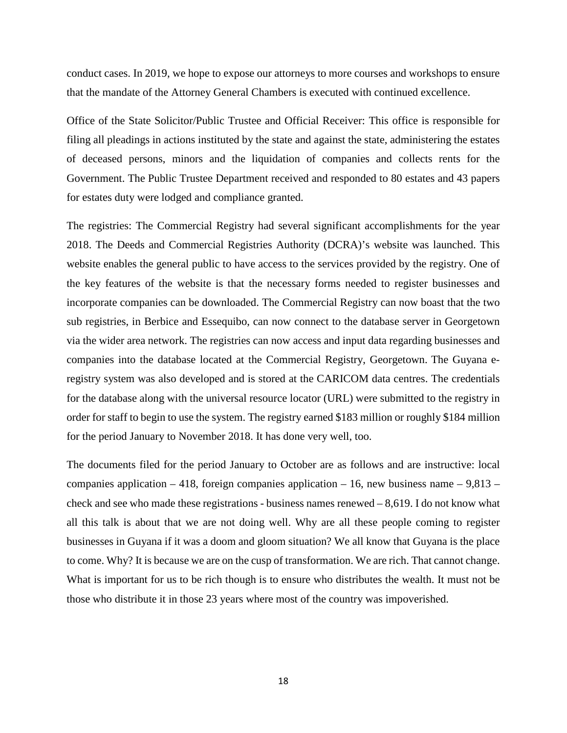conduct cases. In 2019, we hope to expose our attorneys to more courses and workshops to ensure that the mandate of the Attorney General Chambers is executed with continued excellence.

Office of the State Solicitor/Public Trustee and Official Receiver: This office is responsible for filing all pleadings in actions instituted by the state and against the state, administering the estates of deceased persons, minors and the liquidation of companies and collects rents for the Government. The Public Trustee Department received and responded to 80 estates and 43 papers for estates duty were lodged and compliance granted.

The registries: The Commercial Registry had several significant accomplishments for the year 2018. The Deeds and Commercial Registries Authority (DCRA)'s website was launched. This website enables the general public to have access to the services provided by the registry. One of the key features of the website is that the necessary forms needed to register businesses and incorporate companies can be downloaded. The Commercial Registry can now boast that the two sub registries, in Berbice and Essequibo, can now connect to the database server in Georgetown via the wider area network. The registries can now access and input data regarding businesses and companies into the database located at the Commercial Registry, Georgetown. The Guyana eregistry system was also developed and is stored at the CARICOM data centres. The credentials for the database along with the universal resource locator (URL) were submitted to the registry in order for staff to begin to use the system. The registry earned \$183 million or roughly \$184 million for the period January to November 2018. It has done very well, too.

The documents filed for the period January to October are as follows and are instructive: local companies application – 418, foreign companies application – 16, new business name –  $9,813$  – check and see who made these registrations - business names renewed  $-8,619$ . I do not know what all this talk is about that we are not doing well. Why are all these people coming to register businesses in Guyana if it was a doom and gloom situation? We all know that Guyana is the place to come. Why? It is because we are on the cusp of transformation. We are rich. That cannot change. What is important for us to be rich though is to ensure who distributes the wealth. It must not be those who distribute it in those 23 years where most of the country was impoverished.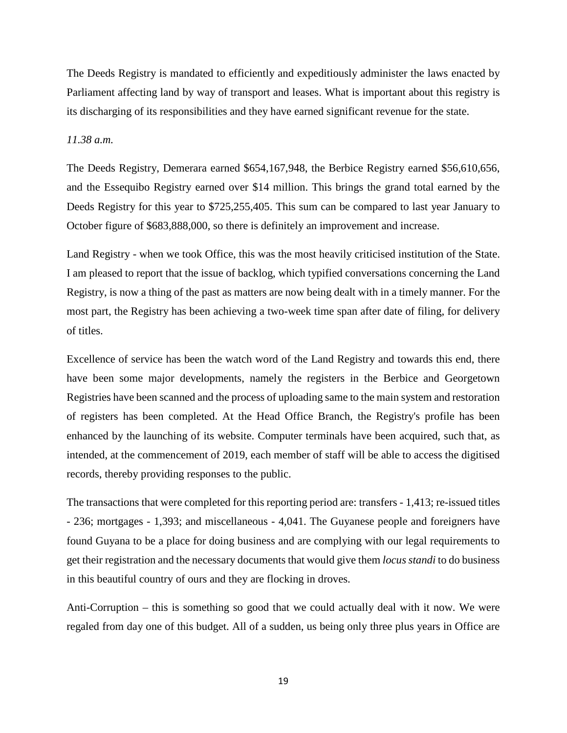The Deeds Registry is mandated to efficiently and expeditiously administer the laws enacted by Parliament affecting land by way of transport and leases. What is important about this registry is its discharging of its responsibilities and they have earned significant revenue for the state.

## *11.38 a.m.*

The Deeds Registry, Demerara earned \$654,167,948, the Berbice Registry earned \$56,610,656, and the Essequibo Registry earned over \$14 million. This brings the grand total earned by the Deeds Registry for this year to \$725,255,405. This sum can be compared to last year January to October figure of \$683,888,000, so there is definitely an improvement and increase.

Land Registry - when we took Office, this was the most heavily criticised institution of the State. I am pleased to report that the issue of backlog, which typified conversations concerning the Land Registry, is now a thing of the past as matters are now being dealt with in a timely manner. For the most part, the Registry has been achieving a two-week time span after date of filing, for delivery of titles.

Excellence of service has been the watch word of the Land Registry and towards this end, there have been some major developments, namely the registers in the Berbice and Georgetown Registries have been scanned and the process of uploading same to the main system and restoration of registers has been completed. At the Head Office Branch, the Registry's profile has been enhanced by the launching of its website. Computer terminals have been acquired, such that, as intended, at the commencement of 2019, each member of staff will be able to access the digitised records, thereby providing responses to the public.

The transactions that were completed for this reporting period are: transfers - 1,413; re-issued titles - 236; mortgages - 1,393; and miscellaneous - 4,041. The Guyanese people and foreigners have found Guyana to be a place for doing business and are complying with our legal requirements to get their registration and the necessary documents that would give them *locus standi* to do business in this beautiful country of ours and they are flocking in droves.

Anti-Corruption – this is something so good that we could actually deal with it now. We were regaled from day one of this budget. All of a sudden, us being only three plus years in Office are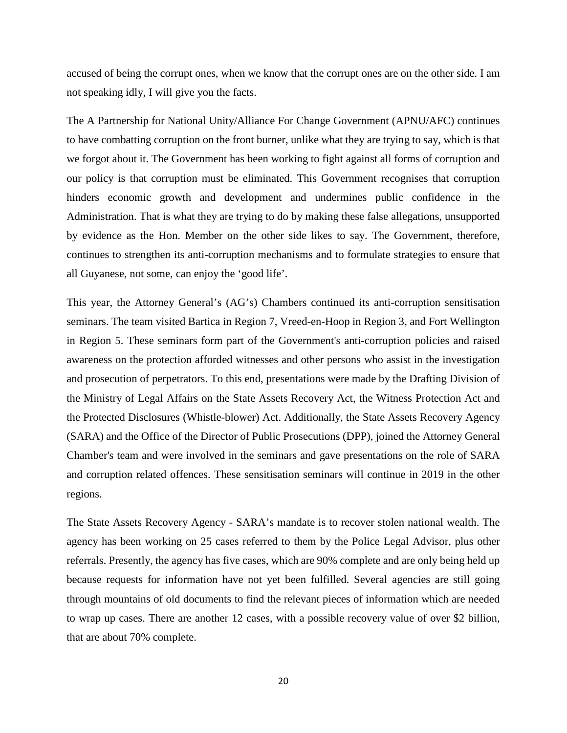accused of being the corrupt ones, when we know that the corrupt ones are on the other side. I am not speaking idly, I will give you the facts.

The A Partnership for National Unity/Alliance For Change Government (APNU/AFC) continues to have combatting corruption on the front burner, unlike what they are trying to say, which is that we forgot about it. The Government has been working to fight against all forms of corruption and our policy is that corruption must be eliminated. This Government recognises that corruption hinders economic growth and development and undermines public confidence in the Administration. That is what they are trying to do by making these false allegations, unsupported by evidence as the Hon. Member on the other side likes to say. The Government, therefore, continues to strengthen its anti-corruption mechanisms and to formulate strategies to ensure that all Guyanese, not some, can enjoy the 'good life'.

This year, the Attorney General's (AG's) Chambers continued its anti-corruption sensitisation seminars. The team visited Bartica in Region 7, Vreed-en-Hoop in Region 3, and Fort Wellington in Region 5. These seminars form part of the Government's anti-corruption policies and raised awareness on the protection afforded witnesses and other persons who assist in the investigation and prosecution of perpetrators. To this end, presentations were made by the Drafting Division of the Ministry of Legal Affairs on the State Assets Recovery Act, the Witness Protection Act and the Protected Disclosures (Whistle-blower) Act. Additionally, the State Assets Recovery Agency (SARA) and the Office of the Director of Public Prosecutions (DPP), joined the Attorney General Chamber's team and were involved in the seminars and gave presentations on the role of SARA and corruption related offences. These sensitisation seminars will continue in 2019 in the other regions.

The State Assets Recovery Agency - SARA's mandate is to recover stolen national wealth. The agency has been working on 25 cases referred to them by the Police Legal Advisor, plus other referrals. Presently, the agency has five cases, which are 90% complete and are only being held up because requests for information have not yet been fulfilled. Several agencies are still going through mountains of old documents to find the relevant pieces of information which are needed to wrap up cases. There are another 12 cases, with a possible recovery value of over \$2 billion, that are about 70% complete.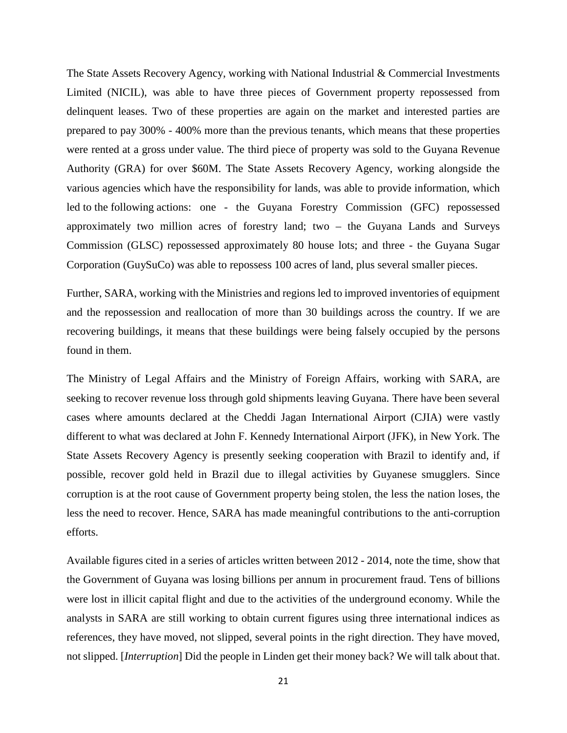The State Assets Recovery Agency, working with National Industrial & Commercial Investments Limited (NICIL), was able to have three pieces of Government property repossessed from delinquent leases. Two of these properties are again on the market and interested parties are prepared to pay 300% - 400% more than the previous tenants, which means that these properties were rented at a gross under value. The third piece of property was sold to the Guyana Revenue Authority (GRA) for over \$60M. The State Assets Recovery Agency, working alongside the various agencies which have the responsibility for lands, was able to provide information, which led to the following actions: one - the Guyana Forestry Commission (GFC) repossessed approximately two million acres of forestry land; two – the Guyana Lands and Surveys Commission (GLSC) repossessed approximately 80 house lots; and three - the Guyana Sugar Corporation (GuySuCo) was able to repossess 100 acres of land, plus several smaller pieces.

Further, SARA, working with the Ministries and regions led to improved inventories of equipment and the repossession and reallocation of more than 30 buildings across the country. If we are recovering buildings, it means that these buildings were being falsely occupied by the persons found in them.

The Ministry of Legal Affairs and the Ministry of Foreign Affairs, working with SARA, are seeking to recover revenue loss through gold shipments leaving Guyana. There have been several cases where amounts declared at the Cheddi Jagan International Airport (CJIA) were vastly different to what was declared at John F. Kennedy International Airport (JFK), in New York. The State Assets Recovery Agency is presently seeking cooperation with Brazil to identify and, if possible, recover gold held in Brazil due to illegal activities by Guyanese smugglers. Since corruption is at the root cause of Government property being stolen, the less the nation loses, the less the need to recover. Hence, SARA has made meaningful contributions to the anti-corruption efforts.

Available figures cited in a series of articles written between 2012 - 2014, note the time, show that the Government of Guyana was losing billions per annum in procurement fraud. Tens of billions were lost in illicit capital flight and due to the activities of the underground economy. While the analysts in SARA are still working to obtain current figures using three international indices as references, they have moved, not slipped, several points in the right direction. They have moved, not slipped. [*Interruption*] Did the people in Linden get their money back? We will talk about that.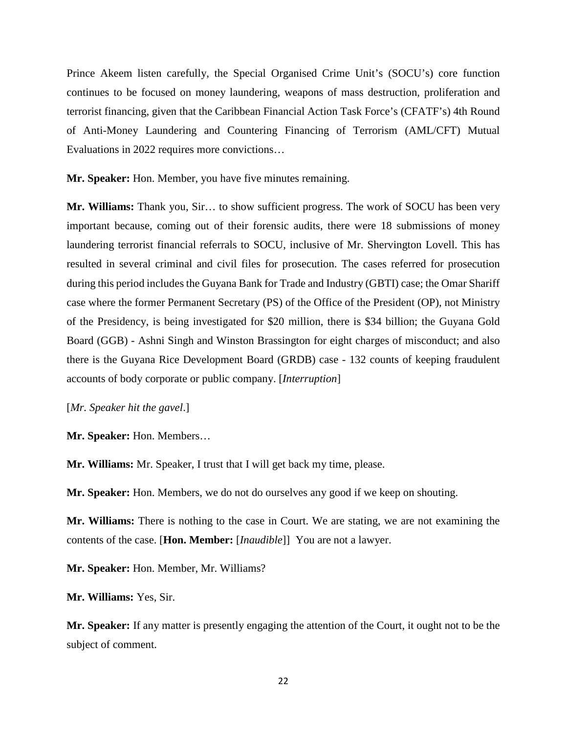Prince Akeem listen carefully, the Special Organised Crime Unit's (SOCU's) core function continues to be focused on money laundering, weapons of mass destruction, proliferation and terrorist financing, given that the Caribbean Financial Action Task Force's (CFATF's) 4th Round of Anti-Money Laundering and Countering Financing of Terrorism (AML/CFT) Mutual Evaluations in 2022 requires more convictions…

**Mr. Speaker:** Hon. Member, you have five minutes remaining.

**Mr. Williams:** Thank you, Sir… to show sufficient progress. The work of SOCU has been very important because, coming out of their forensic audits, there were 18 submissions of money laundering terrorist financial referrals to SOCU, inclusive of Mr. Shervington Lovell. This has resulted in several criminal and civil files for prosecution. The cases referred for prosecution during this period includes the Guyana Bank for Trade and Industry (GBTI) case; the Omar Shariff case where the former Permanent Secretary (PS) of the Office of the President (OP), not Ministry of the Presidency, is being investigated for \$20 million, there is \$34 billion; the Guyana Gold Board (GGB) - Ashni Singh and Winston Brassington for eight charges of misconduct; and also there is the Guyana Rice Development Board (GRDB) case - 132 counts of keeping fraudulent accounts of body corporate or public company. [*Interruption*]

[*Mr. Speaker hit the gavel*.]

**Mr. Speaker:** Hon. Members…

**Mr. Williams:** Mr. Speaker, I trust that I will get back my time, please.

**Mr. Speaker:** Hon. Members, we do not do ourselves any good if we keep on shouting.

**Mr. Williams:** There is nothing to the case in Court. We are stating, we are not examining the contents of the case. [**Hon. Member:** [*Inaudible*]] You are not a lawyer.

**Mr. Speaker:** Hon. Member, Mr. Williams?

**Mr. Williams:** Yes, Sir.

**Mr. Speaker:** If any matter is presently engaging the attention of the Court, it ought not to be the subject of comment.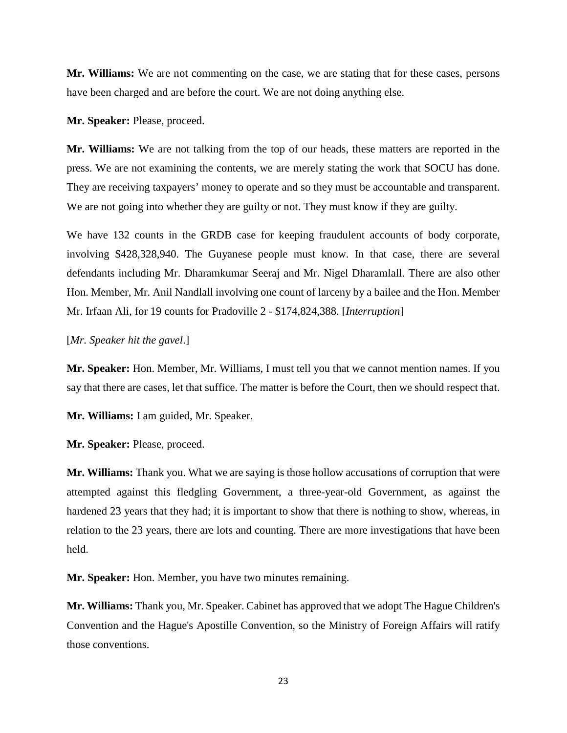**Mr. Williams:** We are not commenting on the case, we are stating that for these cases, persons have been charged and are before the court. We are not doing anything else.

**Mr. Speaker:** Please, proceed.

**Mr. Williams:** We are not talking from the top of our heads, these matters are reported in the press. We are not examining the contents, we are merely stating the work that SOCU has done. They are receiving taxpayers' money to operate and so they must be accountable and transparent. We are not going into whether they are guilty or not. They must know if they are guilty.

We have 132 counts in the GRDB case for keeping fraudulent accounts of body corporate, involving \$428,328,940. The Guyanese people must know. In that case, there are several defendants including Mr. Dharamkumar Seeraj and Mr. Nigel Dharamlall. There are also other Hon. Member, Mr. Anil Nandlall involving one count of larceny by a bailee and the Hon. Member Mr. Irfaan Ali, for 19 counts for Pradoville 2 - \$174,824,388. [*Interruption*]

## [*Mr. Speaker hit the gavel*.]

**Mr. Speaker:** Hon. Member, Mr. Williams, I must tell you that we cannot mention names. If you say that there are cases, let that suffice. The matter is before the Court, then we should respect that.

**Mr. Williams:** I am guided, Mr. Speaker.

**Mr. Speaker:** Please, proceed.

**Mr. Williams:** Thank you. What we are saying is those hollow accusations of corruption that were attempted against this fledgling Government, a three-year-old Government, as against the hardened 23 years that they had; it is important to show that there is nothing to show, whereas, in relation to the 23 years, there are lots and counting. There are more investigations that have been held.

**Mr. Speaker:** Hon. Member, you have two minutes remaining.

**Mr. Williams:** Thank you, Mr. Speaker. Cabinet has approved that we adopt The Hague Children's Convention and the Hague's Apostille Convention, so the Ministry of Foreign Affairs will ratify those conventions.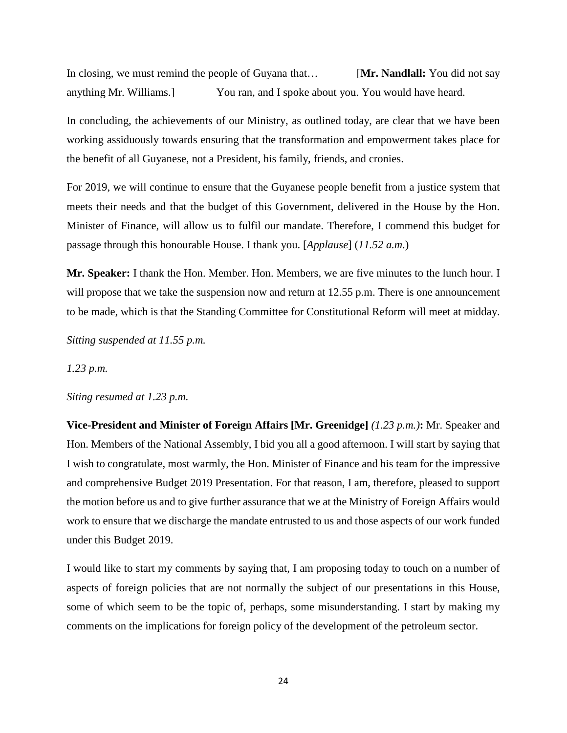In closing, we must remind the people of Guyana that… [**Mr. Nandlall:** You did not say anything Mr. Williams.] You ran, and I spoke about you. You would have heard.

In concluding, the achievements of our Ministry, as outlined today, are clear that we have been working assiduously towards ensuring that the transformation and empowerment takes place for the benefit of all Guyanese, not a President, his family, friends, and cronies.

For 2019, we will continue to ensure that the Guyanese people benefit from a justice system that meets their needs and that the budget of this Government, delivered in the House by the Hon. Minister of Finance, will allow us to fulfil our mandate. Therefore, I commend this budget for passage through this honourable House. I thank you. [*Applause*] (*11.52 a.m*.)

**Mr. Speaker:** I thank the Hon. Member. Hon. Members, we are five minutes to the lunch hour. I will propose that we take the suspension now and return at 12.55 p.m. There is one announcement to be made, which is that the Standing Committee for Constitutional Reform will meet at midday.

*Sitting suspended at 11.55 p.m.*

*1.23 p.m.*

#### *Siting resumed at 1.23 p.m.*

**Vice-President and Minister of Foreign Affairs [Mr. Greenidge]** *(1.23 p.m.)***:** Mr. Speaker and Hon. Members of the National Assembly, I bid you all a good afternoon. I will start by saying that I wish to congratulate, most warmly, the Hon. Minister of Finance and his team for the impressive and comprehensive Budget 2019 Presentation. For that reason, I am, therefore, pleased to support the motion before us and to give further assurance that we at the Ministry of Foreign Affairs would work to ensure that we discharge the mandate entrusted to us and those aspects of our work funded under this Budget 2019.

I would like to start my comments by saying that, I am proposing today to touch on a number of aspects of foreign policies that are not normally the subject of our presentations in this House, some of which seem to be the topic of, perhaps, some misunderstanding. I start by making my comments on the implications for foreign policy of the development of the petroleum sector.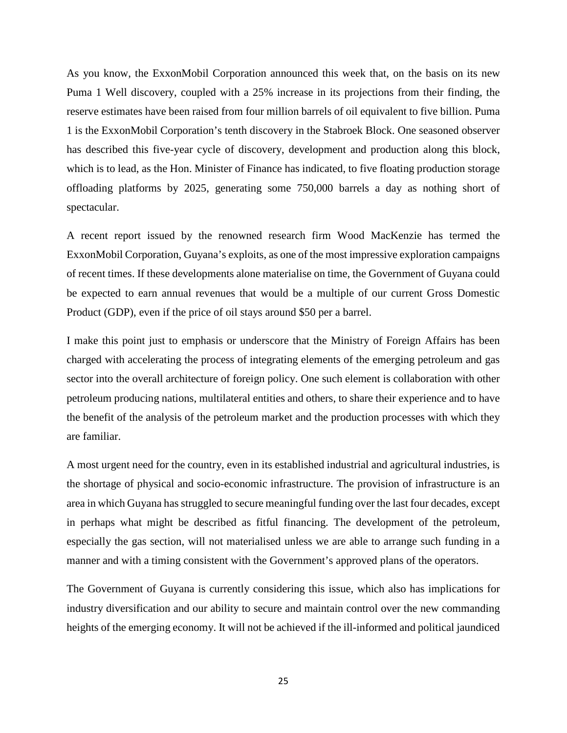As you know, the ExxonMobil Corporation announced this week that, on the basis on its new Puma 1 Well discovery, coupled with a 25% increase in its projections from their finding, the reserve estimates have been raised from four million barrels of oil equivalent to five billion. Puma 1 is the ExxonMobil Corporation's tenth discovery in the Stabroek Block. One seasoned observer has described this five-year cycle of discovery, development and production along this block, which is to lead, as the Hon. Minister of Finance has indicated, to five floating production storage offloading platforms by 2025, generating some 750,000 barrels a day as nothing short of spectacular.

A recent report issued by the renowned research firm Wood MacKenzie has termed the ExxonMobil Corporation, Guyana's exploits, as one of the most impressive exploration campaigns of recent times. If these developments alone materialise on time, the Government of Guyana could be expected to earn annual revenues that would be a multiple of our current Gross Domestic Product (GDP), even if the price of oil stays around \$50 per a barrel.

I make this point just to emphasis or underscore that the Ministry of Foreign Affairs has been charged with accelerating the process of integrating elements of the emerging petroleum and gas sector into the overall architecture of foreign policy. One such element is collaboration with other petroleum producing nations, multilateral entities and others, to share their experience and to have the benefit of the analysis of the petroleum market and the production processes with which they are familiar.

A most urgent need for the country, even in its established industrial and agricultural industries, is the shortage of physical and socio-economic infrastructure. The provision of infrastructure is an area in which Guyana has struggled to secure meaningful funding over the last four decades, except in perhaps what might be described as fitful financing. The development of the petroleum, especially the gas section, will not materialised unless we are able to arrange such funding in a manner and with a timing consistent with the Government's approved plans of the operators.

The Government of Guyana is currently considering this issue, which also has implications for industry diversification and our ability to secure and maintain control over the new commanding heights of the emerging economy. It will not be achieved if the ill-informed and political jaundiced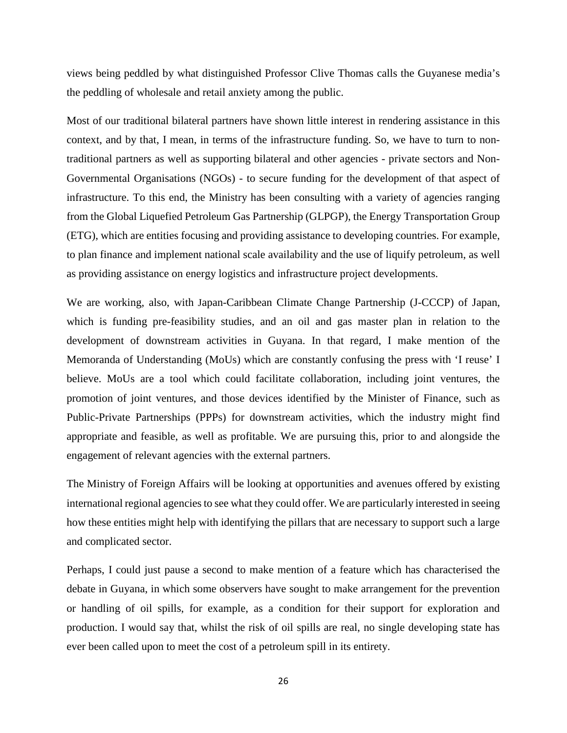views being peddled by what distinguished Professor Clive Thomas calls the Guyanese media's the peddling of wholesale and retail anxiety among the public.

Most of our traditional bilateral partners have shown little interest in rendering assistance in this context, and by that, I mean, in terms of the infrastructure funding. So, we have to turn to nontraditional partners as well as supporting bilateral and other agencies - private sectors and Non-Governmental Organisations (NGOs) - to secure funding for the development of that aspect of infrastructure. To this end, the Ministry has been consulting with a variety of agencies ranging from the Global Liquefied Petroleum Gas Partnership (GLPGP), the Energy Transportation Group (ETG), which are entities focusing and providing assistance to developing countries. For example, to plan finance and implement national scale availability and the use of liquify petroleum, as well as providing assistance on energy logistics and infrastructure project developments.

We are working, also, with Japan-Caribbean Climate Change Partnership (J-CCCP) of Japan, which is funding pre-feasibility studies, and an oil and gas master plan in relation to the development of downstream activities in Guyana. In that regard, I make mention of the Memoranda of Understanding (MoUs) which are constantly confusing the press with 'I reuse' I believe. MoUs are a tool which could facilitate collaboration, including joint ventures, the promotion of joint ventures, and those devices identified by the Minister of Finance, such as Public-Private Partnerships (PPPs) for downstream activities, which the industry might find appropriate and feasible, as well as profitable. We are pursuing this, prior to and alongside the engagement of relevant agencies with the external partners.

The Ministry of Foreign Affairs will be looking at opportunities and avenues offered by existing international regional agencies to see what they could offer. We are particularly interested in seeing how these entities might help with identifying the pillars that are necessary to support such a large and complicated sector.

Perhaps, I could just pause a second to make mention of a feature which has characterised the debate in Guyana, in which some observers have sought to make arrangement for the prevention or handling of oil spills, for example, as a condition for their support for exploration and production. I would say that, whilst the risk of oil spills are real, no single developing state has ever been called upon to meet the cost of a petroleum spill in its entirety.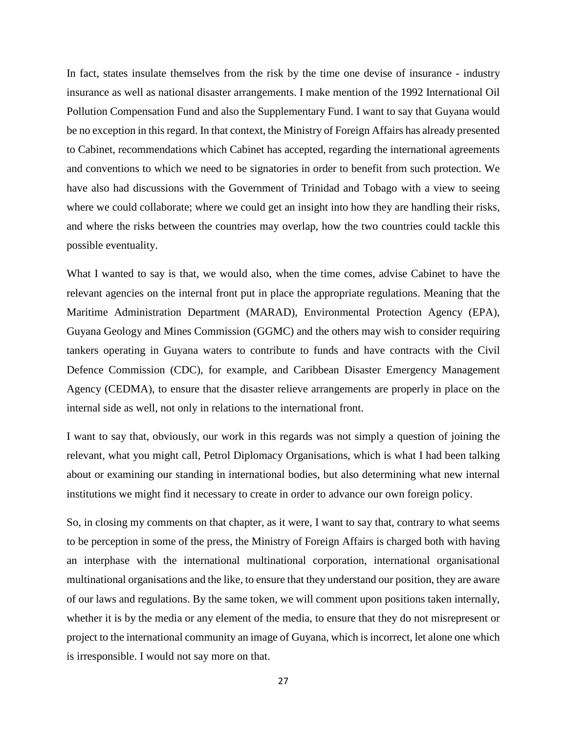In fact, states insulate themselves from the risk by the time one devise of insurance - industry insurance as well as national disaster arrangements. I make mention of the 1992 International Oil Pollution Compensation Fund and also the Supplementary Fund. I want to say that Guyana would be no exception in this regard. In that context, the Ministry of Foreign Affairs has already presented to Cabinet, recommendations which Cabinet has accepted, regarding the international agreements and conventions to which we need to be signatories in order to benefit from such protection. We have also had discussions with the Government of Trinidad and Tobago with a view to seeing where we could collaborate; where we could get an insight into how they are handling their risks, and where the risks between the countries may overlap, how the two countries could tackle this possible eventuality.

What I wanted to say is that, we would also, when the time comes, advise Cabinet to have the relevant agencies on the internal front put in place the appropriate regulations. Meaning that the Maritime Administration Department (MARAD), Environmental Protection Agency (EPA), Guyana Geology and Mines Commission (GGMC) and the others may wish to consider requiring tankers operating in Guyana waters to contribute to funds and have contracts with the Civil Defence Commission (CDC), for example, and Caribbean Disaster Emergency Management Agency (CEDMA), to ensure that the disaster relieve arrangements are properly in place on the internal side as well, not only in relations to the international front.

I want to say that, obviously, our work in this regards was not simply a question of joining the relevant, what you might call, Petrol Diplomacy Organisations, which is what I had been talking about or examining our standing in international bodies, but also determining what new internal institutions we might find it necessary to create in order to advance our own foreign policy.

So, in closing my comments on that chapter, as it were, I want to say that, contrary to what seems to be perception in some of the press, the Ministry of Foreign Affairs is charged both with having an interphase with the international multinational corporation, international organisational multinational organisations and the like, to ensure that they understand our position, they are aware of our laws and regulations. By the same token, we will comment upon positions taken internally, whether it is by the media or any element of the media, to ensure that they do not misrepresent or project to the international community an image of Guyana, which is incorrect, let alone one which is irresponsible. I would not say more on that.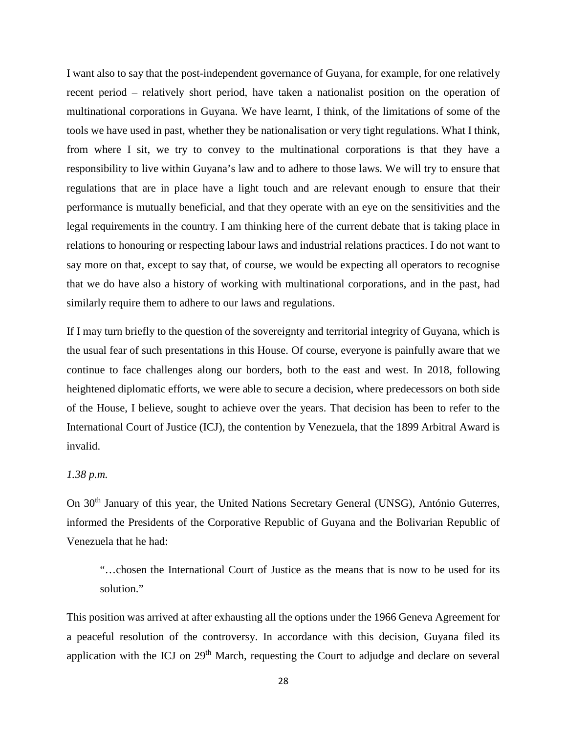I want also to say that the post-independent governance of Guyana, for example, for one relatively recent period – relatively short period, have taken a nationalist position on the operation of multinational corporations in Guyana. We have learnt, I think, of the limitations of some of the tools we have used in past, whether they be nationalisation or very tight regulations. What I think, from where I sit, we try to convey to the multinational corporations is that they have a responsibility to live within Guyana's law and to adhere to those laws. We will try to ensure that regulations that are in place have a light touch and are relevant enough to ensure that their performance is mutually beneficial, and that they operate with an eye on the sensitivities and the legal requirements in the country. I am thinking here of the current debate that is taking place in relations to honouring or respecting labour laws and industrial relations practices. I do not want to say more on that, except to say that, of course, we would be expecting all operators to recognise that we do have also a history of working with multinational corporations, and in the past, had similarly require them to adhere to our laws and regulations.

If I may turn briefly to the question of the sovereignty and territorial integrity of Guyana, which is the usual fear of such presentations in this House. Of course, everyone is painfully aware that we continue to face challenges along our borders, both to the east and west. In 2018, following heightened diplomatic efforts, we were able to secure a decision, where predecessors on both side of the House, I believe, sought to achieve over the years. That decision has been to refer to the International Court of Justice (ICJ), the contention by Venezuela, that the 1899 Arbitral Award is invalid.

## *1.38 p.m.*

On 30<sup>th</sup> January of this year, the United Nations Secretary General (UNSG), António Guterres, informed the Presidents of the Corporative Republic of Guyana and the Bolivarian Republic of Venezuela that he had:

"…chosen the International Court of Justice as the means that is now to be used for its solution."

This position was arrived at after exhausting all the options under the 1966 Geneva Agreement for a peaceful resolution of the controversy. In accordance with this decision, Guyana filed its application with the ICJ on 29<sup>th</sup> March, requesting the Court to adjudge and declare on several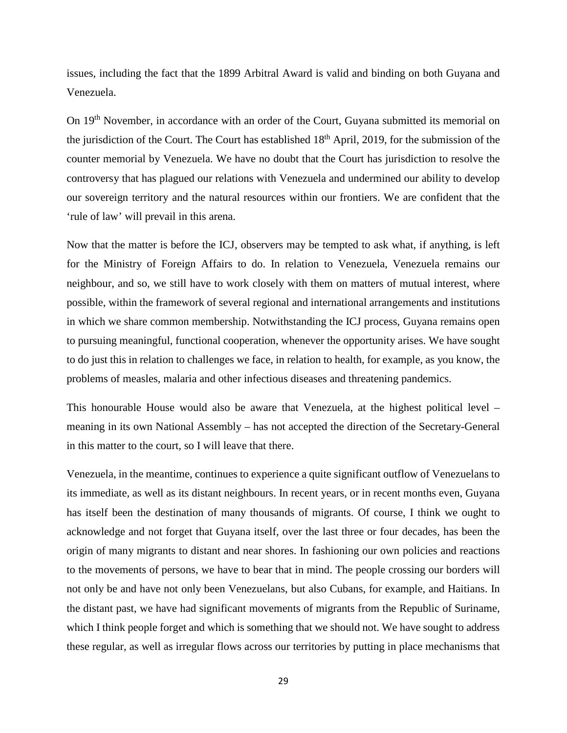issues, including the fact that the 1899 Arbitral Award is valid and binding on both Guyana and Venezuela.

On 19<sup>th</sup> November, in accordance with an order of the Court, Guyana submitted its memorial on the jurisdiction of the Court. The Court has established 18<sup>th</sup> April, 2019, for the submission of the counter memorial by Venezuela. We have no doubt that the Court has jurisdiction to resolve the controversy that has plagued our relations with Venezuela and undermined our ability to develop our sovereign territory and the natural resources within our frontiers. We are confident that the 'rule of law' will prevail in this arena.

Now that the matter is before the ICJ, observers may be tempted to ask what, if anything, is left for the Ministry of Foreign Affairs to do. In relation to Venezuela, Venezuela remains our neighbour, and so, we still have to work closely with them on matters of mutual interest, where possible, within the framework of several regional and international arrangements and institutions in which we share common membership. Notwithstanding the ICJ process, Guyana remains open to pursuing meaningful, functional cooperation, whenever the opportunity arises. We have sought to do just this in relation to challenges we face, in relation to health, for example, as you know, the problems of measles, malaria and other infectious diseases and threatening pandemics.

This honourable House would also be aware that Venezuela, at the highest political level – meaning in its own National Assembly – has not accepted the direction of the Secretary-General in this matter to the court, so I will leave that there.

Venezuela, in the meantime, continues to experience a quite significant outflow of Venezuelans to its immediate, as well as its distant neighbours. In recent years, or in recent months even, Guyana has itself been the destination of many thousands of migrants. Of course, I think we ought to acknowledge and not forget that Guyana itself, over the last three or four decades, has been the origin of many migrants to distant and near shores. In fashioning our own policies and reactions to the movements of persons, we have to bear that in mind. The people crossing our borders will not only be and have not only been Venezuelans, but also Cubans, for example, and Haitians. In the distant past, we have had significant movements of migrants from the Republic of Suriname, which I think people forget and which is something that we should not. We have sought to address these regular, as well as irregular flows across our territories by putting in place mechanisms that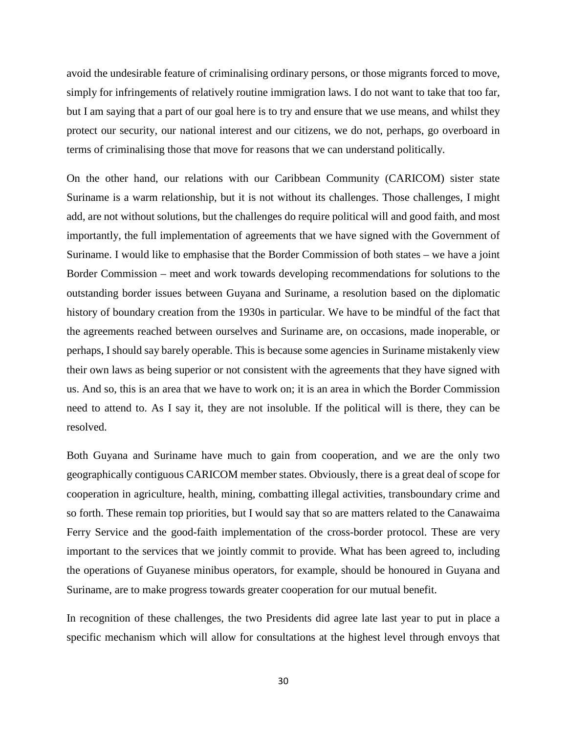avoid the undesirable feature of criminalising ordinary persons, or those migrants forced to move, simply for infringements of relatively routine immigration laws. I do not want to take that too far, but I am saying that a part of our goal here is to try and ensure that we use means, and whilst they protect our security, our national interest and our citizens, we do not, perhaps, go overboard in terms of criminalising those that move for reasons that we can understand politically.

On the other hand, our relations with our Caribbean Community (CARICOM) sister state Suriname is a warm relationship, but it is not without its challenges. Those challenges, I might add, are not without solutions, but the challenges do require political will and good faith, and most importantly, the full implementation of agreements that we have signed with the Government of Suriname. I would like to emphasise that the Border Commission of both states – we have a joint Border Commission – meet and work towards developing recommendations for solutions to the outstanding border issues between Guyana and Suriname, a resolution based on the diplomatic history of boundary creation from the 1930s in particular. We have to be mindful of the fact that the agreements reached between ourselves and Suriname are, on occasions, made inoperable, or perhaps, I should say barely operable. This is because some agencies in Suriname mistakenly view their own laws as being superior or not consistent with the agreements that they have signed with us. And so, this is an area that we have to work on; it is an area in which the Border Commission need to attend to. As I say it, they are not insoluble. If the political will is there, they can be resolved.

Both Guyana and Suriname have much to gain from cooperation, and we are the only two geographically contiguous CARICOM member states. Obviously, there is a great deal of scope for cooperation in agriculture, health, mining, combatting illegal activities, transboundary crime and so forth. These remain top priorities, but I would say that so are matters related to the Canawaima Ferry Service and the good-faith implementation of the cross-border protocol. These are very important to the services that we jointly commit to provide. What has been agreed to, including the operations of Guyanese minibus operators, for example, should be honoured in Guyana and Suriname, are to make progress towards greater cooperation for our mutual benefit.

In recognition of these challenges, the two Presidents did agree late last year to put in place a specific mechanism which will allow for consultations at the highest level through envoys that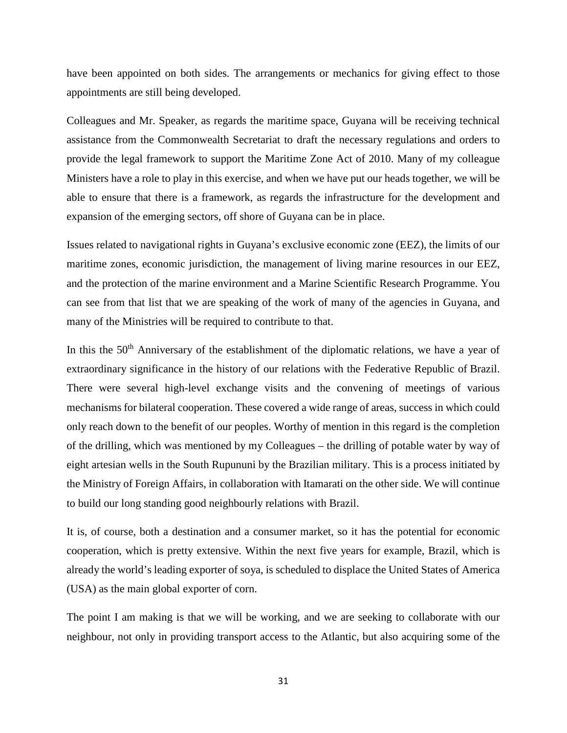have been appointed on both sides. The arrangements or mechanics for giving effect to those appointments are still being developed.

Colleagues and Mr. Speaker, as regards the maritime space, Guyana will be receiving technical assistance from the Commonwealth Secretariat to draft the necessary regulations and orders to provide the legal framework to support the Maritime Zone Act of 2010. Many of my colleague Ministers have a role to play in this exercise, and when we have put our heads together, we will be able to ensure that there is a framework, as regards the infrastructure for the development and expansion of the emerging sectors, off shore of Guyana can be in place.

Issues related to navigational rights in Guyana's exclusive economic zone (EEZ), the limits of our maritime zones, economic jurisdiction, the management of living marine resources in our EEZ, and the protection of the marine environment and a Marine Scientific Research Programme. You can see from that list that we are speaking of the work of many of the agencies in Guyana, and many of the Ministries will be required to contribute to that.

In this the 50<sup>th</sup> Anniversary of the establishment of the diplomatic relations, we have a year of extraordinary significance in the history of our relations with the Federative Republic of Brazil. There were several high-level exchange visits and the convening of meetings of various mechanisms for bilateral cooperation. These covered a wide range of areas, success in which could only reach down to the benefit of our peoples. Worthy of mention in this regard is the completion of the drilling, which was mentioned by my Colleagues – the drilling of potable water by way of eight artesian wells in the South Rupununi by the Brazilian military. This is a process initiated by the Ministry of Foreign Affairs, in collaboration with Itamarati on the other side. We will continue to build our long standing good neighbourly relations with Brazil.

It is, of course, both a destination and a consumer market, so it has the potential for economic cooperation, which is pretty extensive. Within the next five years for example, Brazil, which is already the world's leading exporter of soya, is scheduled to displace the United States of America (USA) as the main global exporter of corn.

The point I am making is that we will be working, and we are seeking to collaborate with our neighbour, not only in providing transport access to the Atlantic, but also acquiring some of the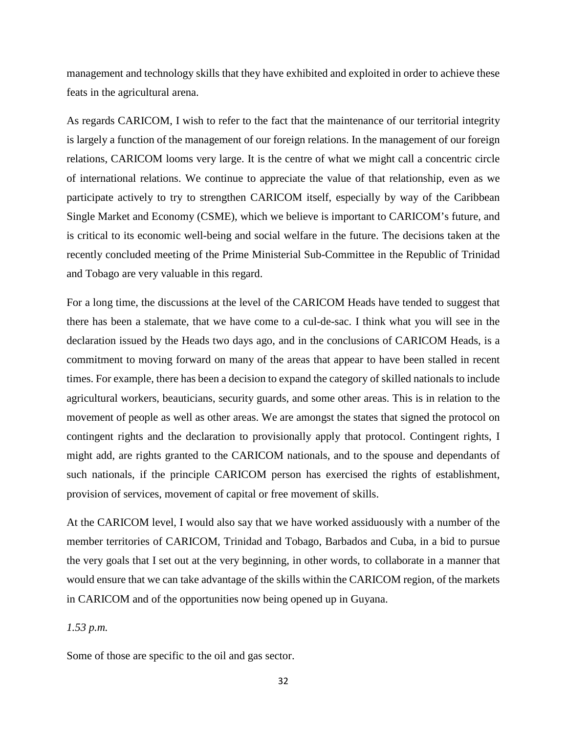management and technology skills that they have exhibited and exploited in order to achieve these feats in the agricultural arena.

As regards CARICOM, I wish to refer to the fact that the maintenance of our territorial integrity is largely a function of the management of our foreign relations. In the management of our foreign relations, CARICOM looms very large. It is the centre of what we might call a concentric circle of international relations. We continue to appreciate the value of that relationship, even as we participate actively to try to strengthen CARICOM itself, especially by way of the Caribbean Single Market and Economy (CSME), which we believe is important to CARICOM's future, and is critical to its economic well-being and social welfare in the future. The decisions taken at the recently concluded meeting of the Prime Ministerial Sub-Committee in the Republic of Trinidad and Tobago are very valuable in this regard.

For a long time, the discussions at the level of the CARICOM Heads have tended to suggest that there has been a stalemate, that we have come to a cul-de-sac. I think what you will see in the declaration issued by the Heads two days ago, and in the conclusions of CARICOM Heads, is a commitment to moving forward on many of the areas that appear to have been stalled in recent times. For example, there has been a decision to expand the category of skilled nationals to include agricultural workers, beauticians, security guards, and some other areas. This is in relation to the movement of people as well as other areas. We are amongst the states that signed the protocol on contingent rights and the declaration to provisionally apply that protocol. Contingent rights, I might add, are rights granted to the CARICOM nationals, and to the spouse and dependants of such nationals, if the principle CARICOM person has exercised the rights of establishment, provision of services, movement of capital or free movement of skills.

At the CARICOM level, I would also say that we have worked assiduously with a number of the member territories of CARICOM, Trinidad and Tobago, Barbados and Cuba, in a bid to pursue the very goals that I set out at the very beginning, in other words, to collaborate in a manner that would ensure that we can take advantage of the skills within the CARICOM region, of the markets in CARICOM and of the opportunities now being opened up in Guyana.

## *1.53 p.m.*

Some of those are specific to the oil and gas sector.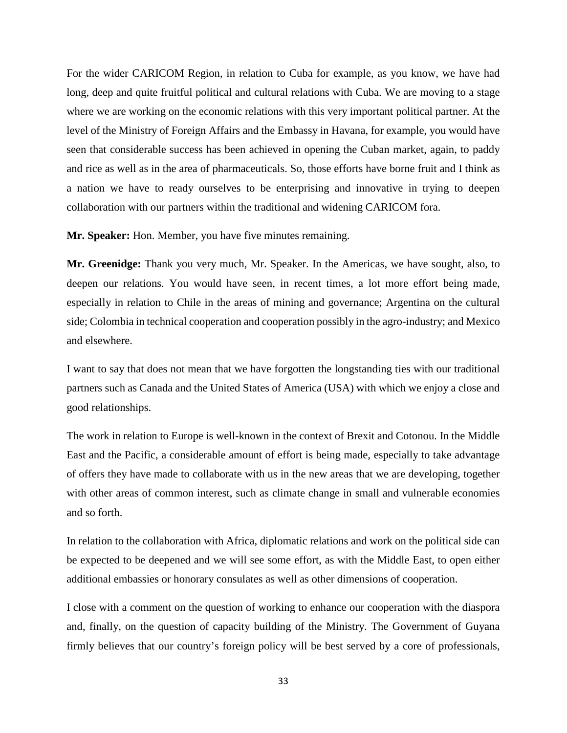For the wider CARICOM Region, in relation to Cuba for example, as you know, we have had long, deep and quite fruitful political and cultural relations with Cuba. We are moving to a stage where we are working on the economic relations with this very important political partner. At the level of the Ministry of Foreign Affairs and the Embassy in Havana, for example, you would have seen that considerable success has been achieved in opening the Cuban market, again, to paddy and rice as well as in the area of pharmaceuticals. So, those efforts have borne fruit and I think as a nation we have to ready ourselves to be enterprising and innovative in trying to deepen collaboration with our partners within the traditional and widening CARICOM fora.

**Mr. Speaker:** Hon. Member, you have five minutes remaining.

**Mr. Greenidge:** Thank you very much, Mr. Speaker. In the Americas, we have sought, also, to deepen our relations. You would have seen, in recent times, a lot more effort being made, especially in relation to Chile in the areas of mining and governance; Argentina on the cultural side; Colombia in technical cooperation and cooperation possibly in the agro-industry; and Mexico and elsewhere.

I want to say that does not mean that we have forgotten the longstanding ties with our traditional partners such as Canada and the United States of America (USA) with which we enjoy a close and good relationships.

The work in relation to Europe is well-known in the context of Brexit and Cotonou. In the Middle East and the Pacific, a considerable amount of effort is being made, especially to take advantage of offers they have made to collaborate with us in the new areas that we are developing, together with other areas of common interest, such as climate change in small and vulnerable economies and so forth.

In relation to the collaboration with Africa, diplomatic relations and work on the political side can be expected to be deepened and we will see some effort, as with the Middle East, to open either additional embassies or honorary consulates as well as other dimensions of cooperation.

I close with a comment on the question of working to enhance our cooperation with the diaspora and, finally, on the question of capacity building of the Ministry. The Government of Guyana firmly believes that our country's foreign policy will be best served by a core of professionals,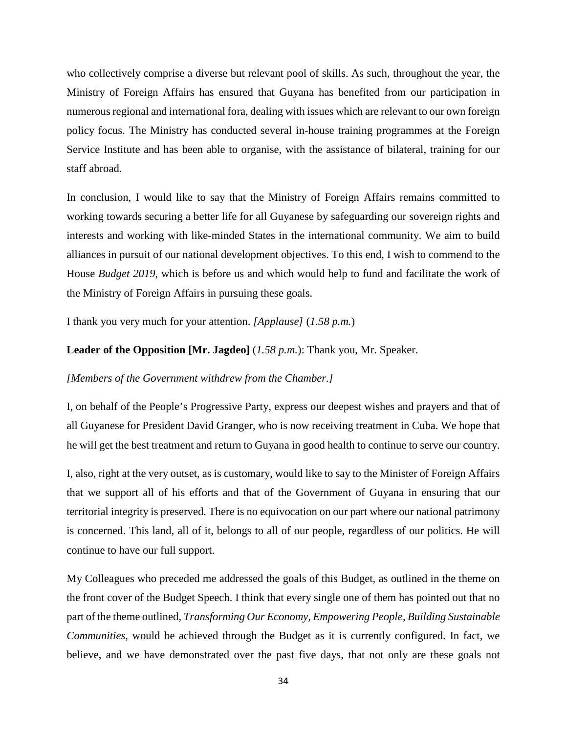who collectively comprise a diverse but relevant pool of skills. As such, throughout the year, the Ministry of Foreign Affairs has ensured that Guyana has benefited from our participation in numerous regional and international fora, dealing with issues which are relevant to our own foreign policy focus. The Ministry has conducted several in-house training programmes at the Foreign Service Institute and has been able to organise, with the assistance of bilateral, training for our staff abroad.

In conclusion, I would like to say that the Ministry of Foreign Affairs remains committed to working towards securing a better life for all Guyanese by safeguarding our sovereign rights and interests and working with like-minded States in the international community. We aim to build alliances in pursuit of our national development objectives. To this end, I wish to commend to the House *Budget 2019*, which is before us and which would help to fund and facilitate the work of the Ministry of Foreign Affairs in pursuing these goals.

I thank you very much for your attention. *[Applause]* (*1.58 p.m.*)

### **Leader of the Opposition [Mr. Jagdeo]** (*1.58 p.m.*): Thank you, Mr. Speaker.

#### *[Members of the Government withdrew from the Chamber.]*

I, on behalf of the People's Progressive Party, express our deepest wishes and prayers and that of all Guyanese for President David Granger, who is now receiving treatment in Cuba. We hope that he will get the best treatment and return to Guyana in good health to continue to serve our country.

I, also, right at the very outset, as is customary, would like to say to the Minister of Foreign Affairs that we support all of his efforts and that of the Government of Guyana in ensuring that our territorial integrity is preserved. There is no equivocation on our part where our national patrimony is concerned. This land, all of it, belongs to all of our people, regardless of our politics. He will continue to have our full support.

My Colleagues who preceded me addressed the goals of this Budget, as outlined in the theme on the front cover of the Budget Speech. I think that every single one of them has pointed out that no part of the theme outlined, *Transforming Our Economy, Empowering People, Building Sustainable Communities,* would be achieved through the Budget as it is currently configured. In fact, we believe, and we have demonstrated over the past five days, that not only are these goals not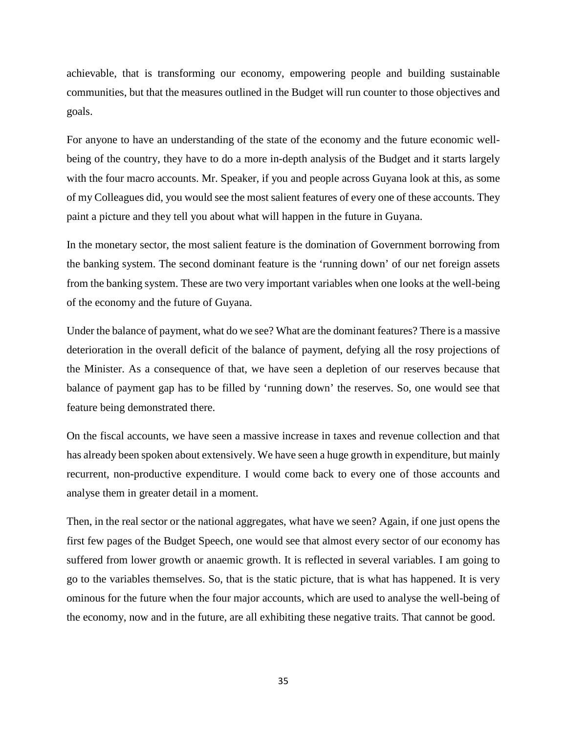achievable, that is transforming our economy, empowering people and building sustainable communities, but that the measures outlined in the Budget will run counter to those objectives and goals.

For anyone to have an understanding of the state of the economy and the future economic wellbeing of the country, they have to do a more in-depth analysis of the Budget and it starts largely with the four macro accounts. Mr. Speaker, if you and people across Guyana look at this, as some of my Colleagues did, you would see the most salient features of every one of these accounts. They paint a picture and they tell you about what will happen in the future in Guyana.

In the monetary sector, the most salient feature is the domination of Government borrowing from the banking system. The second dominant feature is the 'running down' of our net foreign assets from the banking system. These are two very important variables when one looks at the well-being of the economy and the future of Guyana.

Under the balance of payment, what do we see? What are the dominant features? There is a massive deterioration in the overall deficit of the balance of payment, defying all the rosy projections of the Minister. As a consequence of that, we have seen a depletion of our reserves because that balance of payment gap has to be filled by 'running down' the reserves. So, one would see that feature being demonstrated there.

On the fiscal accounts, we have seen a massive increase in taxes and revenue collection and that has already been spoken about extensively. We have seen a huge growth in expenditure, but mainly recurrent, non-productive expenditure. I would come back to every one of those accounts and analyse them in greater detail in a moment.

Then, in the real sector or the national aggregates, what have we seen? Again, if one just opens the first few pages of the Budget Speech, one would see that almost every sector of our economy has suffered from lower growth or anaemic growth. It is reflected in several variables. I am going to go to the variables themselves. So, that is the static picture, that is what has happened. It is very ominous for the future when the four major accounts, which are used to analyse the well-being of the economy, now and in the future, are all exhibiting these negative traits. That cannot be good.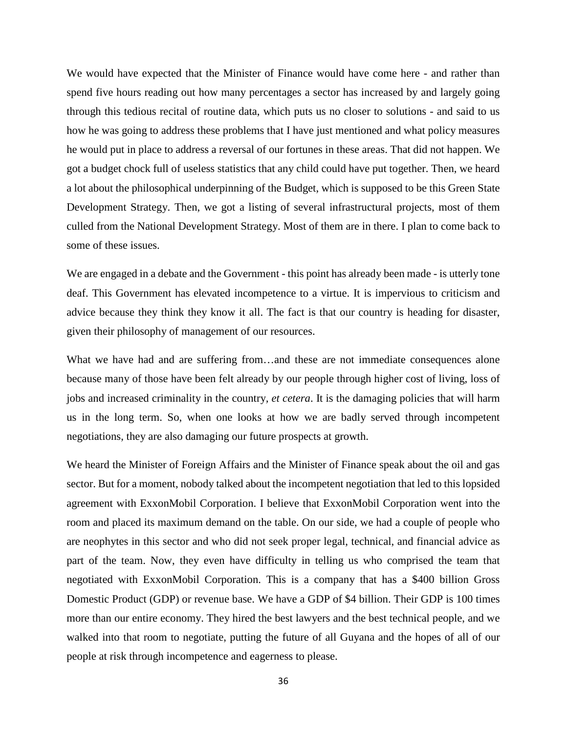We would have expected that the Minister of Finance would have come here - and rather than spend five hours reading out how many percentages a sector has increased by and largely going through this tedious recital of routine data, which puts us no closer to solutions - and said to us how he was going to address these problems that I have just mentioned and what policy measures he would put in place to address a reversal of our fortunes in these areas. That did not happen. We got a budget chock full of useless statistics that any child could have put together. Then, we heard a lot about the philosophical underpinning of the Budget, which is supposed to be this Green State Development Strategy. Then, we got a listing of several infrastructural projects, most of them culled from the National Development Strategy. Most of them are in there. I plan to come back to some of these issues.

We are engaged in a debate and the Government - this point has already been made - is utterly tone deaf. This Government has elevated incompetence to a virtue. It is impervious to criticism and advice because they think they know it all. The fact is that our country is heading for disaster, given their philosophy of management of our resources.

What we have had and are suffering from...and these are not immediate consequences alone because many of those have been felt already by our people through higher cost of living, loss of jobs and increased criminality in the country*, et cetera*. It is the damaging policies that will harm us in the long term. So, when one looks at how we are badly served through incompetent negotiations, they are also damaging our future prospects at growth.

We heard the Minister of Foreign Affairs and the Minister of Finance speak about the oil and gas sector. But for a moment, nobody talked about the incompetent negotiation that led to this lopsided agreement with ExxonMobil Corporation. I believe that ExxonMobil Corporation went into the room and placed its maximum demand on the table. On our side, we had a couple of people who are neophytes in this sector and who did not seek proper legal, technical, and financial advice as part of the team. Now, they even have difficulty in telling us who comprised the team that negotiated with ExxonMobil Corporation. This is a company that has a \$400 billion Gross Domestic Product (GDP) or revenue base. We have a GDP of \$4 billion. Their GDP is 100 times more than our entire economy. They hired the best lawyers and the best technical people, and we walked into that room to negotiate, putting the future of all Guyana and the hopes of all of our people at risk through incompetence and eagerness to please.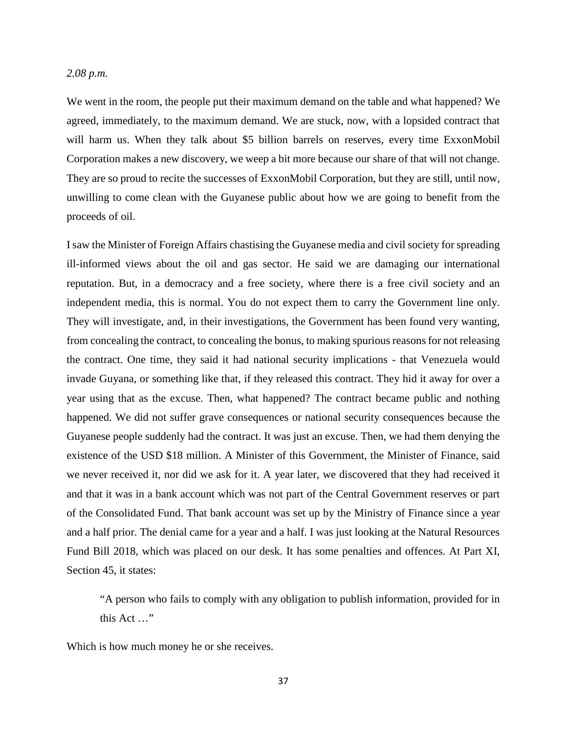#### *2.08 p.m.*

We went in the room, the people put their maximum demand on the table and what happened? We agreed, immediately, to the maximum demand. We are stuck, now, with a lopsided contract that will harm us. When they talk about \$5 billion barrels on reserves, every time ExxonMobil Corporation makes a new discovery, we weep a bit more because our share of that will not change. They are so proud to recite the successes of ExxonMobil Corporation, but they are still, until now, unwilling to come clean with the Guyanese public about how we are going to benefit from the proceeds of oil.

I saw the Minister of Foreign Affairs chastising the Guyanese media and civil society for spreading ill-informed views about the oil and gas sector. He said we are damaging our international reputation. But, in a democracy and a free society, where there is a free civil society and an independent media, this is normal. You do not expect them to carry the Government line only. They will investigate, and, in their investigations, the Government has been found very wanting, from concealing the contract, to concealing the bonus, to making spurious reasons for not releasing the contract. One time, they said it had national security implications - that Venezuela would invade Guyana, or something like that, if they released this contract. They hid it away for over a year using that as the excuse. Then, what happened? The contract became public and nothing happened. We did not suffer grave consequences or national security consequences because the Guyanese people suddenly had the contract. It was just an excuse. Then, we had them denying the existence of the USD \$18 million. A Minister of this Government, the Minister of Finance, said we never received it, nor did we ask for it. A year later, we discovered that they had received it and that it was in a bank account which was not part of the Central Government reserves or part of the Consolidated Fund. That bank account was set up by the Ministry of Finance since a year and a half prior. The denial came for a year and a half. I was just looking at the Natural Resources Fund Bill 2018, which was placed on our desk. It has some penalties and offences. At Part XI, Section 45, it states:

"A person who fails to comply with any obligation to publish information, provided for in this Act …"

Which is how much money he or she receives.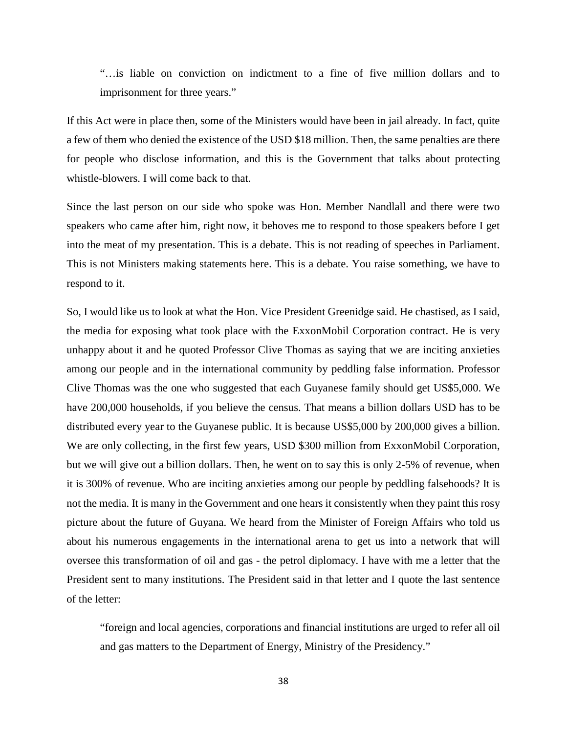"…is liable on conviction on indictment to a fine of five million dollars and to imprisonment for three years."

If this Act were in place then, some of the Ministers would have been in jail already. In fact, quite a few of them who denied the existence of the USD \$18 million. Then, the same penalties are there for people who disclose information, and this is the Government that talks about protecting whistle-blowers. I will come back to that.

Since the last person on our side who spoke was Hon. Member Nandlall and there were two speakers who came after him, right now, it behoves me to respond to those speakers before I get into the meat of my presentation. This is a debate. This is not reading of speeches in Parliament. This is not Ministers making statements here. This is a debate. You raise something, we have to respond to it.

So, I would like us to look at what the Hon. Vice President Greenidge said. He chastised, as I said, the media for exposing what took place with the ExxonMobil Corporation contract. He is very unhappy about it and he quoted Professor Clive Thomas as saying that we are inciting anxieties among our people and in the international community by peddling false information. Professor Clive Thomas was the one who suggested that each Guyanese family should get US\$5,000. We have 200,000 households, if you believe the census. That means a billion dollars USD has to be distributed every year to the Guyanese public. It is because US\$5,000 by 200,000 gives a billion. We are only collecting, in the first few years, USD \$300 million from ExxonMobil Corporation, but we will give out a billion dollars. Then, he went on to say this is only 2-5% of revenue, when it is 300% of revenue. Who are inciting anxieties among our people by peddling falsehoods? It is not the media. It is many in the Government and one hears it consistently when they paint this rosy picture about the future of Guyana. We heard from the Minister of Foreign Affairs who told us about his numerous engagements in the international arena to get us into a network that will oversee this transformation of oil and gas - the petrol diplomacy. I have with me a letter that the President sent to many institutions. The President said in that letter and I quote the last sentence of the letter:

"foreign and local agencies, corporations and financial institutions are urged to refer all oil and gas matters to the Department of Energy, Ministry of the Presidency."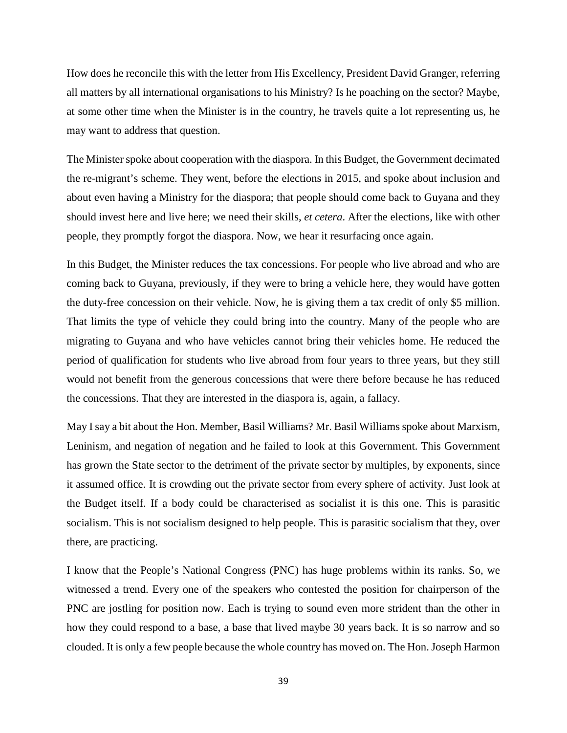How does he reconcile this with the letter from His Excellency, President David Granger, referring all matters by all international organisations to his Ministry? Is he poaching on the sector? Maybe, at some other time when the Minister is in the country, he travels quite a lot representing us, he may want to address that question.

The Minister spoke about cooperation with the diaspora. In this Budget, the Government decimated the re-migrant's scheme. They went, before the elections in 2015, and spoke about inclusion and about even having a Ministry for the diaspora; that people should come back to Guyana and they should invest here and live here; we need their skills, *et cetera*. After the elections, like with other people, they promptly forgot the diaspora. Now, we hear it resurfacing once again.

In this Budget, the Minister reduces the tax concessions. For people who live abroad and who are coming back to Guyana, previously, if they were to bring a vehicle here, they would have gotten the duty-free concession on their vehicle. Now, he is giving them a tax credit of only \$5 million. That limits the type of vehicle they could bring into the country. Many of the people who are migrating to Guyana and who have vehicles cannot bring their vehicles home. He reduced the period of qualification for students who live abroad from four years to three years, but they still would not benefit from the generous concessions that were there before because he has reduced the concessions. That they are interested in the diaspora is, again, a fallacy.

May I say a bit about the Hon. Member, Basil Williams? Mr. Basil Williams spoke about Marxism, Leninism, and negation of negation and he failed to look at this Government. This Government has grown the State sector to the detriment of the private sector by multiples, by exponents, since it assumed office. It is crowding out the private sector from every sphere of activity. Just look at the Budget itself. If a body could be characterised as socialist it is this one. This is parasitic socialism. This is not socialism designed to help people. This is parasitic socialism that they, over there, are practicing.

I know that the People's National Congress (PNC) has huge problems within its ranks. So, we witnessed a trend. Every one of the speakers who contested the position for chairperson of the PNC are jostling for position now. Each is trying to sound even more strident than the other in how they could respond to a base, a base that lived maybe 30 years back. It is so narrow and so clouded. It is only a few people because the whole country has moved on. The Hon. Joseph Harmon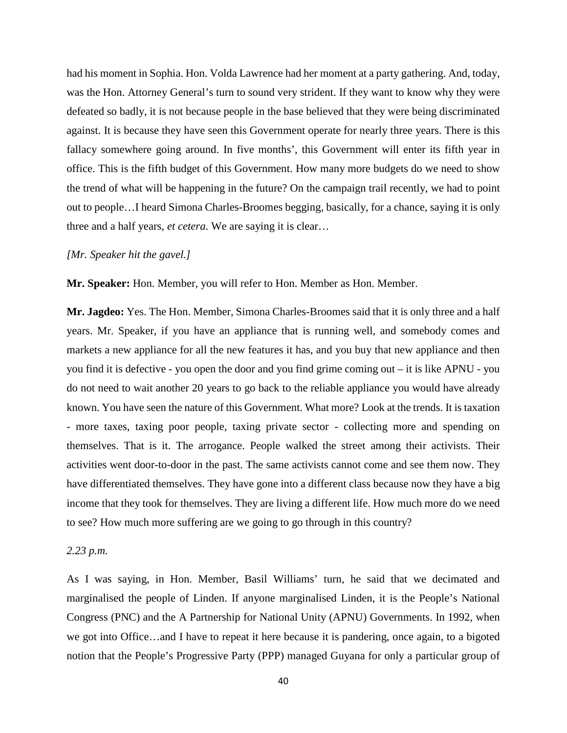had his moment in Sophia. Hon. Volda Lawrence had her moment at a party gathering. And, today, was the Hon. Attorney General's turn to sound very strident. If they want to know why they were defeated so badly, it is not because people in the base believed that they were being discriminated against. It is because they have seen this Government operate for nearly three years. There is this fallacy somewhere going around. In five months', this Government will enter its fifth year in office. This is the fifth budget of this Government. How many more budgets do we need to show the trend of what will be happening in the future? On the campaign trail recently, we had to point out to people…I heard Simona Charles-Broomes begging, basically, for a chance, saying it is only three and a half years, *et cetera*. We are saying it is clear…

### *[Mr. Speaker hit the gavel.]*

**Mr. Speaker:** Hon. Member, you will refer to Hon. Member as Hon. Member.

**Mr. Jagdeo:** Yes. The Hon. Member, Simona Charles-Broomes said that it is only three and a half years. Mr. Speaker, if you have an appliance that is running well, and somebody comes and markets a new appliance for all the new features it has, and you buy that new appliance and then you find it is defective - you open the door and you find grime coming out – it is like APNU - you do not need to wait another 20 years to go back to the reliable appliance you would have already known. You have seen the nature of this Government. What more? Look at the trends. It is taxation - more taxes, taxing poor people, taxing private sector - collecting more and spending on themselves. That is it. The arrogance. People walked the street among their activists. Their activities went door-to-door in the past. The same activists cannot come and see them now. They have differentiated themselves. They have gone into a different class because now they have a big income that they took for themselves. They are living a different life. How much more do we need to see? How much more suffering are we going to go through in this country?

## *2.23 p.m.*

As I was saying, in Hon. Member, Basil Williams' turn, he said that we decimated and marginalised the people of Linden. If anyone marginalised Linden, it is the People's National Congress (PNC) and the A Partnership for National Unity (APNU) Governments. In 1992, when we got into Office…and I have to repeat it here because it is pandering, once again, to a bigoted notion that the People's Progressive Party (PPP) managed Guyana for only a particular group of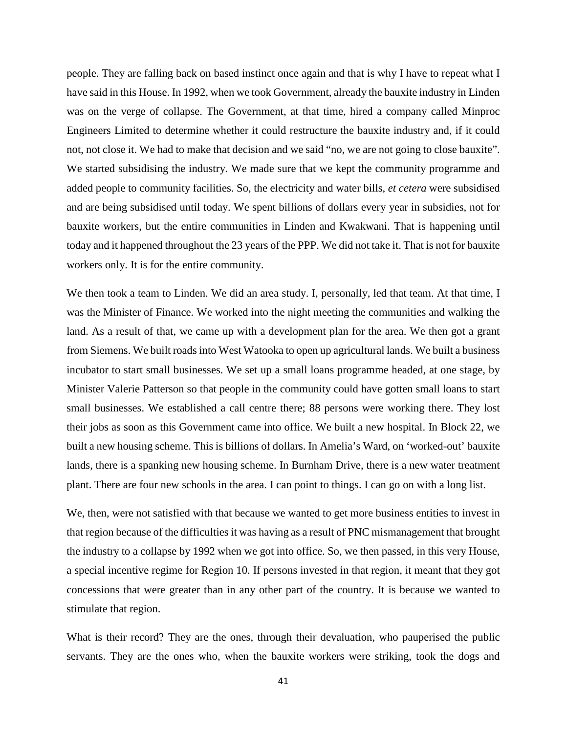people. They are falling back on based instinct once again and that is why I have to repeat what I have said in this House. In 1992, when we took Government, already the bauxite industry in Linden was on the verge of collapse. The Government, at that time, hired a company called Minproc Engineers Limited to determine whether it could restructure the bauxite industry and, if it could not, not close it. We had to make that decision and we said "no, we are not going to close bauxite". We started subsidising the industry. We made sure that we kept the community programme and added people to community facilities. So, the electricity and water bills, *et cetera* were subsidised and are being subsidised until today. We spent billions of dollars every year in subsidies, not for bauxite workers, but the entire communities in Linden and Kwakwani. That is happening until today and it happened throughout the 23 years of the PPP. We did not take it. That is not for bauxite workers only. It is for the entire community.

We then took a team to Linden. We did an area study. I, personally, led that team. At that time, I was the Minister of Finance. We worked into the night meeting the communities and walking the land. As a result of that, we came up with a development plan for the area. We then got a grant from Siemens. We built roads into West Watooka to open up agricultural lands. We built a business incubator to start small businesses. We set up a small loans programme headed, at one stage, by Minister Valerie Patterson so that people in the community could have gotten small loans to start small businesses. We established a call centre there; 88 persons were working there. They lost their jobs as soon as this Government came into office. We built a new hospital. In Block 22, we built a new housing scheme. This is billions of dollars. In Amelia's Ward, on 'worked-out' bauxite lands, there is a spanking new housing scheme. In Burnham Drive, there is a new water treatment plant. There are four new schools in the area. I can point to things. I can go on with a long list.

We, then, were not satisfied with that because we wanted to get more business entities to invest in that region because of the difficulties it was having as a result of PNC mismanagement that brought the industry to a collapse by 1992 when we got into office. So, we then passed, in this very House, a special incentive regime for Region 10. If persons invested in that region, it meant that they got concessions that were greater than in any other part of the country. It is because we wanted to stimulate that region.

What is their record? They are the ones, through their devaluation, who pauperised the public servants. They are the ones who, when the bauxite workers were striking, took the dogs and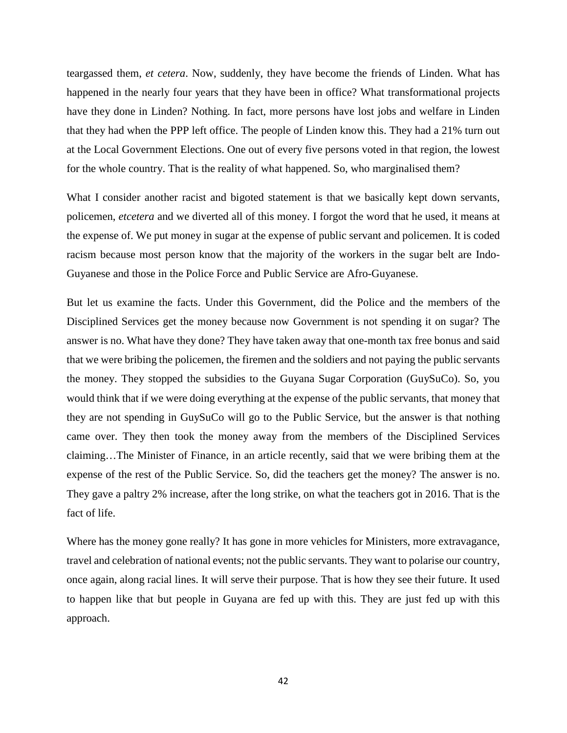teargassed them, *et cetera*. Now, suddenly, they have become the friends of Linden. What has happened in the nearly four years that they have been in office? What transformational projects have they done in Linden? Nothing. In fact, more persons have lost jobs and welfare in Linden that they had when the PPP left office. The people of Linden know this. They had a 21% turn out at the Local Government Elections. One out of every five persons voted in that region, the lowest for the whole country. That is the reality of what happened. So, who marginalised them?

What I consider another racist and bigoted statement is that we basically kept down servants, policemen, *etcetera* and we diverted all of this money. I forgot the word that he used, it means at the expense of. We put money in sugar at the expense of public servant and policemen. It is coded racism because most person know that the majority of the workers in the sugar belt are Indo-Guyanese and those in the Police Force and Public Service are Afro-Guyanese.

But let us examine the facts. Under this Government, did the Police and the members of the Disciplined Services get the money because now Government is not spending it on sugar? The answer is no. What have they done? They have taken away that one-month tax free bonus and said that we were bribing the policemen, the firemen and the soldiers and not paying the public servants the money. They stopped the subsidies to the Guyana Sugar Corporation (GuySuCo). So, you would think that if we were doing everything at the expense of the public servants, that money that they are not spending in GuySuCo will go to the Public Service, but the answer is that nothing came over. They then took the money away from the members of the Disciplined Services claiming…The Minister of Finance, in an article recently, said that we were bribing them at the expense of the rest of the Public Service. So, did the teachers get the money? The answer is no. They gave a paltry 2% increase, after the long strike, on what the teachers got in 2016. That is the fact of life.

Where has the money gone really? It has gone in more vehicles for Ministers, more extravagance, travel and celebration of national events; not the public servants. They want to polarise our country, once again, along racial lines. It will serve their purpose. That is how they see their future. It used to happen like that but people in Guyana are fed up with this. They are just fed up with this approach.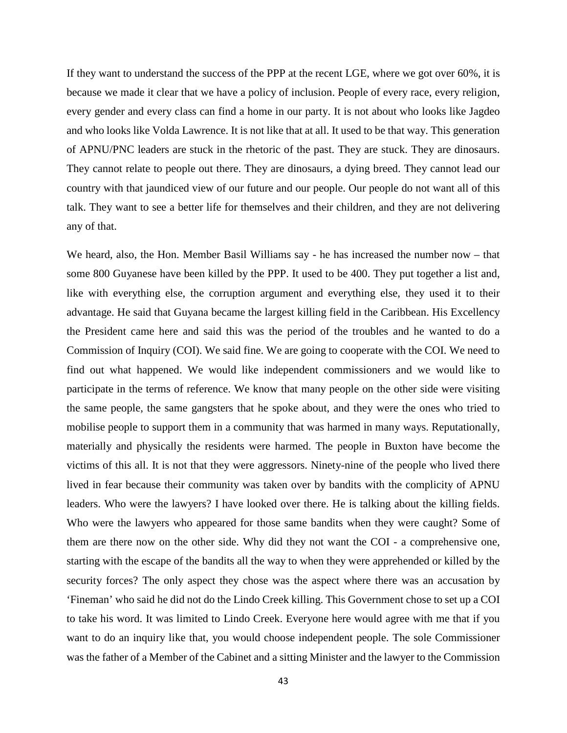If they want to understand the success of the PPP at the recent LGE, where we got over 60%, it is because we made it clear that we have a policy of inclusion. People of every race, every religion, every gender and every class can find a home in our party. It is not about who looks like Jagdeo and who looks like Volda Lawrence. It is not like that at all. It used to be that way. This generation of APNU/PNC leaders are stuck in the rhetoric of the past. They are stuck. They are dinosaurs. They cannot relate to people out there. They are dinosaurs, a dying breed. They cannot lead our country with that jaundiced view of our future and our people. Our people do not want all of this talk. They want to see a better life for themselves and their children, and they are not delivering any of that.

We heard, also, the Hon. Member Basil Williams say - he has increased the number now – that some 800 Guyanese have been killed by the PPP. It used to be 400. They put together a list and, like with everything else, the corruption argument and everything else, they used it to their advantage. He said that Guyana became the largest killing field in the Caribbean. His Excellency the President came here and said this was the period of the troubles and he wanted to do a Commission of Inquiry (COI). We said fine. We are going to cooperate with the COI. We need to find out what happened. We would like independent commissioners and we would like to participate in the terms of reference. We know that many people on the other side were visiting the same people, the same gangsters that he spoke about, and they were the ones who tried to mobilise people to support them in a community that was harmed in many ways. Reputationally, materially and physically the residents were harmed. The people in Buxton have become the victims of this all. It is not that they were aggressors. Ninety-nine of the people who lived there lived in fear because their community was taken over by bandits with the complicity of APNU leaders. Who were the lawyers? I have looked over there. He is talking about the killing fields. Who were the lawyers who appeared for those same bandits when they were caught? Some of them are there now on the other side. Why did they not want the COI - a comprehensive one, starting with the escape of the bandits all the way to when they were apprehended or killed by the security forces? The only aspect they chose was the aspect where there was an accusation by 'Fineman' who said he did not do the Lindo Creek killing. This Government chose to set up a COI to take his word. It was limited to Lindo Creek. Everyone here would agree with me that if you want to do an inquiry like that, you would choose independent people. The sole Commissioner was the father of a Member of the Cabinet and a sitting Minister and the lawyer to the Commission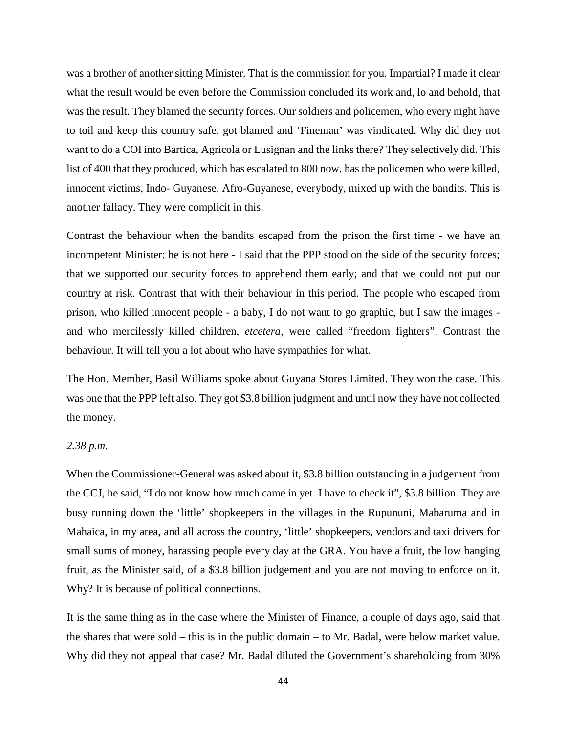was a brother of another sitting Minister. That is the commission for you. Impartial? I made it clear what the result would be even before the Commission concluded its work and, lo and behold, that was the result. They blamed the security forces. Our soldiers and policemen, who every night have to toil and keep this country safe, got blamed and 'Fineman' was vindicated. Why did they not want to do a COI into Bartica, Agricola or Lusignan and the links there? They selectively did. This list of 400 that they produced, which has escalated to 800 now, has the policemen who were killed, innocent victims, Indo- Guyanese, Afro-Guyanese, everybody, mixed up with the bandits. This is another fallacy. They were complicit in this.

Contrast the behaviour when the bandits escaped from the prison the first time - we have an incompetent Minister; he is not here - I said that the PPP stood on the side of the security forces; that we supported our security forces to apprehend them early; and that we could not put our country at risk. Contrast that with their behaviour in this period. The people who escaped from prison, who killed innocent people - a baby, I do not want to go graphic, but I saw the images and who mercilessly killed children, *etcetera,* were called "freedom fighters". Contrast the behaviour. It will tell you a lot about who have sympathies for what.

The Hon. Member, Basil Williams spoke about Guyana Stores Limited. They won the case. This was one that the PPP left also. They got \$3.8 billion judgment and until now they have not collected the money.

### *2.38 p.m.*

When the Commissioner-General was asked about it, \$3.8 billion outstanding in a judgement from the CCJ, he said, "I do not know how much came in yet. I have to check it", \$3.8 billion. They are busy running down the 'little' shopkeepers in the villages in the Rupununi, Mabaruma and in Mahaica, in my area, and all across the country, 'little' shopkeepers, vendors and taxi drivers for small sums of money, harassing people every day at the GRA. You have a fruit, the low hanging fruit, as the Minister said, of a \$3.8 billion judgement and you are not moving to enforce on it. Why? It is because of political connections.

It is the same thing as in the case where the Minister of Finance, a couple of days ago, said that the shares that were sold – this is in the public domain – to Mr. Badal, were below market value. Why did they not appeal that case? Mr. Badal diluted the Government's shareholding from 30%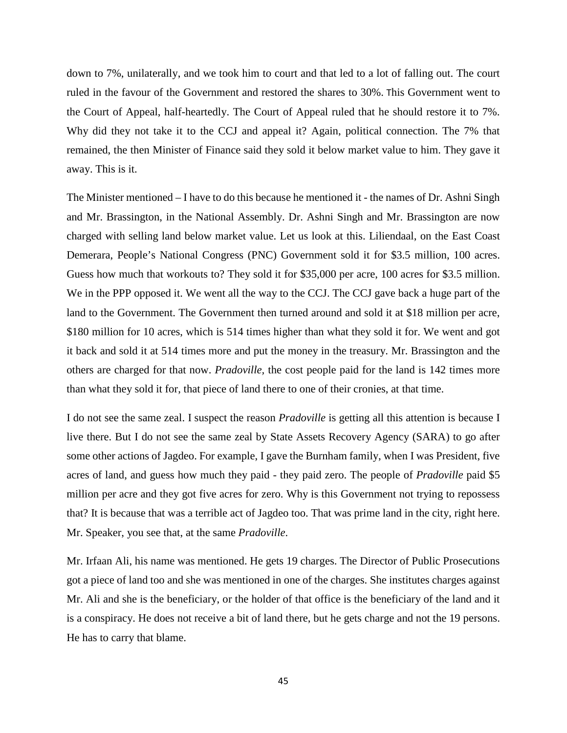down to 7%, unilaterally, and we took him to court and that led to a lot of falling out. The court ruled in the favour of the Government and restored the shares to 30%. This Government went to the Court of Appeal, half-heartedly. The Court of Appeal ruled that he should restore it to 7%. Why did they not take it to the CCJ and appeal it? Again, political connection. The 7% that remained, the then Minister of Finance said they sold it below market value to him. They gave it away. This is it.

The Minister mentioned – I have to do this because he mentioned it - the names of Dr. Ashni Singh and Mr. Brassington, in the National Assembly. Dr. Ashni Singh and Mr. Brassington are now charged with selling land below market value. Let us look at this. Liliendaal, on the East Coast Demerara, People's National Congress (PNC) Government sold it for \$3.5 million, 100 acres. Guess how much that workouts to? They sold it for \$35,000 per acre, 100 acres for \$3.5 million. We in the PPP opposed it. We went all the way to the CCJ. The CCJ gave back a huge part of the land to the Government. The Government then turned around and sold it at \$18 million per acre, \$180 million for 10 acres, which is 514 times higher than what they sold it for. We went and got it back and sold it at 514 times more and put the money in the treasury. Mr. Brassington and the others are charged for that now. *Pradoville,* the cost people paid for the land is 142 times more than what they sold it for, that piece of land there to one of their cronies, at that time.

I do not see the same zeal. I suspect the reason *Pradoville* is getting all this attention is because I live there. But I do not see the same zeal by State Assets Recovery Agency (SARA) to go after some other actions of Jagdeo. For example, I gave the Burnham family, when I was President, five acres of land, and guess how much they paid - they paid zero. The people of *Pradoville* paid \$5 million per acre and they got five acres for zero. Why is this Government not trying to repossess that? It is because that was a terrible act of Jagdeo too. That was prime land in the city, right here. Mr. Speaker, you see that, at the same *Pradoville*.

Mr. Irfaan Ali, his name was mentioned. He gets 19 charges. The Director of Public Prosecutions got a piece of land too and she was mentioned in one of the charges. She institutes charges against Mr. Ali and she is the beneficiary, or the holder of that office is the beneficiary of the land and it is a conspiracy. He does not receive a bit of land there, but he gets charge and not the 19 persons. He has to carry that blame.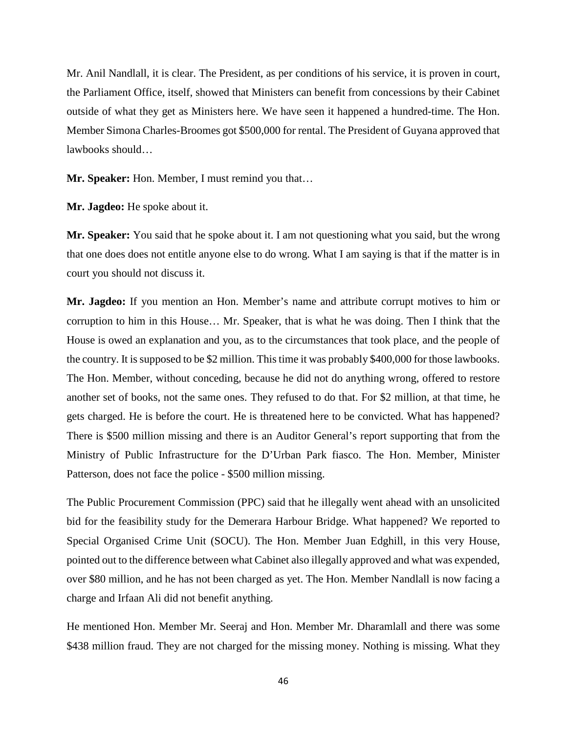Mr. Anil Nandlall, it is clear. The President, as per conditions of his service, it is proven in court, the Parliament Office, itself, showed that Ministers can benefit from concessions by their Cabinet outside of what they get as Ministers here. We have seen it happened a hundred-time. The Hon. Member Simona Charles-Broomes got \$500,000 for rental. The President of Guyana approved that lawbooks should…

**Mr. Speaker:** Hon. Member, I must remind you that…

**Mr. Jagdeo:** He spoke about it.

**Mr. Speaker:** You said that he spoke about it. I am not questioning what you said, but the wrong that one does does not entitle anyone else to do wrong. What I am saying is that if the matter is in court you should not discuss it.

**Mr. Jagdeo:** If you mention an Hon. Member's name and attribute corrupt motives to him or corruption to him in this House… Mr. Speaker, that is what he was doing. Then I think that the House is owed an explanation and you, as to the circumstances that took place, and the people of the country. It is supposed to be \$2 million. This time it was probably \$400,000 for those lawbooks. The Hon. Member, without conceding, because he did not do anything wrong, offered to restore another set of books, not the same ones. They refused to do that. For \$2 million, at that time, he gets charged. He is before the court. He is threatened here to be convicted. What has happened? There is \$500 million missing and there is an Auditor General's report supporting that from the Ministry of Public Infrastructure for the D'Urban Park fiasco. The Hon. Member, Minister Patterson, does not face the police - \$500 million missing.

The Public Procurement Commission (PPC) said that he illegally went ahead with an unsolicited bid for the feasibility study for the Demerara Harbour Bridge. What happened? We reported to Special Organised Crime Unit (SOCU). The Hon. Member Juan Edghill, in this very House, pointed out to the difference between what Cabinet also illegally approved and what was expended, over \$80 million, and he has not been charged as yet. The Hon. Member Nandlall is now facing a charge and Irfaan Ali did not benefit anything.

He mentioned Hon. Member Mr. Seeraj and Hon. Member Mr. Dharamlall and there was some \$438 million fraud. They are not charged for the missing money. Nothing is missing. What they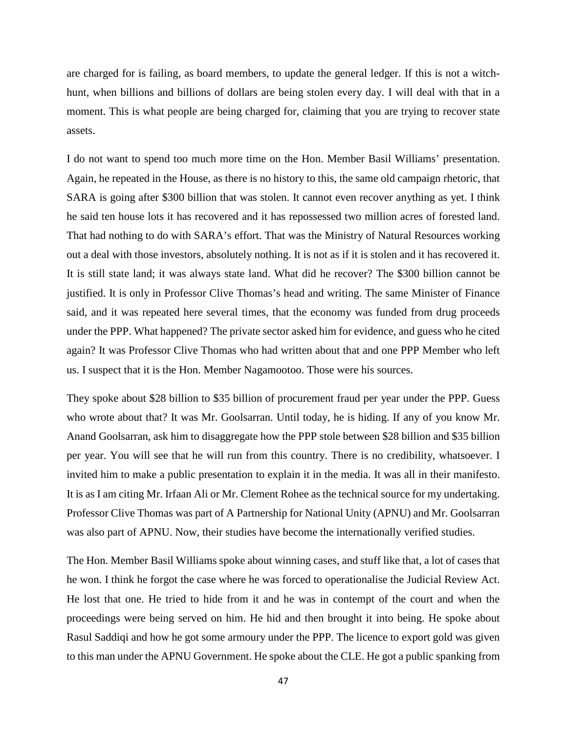are charged for is failing, as board members, to update the general ledger. If this is not a witchhunt, when billions and billions of dollars are being stolen every day. I will deal with that in a moment. This is what people are being charged for, claiming that you are trying to recover state assets.

I do not want to spend too much more time on the Hon. Member Basil Williams' presentation. Again, he repeated in the House, as there is no history to this, the same old campaign rhetoric, that SARA is going after \$300 billion that was stolen. It cannot even recover anything as yet. I think he said ten house lots it has recovered and it has repossessed two million acres of forested land. That had nothing to do with SARA's effort. That was the Ministry of Natural Resources working out a deal with those investors, absolutely nothing. It is not as if it is stolen and it has recovered it. It is still state land; it was always state land. What did he recover? The \$300 billion cannot be justified. It is only in Professor Clive Thomas's head and writing. The same Minister of Finance said, and it was repeated here several times, that the economy was funded from drug proceeds under the PPP. What happened? The private sector asked him for evidence, and guess who he cited again? It was Professor Clive Thomas who had written about that and one PPP Member who left us. I suspect that it is the Hon. Member Nagamootoo. Those were his sources.

They spoke about \$28 billion to \$35 billion of procurement fraud per year under the PPP. Guess who wrote about that? It was Mr. Goolsarran. Until today, he is hiding. If any of you know Mr. Anand Goolsarran, ask him to disaggregate how the PPP stole between \$28 billion and \$35 billion per year. You will see that he will run from this country. There is no credibility, whatsoever. I invited him to make a public presentation to explain it in the media. It was all in their manifesto. It is as I am citing Mr. Irfaan Ali or Mr. Clement Rohee as the technical source for my undertaking. Professor Clive Thomas was part of A Partnership for National Unity (APNU) and Mr. Goolsarran was also part of APNU. Now, their studies have become the internationally verified studies.

The Hon. Member Basil Williams spoke about winning cases, and stuff like that, a lot of cases that he won. I think he forgot the case where he was forced to operationalise the Judicial Review Act. He lost that one. He tried to hide from it and he was in contempt of the court and when the proceedings were being served on him. He hid and then brought it into being. He spoke about Rasul Saddiqi and how he got some armoury under the PPP. The licence to export gold was given to this man under the APNU Government. He spoke about the CLE. He got a public spanking from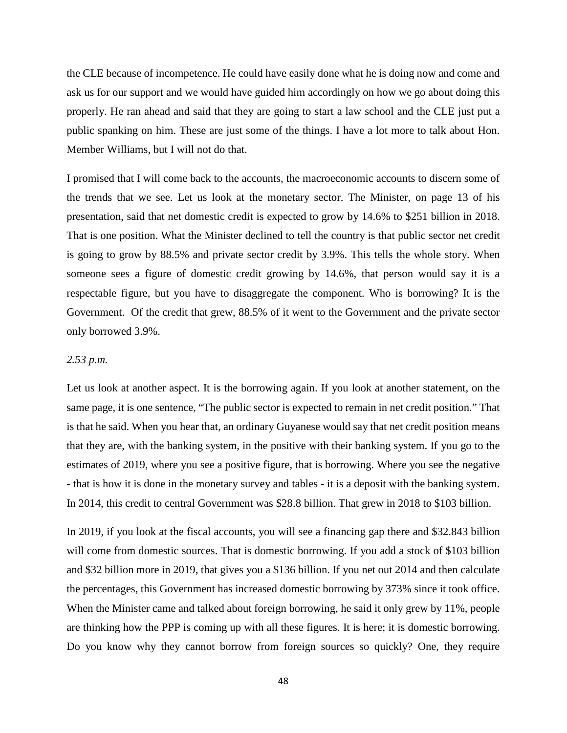the CLE because of incompetence. He could have easily done what he is doing now and come and ask us for our support and we would have guided him accordingly on how we go about doing this properly. He ran ahead and said that they are going to start a law school and the CLE just put a public spanking on him. These are just some of the things. I have a lot more to talk about Hon. Member Williams, but I will not do that.

I promised that I will come back to the accounts, the macroeconomic accounts to discern some of the trends that we see. Let us look at the monetary sector. The Minister, on page 13 of his presentation, said that net domestic credit is expected to grow by 14.6% to \$251 billion in 2018. That is one position. What the Minister declined to tell the country is that public sector net credit is going to grow by 88.5% and private sector credit by 3.9%. This tells the whole story. When someone sees a figure of domestic credit growing by 14.6%, that person would say it is a respectable figure, but you have to disaggregate the component. Who is borrowing? It is the Government. Of the credit that grew, 88.5% of it went to the Government and the private sector only borrowed 3.9%.

## *2.53 p.m.*

Let us look at another aspect. It is the borrowing again. If you look at another statement, on the same page, it is one sentence, "The public sector is expected to remain in net credit position." That is that he said. When you hear that, an ordinary Guyanese would say that net credit position means that they are, with the banking system, in the positive with their banking system. If you go to the estimates of 2019, where you see a positive figure, that is borrowing. Where you see the negative - that is how it is done in the monetary survey and tables - it is a deposit with the banking system. In 2014, this credit to central Government was \$28.8 billion. That grew in 2018 to \$103 billion.

In 2019, if you look at the fiscal accounts, you will see a financing gap there and \$32.843 billion will come from domestic sources. That is domestic borrowing. If you add a stock of \$103 billion and \$32 billion more in 2019, that gives you a \$136 billion. If you net out 2014 and then calculate the percentages, this Government has increased domestic borrowing by 373% since it took office. When the Minister came and talked about foreign borrowing, he said it only grew by 11%, people are thinking how the PPP is coming up with all these figures. It is here; it is domestic borrowing. Do you know why they cannot borrow from foreign sources so quickly? One, they require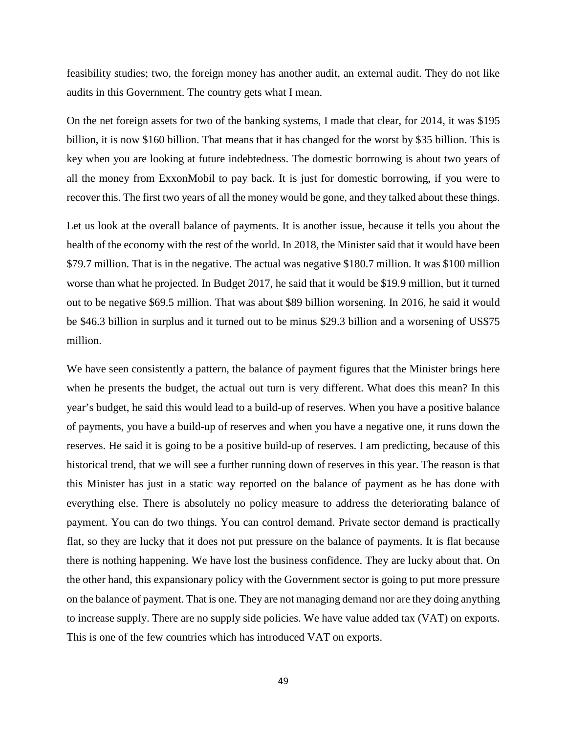feasibility studies; two, the foreign money has another audit, an external audit. They do not like audits in this Government. The country gets what I mean.

On the net foreign assets for two of the banking systems, I made that clear, for 2014, it was \$195 billion, it is now \$160 billion. That means that it has changed for the worst by \$35 billion. This is key when you are looking at future indebtedness. The domestic borrowing is about two years of all the money from ExxonMobil to pay back. It is just for domestic borrowing, if you were to recover this. The first two years of all the money would be gone, and they talked about these things.

Let us look at the overall balance of payments. It is another issue, because it tells you about the health of the economy with the rest of the world. In 2018, the Minister said that it would have been \$79.7 million. That is in the negative. The actual was negative \$180.7 million. It was \$100 million worse than what he projected. In Budget 2017, he said that it would be \$19.9 million, but it turned out to be negative \$69.5 million. That was about \$89 billion worsening. In 2016, he said it would be \$46.3 billion in surplus and it turned out to be minus \$29.3 billion and a worsening of US\$75 million.

We have seen consistently a pattern, the balance of payment figures that the Minister brings here when he presents the budget, the actual out turn is very different. What does this mean? In this year's budget, he said this would lead to a build-up of reserves. When you have a positive balance of payments, you have a build-up of reserves and when you have a negative one, it runs down the reserves. He said it is going to be a positive build-up of reserves. I am predicting, because of this historical trend, that we will see a further running down of reserves in this year. The reason is that this Minister has just in a static way reported on the balance of payment as he has done with everything else. There is absolutely no policy measure to address the deteriorating balance of payment. You can do two things. You can control demand. Private sector demand is practically flat, so they are lucky that it does not put pressure on the balance of payments. It is flat because there is nothing happening. We have lost the business confidence. They are lucky about that. On the other hand, this expansionary policy with the Government sector is going to put more pressure on the balance of payment. That is one. They are not managing demand nor are they doing anything to increase supply. There are no supply side policies. We have value added tax (VAT) on exports. This is one of the few countries which has introduced VAT on exports.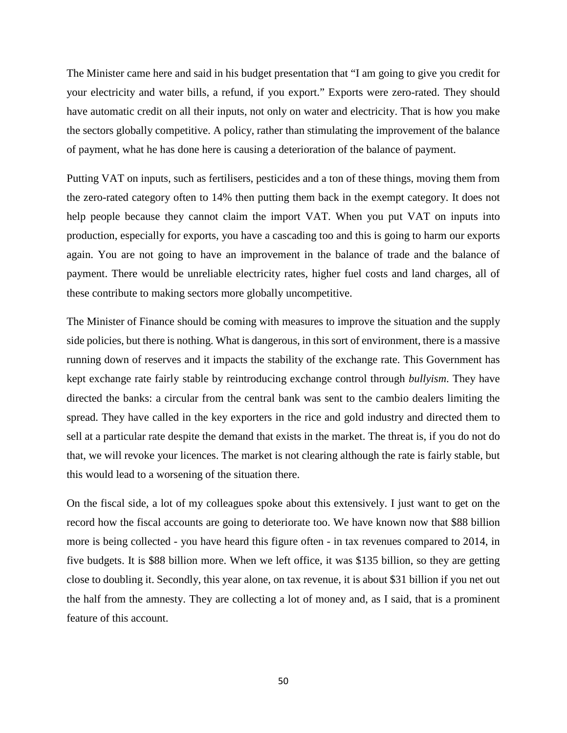The Minister came here and said in his budget presentation that "I am going to give you credit for your electricity and water bills, a refund, if you export." Exports were zero-rated. They should have automatic credit on all their inputs, not only on water and electricity. That is how you make the sectors globally competitive. A policy, rather than stimulating the improvement of the balance of payment, what he has done here is causing a deterioration of the balance of payment.

Putting VAT on inputs, such as fertilisers, pesticides and a ton of these things, moving them from the zero-rated category often to 14% then putting them back in the exempt category. It does not help people because they cannot claim the import VAT. When you put VAT on inputs into production, especially for exports, you have a cascading too and this is going to harm our exports again. You are not going to have an improvement in the balance of trade and the balance of payment. There would be unreliable electricity rates, higher fuel costs and land charges, all of these contribute to making sectors more globally uncompetitive.

The Minister of Finance should be coming with measures to improve the situation and the supply side policies, but there is nothing. What is dangerous, in this sort of environment, there is a massive running down of reserves and it impacts the stability of the exchange rate. This Government has kept exchange rate fairly stable by reintroducing exchange control through *bullyism*. They have directed the banks: a circular from the central bank was sent to the cambio dealers limiting the spread. They have called in the key exporters in the rice and gold industry and directed them to sell at a particular rate despite the demand that exists in the market. The threat is, if you do not do that, we will revoke your licences. The market is not clearing although the rate is fairly stable, but this would lead to a worsening of the situation there.

On the fiscal side, a lot of my colleagues spoke about this extensively. I just want to get on the record how the fiscal accounts are going to deteriorate too. We have known now that \$88 billion more is being collected - you have heard this figure often - in tax revenues compared to 2014, in five budgets. It is \$88 billion more. When we left office, it was \$135 billion, so they are getting close to doubling it. Secondly, this year alone, on tax revenue, it is about \$31 billion if you net out the half from the amnesty. They are collecting a lot of money and, as I said, that is a prominent feature of this account.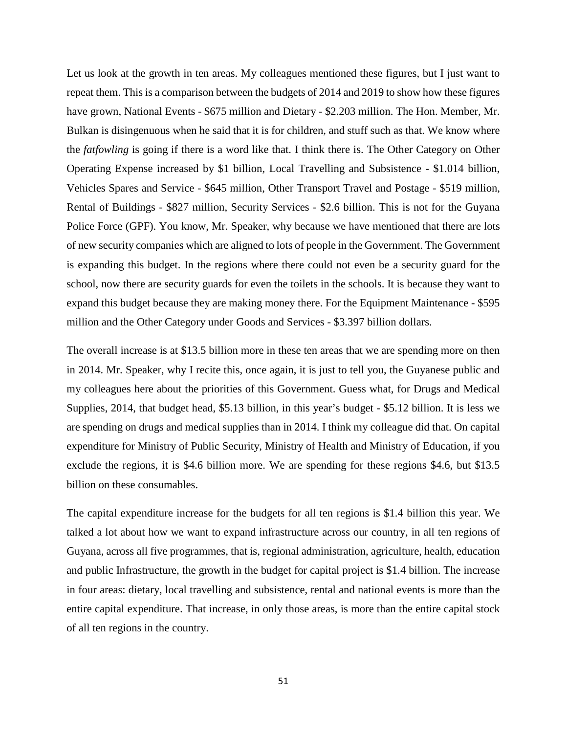Let us look at the growth in ten areas. My colleagues mentioned these figures, but I just want to repeat them. This is a comparison between the budgets of 2014 and 2019 to show how these figures have grown, National Events - \$675 million and Dietary - \$2.203 million. The Hon. Member, Mr. Bulkan is disingenuous when he said that it is for children, and stuff such as that. We know where the *fatfowling* is going if there is a word like that. I think there is. The Other Category on Other Operating Expense increased by \$1 billion, Local Travelling and Subsistence - \$1.014 billion, Vehicles Spares and Service - \$645 million, Other Transport Travel and Postage - \$519 million, Rental of Buildings - \$827 million, Security Services - \$2.6 billion. This is not for the Guyana Police Force (GPF). You know, Mr. Speaker, why because we have mentioned that there are lots of new security companies which are aligned to lots of people in the Government. The Government is expanding this budget. In the regions where there could not even be a security guard for the school, now there are security guards for even the toilets in the schools. It is because they want to expand this budget because they are making money there. For the Equipment Maintenance - \$595 million and the Other Category under Goods and Services - \$3.397 billion dollars.

The overall increase is at \$13.5 billion more in these ten areas that we are spending more on then in 2014. Mr. Speaker, why I recite this, once again, it is just to tell you, the Guyanese public and my colleagues here about the priorities of this Government. Guess what, for Drugs and Medical Supplies, 2014, that budget head, \$5.13 billion, in this year's budget - \$5.12 billion. It is less we are spending on drugs and medical supplies than in 2014. I think my colleague did that. On capital expenditure for Ministry of Public Security, Ministry of Health and Ministry of Education, if you exclude the regions, it is \$4.6 billion more. We are spending for these regions \$4.6, but \$13.5 billion on these consumables.

The capital expenditure increase for the budgets for all ten regions is \$1.4 billion this year. We talked a lot about how we want to expand infrastructure across our country, in all ten regions of Guyana, across all five programmes, that is, regional administration, agriculture, health, education and public Infrastructure, the growth in the budget for capital project is \$1.4 billion. The increase in four areas: dietary, local travelling and subsistence, rental and national events is more than the entire capital expenditure. That increase, in only those areas, is more than the entire capital stock of all ten regions in the country.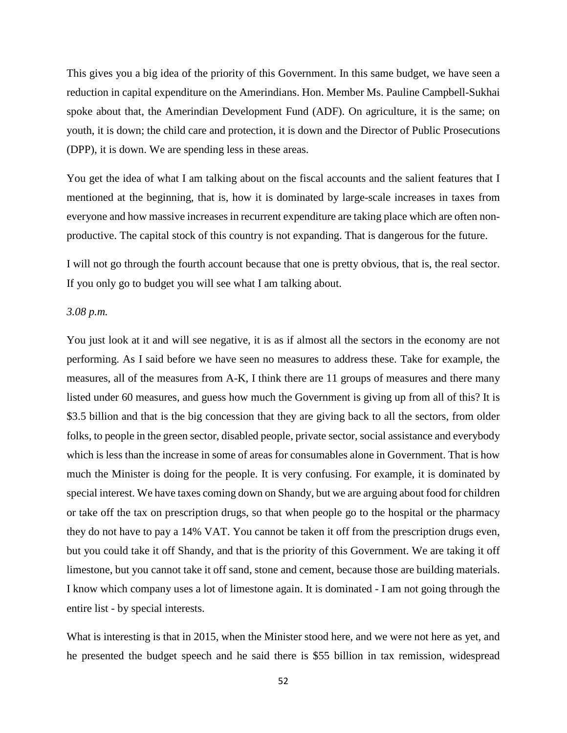This gives you a big idea of the priority of this Government. In this same budget, we have seen a reduction in capital expenditure on the Amerindians. Hon. Member Ms. Pauline Campbell-Sukhai spoke about that, the Amerindian Development Fund (ADF). On agriculture, it is the same; on youth, it is down; the child care and protection, it is down and the Director of Public Prosecutions (DPP), it is down. We are spending less in these areas.

You get the idea of what I am talking about on the fiscal accounts and the salient features that I mentioned at the beginning, that is, how it is dominated by large-scale increases in taxes from everyone and how massive increases in recurrent expenditure are taking place which are often nonproductive. The capital stock of this country is not expanding. That is dangerous for the future.

I will not go through the fourth account because that one is pretty obvious, that is, the real sector. If you only go to budget you will see what I am talking about.

## *3.08 p.m.*

You just look at it and will see negative, it is as if almost all the sectors in the economy are not performing. As I said before we have seen no measures to address these. Take for example, the measures, all of the measures from A-K, I think there are 11 groups of measures and there many listed under 60 measures, and guess how much the Government is giving up from all of this? It is \$3.5 billion and that is the big concession that they are giving back to all the sectors, from older folks, to people in the green sector, disabled people, private sector, social assistance and everybody which is less than the increase in some of areas for consumables alone in Government. That is how much the Minister is doing for the people. It is very confusing. For example, it is dominated by special interest. We have taxes coming down on Shandy, but we are arguing about food for children or take off the tax on prescription drugs, so that when people go to the hospital or the pharmacy they do not have to pay a 14% VAT. You cannot be taken it off from the prescription drugs even, but you could take it off Shandy, and that is the priority of this Government. We are taking it off limestone, but you cannot take it off sand, stone and cement, because those are building materials. I know which company uses a lot of limestone again. It is dominated - I am not going through the entire list - by special interests.

What is interesting is that in 2015, when the Minister stood here, and we were not here as yet, and he presented the budget speech and he said there is \$55 billion in tax remission, widespread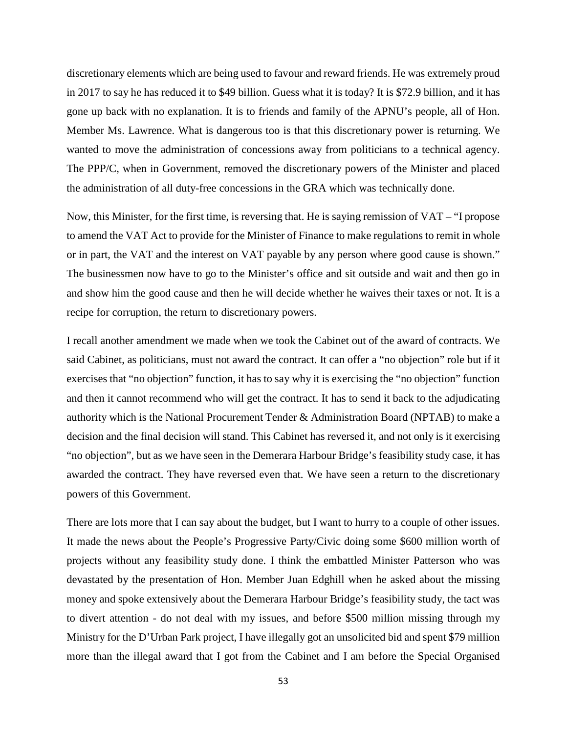discretionary elements which are being used to favour and reward friends. He was extremely proud in 2017 to say he has reduced it to \$49 billion. Guess what it is today? It is \$72.9 billion, and it has gone up back with no explanation. It is to friends and family of the APNU's people, all of Hon. Member Ms. Lawrence. What is dangerous too is that this discretionary power is returning. We wanted to move the administration of concessions away from politicians to a technical agency. The PPP/C, when in Government, removed the discretionary powers of the Minister and placed the administration of all duty-free concessions in the GRA which was technically done.

Now, this Minister, for the first time, is reversing that. He is saying remission of VAT – "I propose to amend the VAT Act to provide for the Minister of Finance to make regulations to remit in whole or in part, the VAT and the interest on VAT payable by any person where good cause is shown." The businessmen now have to go to the Minister's office and sit outside and wait and then go in and show him the good cause and then he will decide whether he waives their taxes or not. It is a recipe for corruption, the return to discretionary powers.

I recall another amendment we made when we took the Cabinet out of the award of contracts. We said Cabinet, as politicians, must not award the contract. It can offer a "no objection" role but if it exercises that "no objection" function, it has to say why it is exercising the "no objection" function and then it cannot recommend who will get the contract. It has to send it back to the adjudicating authority which is the National Procurement Tender & Administration Board (NPTAB) to make a decision and the final decision will stand. This Cabinet has reversed it, and not only is it exercising "no objection", but as we have seen in the Demerara Harbour Bridge's feasibility study case, it has awarded the contract. They have reversed even that. We have seen a return to the discretionary powers of this Government.

There are lots more that I can say about the budget, but I want to hurry to a couple of other issues. It made the news about the People's Progressive Party/Civic doing some \$600 million worth of projects without any feasibility study done. I think the embattled Minister Patterson who was devastated by the presentation of Hon. Member Juan Edghill when he asked about the missing money and spoke extensively about the Demerara Harbour Bridge's feasibility study, the tact was to divert attention - do not deal with my issues, and before \$500 million missing through my Ministry for the D'Urban Park project, I have illegally got an unsolicited bid and spent \$79 million more than the illegal award that I got from the Cabinet and I am before the Special Organised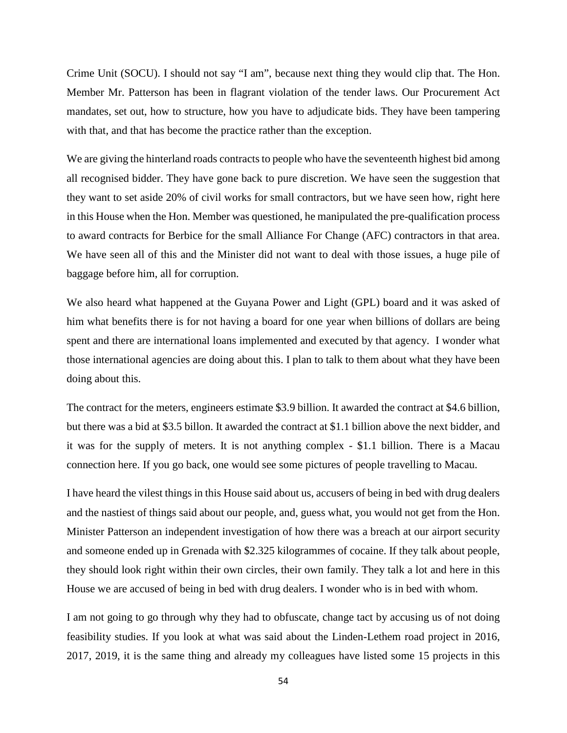Crime Unit (SOCU). I should not say "I am", because next thing they would clip that. The Hon. Member Mr. Patterson has been in flagrant violation of the tender laws. Our Procurement Act mandates, set out, how to structure, how you have to adjudicate bids. They have been tampering with that, and that has become the practice rather than the exception.

We are giving the hinterland roads contracts to people who have the seventeenth highest bid among all recognised bidder. They have gone back to pure discretion. We have seen the suggestion that they want to set aside 20% of civil works for small contractors, but we have seen how, right here in this House when the Hon. Member was questioned, he manipulated the pre-qualification process to award contracts for Berbice for the small Alliance For Change (AFC) contractors in that area. We have seen all of this and the Minister did not want to deal with those issues, a huge pile of baggage before him, all for corruption.

We also heard what happened at the Guyana Power and Light (GPL) board and it was asked of him what benefits there is for not having a board for one year when billions of dollars are being spent and there are international loans implemented and executed by that agency. I wonder what those international agencies are doing about this. I plan to talk to them about what they have been doing about this.

The contract for the meters, engineers estimate \$3.9 billion. It awarded the contract at \$4.6 billion, but there was a bid at \$3.5 billon. It awarded the contract at \$1.1 billion above the next bidder, and it was for the supply of meters. It is not anything complex - \$1.1 billion. There is a Macau connection here. If you go back, one would see some pictures of people travelling to Macau.

I have heard the vilest things in this House said about us, accusers of being in bed with drug dealers and the nastiest of things said about our people, and, guess what, you would not get from the Hon. Minister Patterson an independent investigation of how there was a breach at our airport security and someone ended up in Grenada with \$2.325 kilogrammes of cocaine. If they talk about people, they should look right within their own circles, their own family. They talk a lot and here in this House we are accused of being in bed with drug dealers. I wonder who is in bed with whom.

I am not going to go through why they had to obfuscate, change tact by accusing us of not doing feasibility studies. If you look at what was said about the Linden-Lethem road project in 2016, 2017, 2019, it is the same thing and already my colleagues have listed some 15 projects in this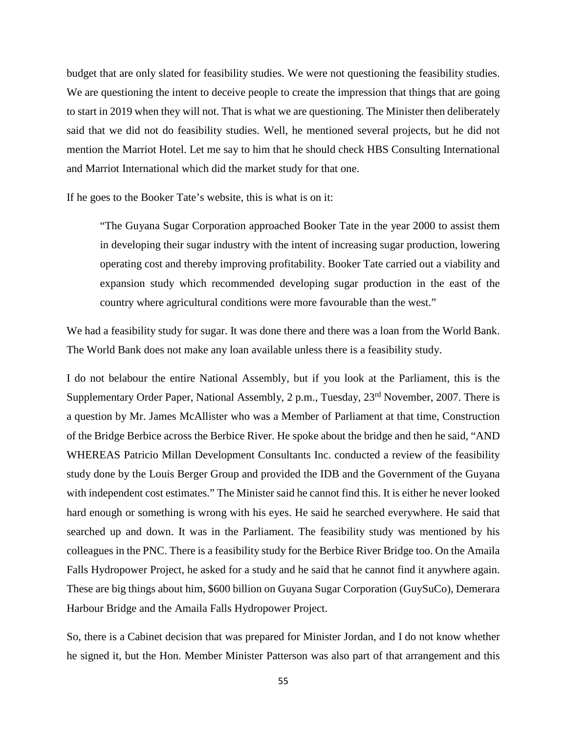budget that are only slated for feasibility studies. We were not questioning the feasibility studies. We are questioning the intent to deceive people to create the impression that things that are going to start in 2019 when they will not. That is what we are questioning. The Minister then deliberately said that we did not do feasibility studies. Well, he mentioned several projects, but he did not mention the Marriot Hotel. Let me say to him that he should check HBS Consulting International and Marriot International which did the market study for that one.

If he goes to the Booker Tate's website, this is what is on it:

"The Guyana Sugar Corporation approached Booker Tate in the year 2000 to assist them in developing their sugar industry with the intent of increasing sugar production, lowering operating cost and thereby improving profitability. Booker Tate carried out a viability and expansion study which recommended developing sugar production in the east of the country where agricultural conditions were more favourable than the west."

We had a feasibility study for sugar. It was done there and there was a loan from the World Bank. The World Bank does not make any loan available unless there is a feasibility study.

I do not belabour the entire National Assembly, but if you look at the Parliament, this is the Supplementary Order Paper, National Assembly, 2 p.m., Tuesday, 23<sup>rd</sup> November, 2007. There is a question by Mr. James McAllister who was a Member of Parliament at that time, Construction of the Bridge Berbice across the Berbice River. He spoke about the bridge and then he said, "AND WHEREAS Patricio Millan Development Consultants Inc. conducted a review of the feasibility study done by the Louis Berger Group and provided the IDB and the Government of the Guyana with independent cost estimates." The Minister said he cannot find this. It is either he never looked hard enough or something is wrong with his eyes. He said he searched everywhere. He said that searched up and down. It was in the Parliament. The feasibility study was mentioned by his colleagues in the PNC. There is a feasibility study for the Berbice River Bridge too. On the Amaila Falls Hydropower Project, he asked for a study and he said that he cannot find it anywhere again. These are big things about him, \$600 billion on Guyana Sugar Corporation (GuySuCo), Demerara Harbour Bridge and the Amaila Falls Hydropower Project.

So, there is a Cabinet decision that was prepared for Minister Jordan, and I do not know whether he signed it, but the Hon. Member Minister Patterson was also part of that arrangement and this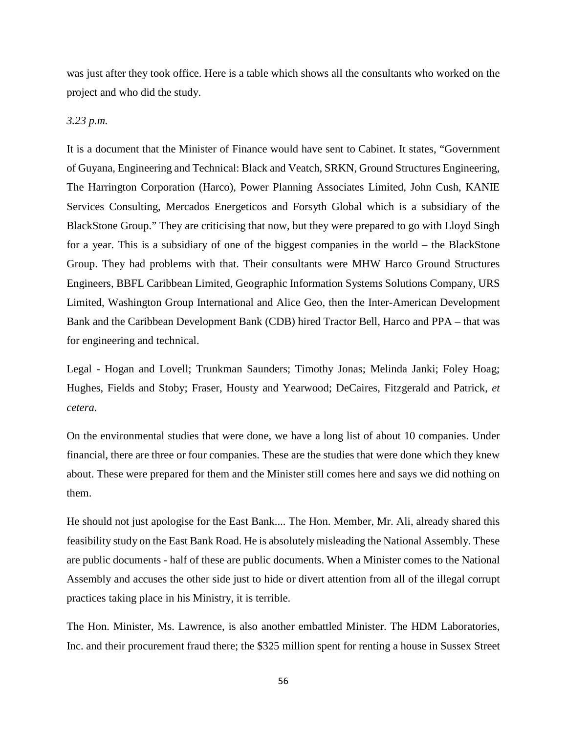was just after they took office. Here is a table which shows all the consultants who worked on the project and who did the study.

### *3.23 p.m.*

It is a document that the Minister of Finance would have sent to Cabinet. It states, "Government of Guyana, Engineering and Technical: Black and Veatch, SRKN, Ground Structures Engineering, The Harrington Corporation (Harco), Power Planning Associates Limited, John Cush, KANIE Services Consulting, Mercados Energeticos and Forsyth Global which is a subsidiary of the BlackStone Group." They are criticising that now, but they were prepared to go with Lloyd Singh for a year. This is a subsidiary of one of the biggest companies in the world – the BlackStone Group. They had problems with that. Their consultants were MHW Harco Ground Structures Engineers, BBFL Caribbean Limited, Geographic Information Systems Solutions Company, URS Limited, Washington Group International and Alice Geo, then the Inter-American Development Bank and the Caribbean Development Bank (CDB) hired Tractor Bell, Harco and PPA – that was for engineering and technical.

Legal - Hogan and Lovell; Trunkman Saunders; Timothy Jonas; Melinda Janki; Foley Hoag; Hughes, Fields and Stoby; Fraser, Housty and Yearwood; DeCaires, Fitzgerald and Patrick, *et cetera*.

On the environmental studies that were done, we have a long list of about 10 companies. Under financial, there are three or four companies. These are the studies that were done which they knew about. These were prepared for them and the Minister still comes here and says we did nothing on them.

He should not just apologise for the East Bank.... The Hon. Member, Mr. Ali, already shared this feasibility study on the East Bank Road. He is absolutely misleading the National Assembly. These are public documents - half of these are public documents. When a Minister comes to the National Assembly and accuses the other side just to hide or divert attention from all of the illegal corrupt practices taking place in his Ministry, it is terrible.

The Hon. Minister, Ms. Lawrence, is also another embattled Minister. The HDM Laboratories, Inc. and their procurement fraud there; the \$325 million spent for renting a house in Sussex Street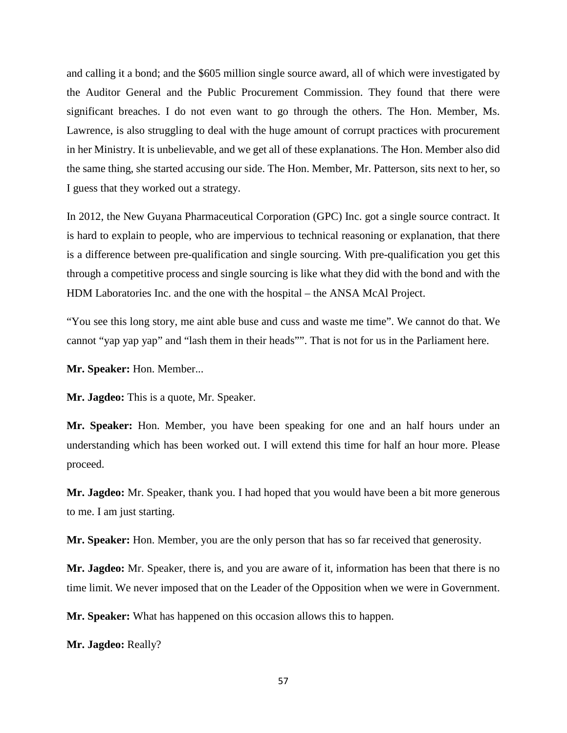and calling it a bond; and the \$605 million single source award, all of which were investigated by the Auditor General and the Public Procurement Commission. They found that there were significant breaches. I do not even want to go through the others. The Hon. Member, Ms. Lawrence, is also struggling to deal with the huge amount of corrupt practices with procurement in her Ministry. It is unbelievable, and we get all of these explanations. The Hon. Member also did the same thing, she started accusing our side. The Hon. Member, Mr. Patterson, sits next to her, so I guess that they worked out a strategy.

In 2012, the New Guyana Pharmaceutical Corporation (GPC) Inc. got a single source contract. It is hard to explain to people, who are impervious to technical reasoning or explanation, that there is a difference between pre-qualification and single sourcing. With pre-qualification you get this through a competitive process and single sourcing is like what they did with the bond and with the HDM Laboratories Inc. and the one with the hospital – the ANSA McAl Project.

"You see this long story, me aint able buse and cuss and waste me time". We cannot do that. We cannot "yap yap yap" and "lash them in their heads"". That is not for us in the Parliament here.

**Mr. Speaker:** Hon. Member...

**Mr. Jagdeo:** This is a quote, Mr. Speaker.

**Mr. Speaker:** Hon. Member, you have been speaking for one and an half hours under an understanding which has been worked out. I will extend this time for half an hour more. Please proceed.

**Mr. Jagdeo:** Mr. Speaker, thank you. I had hoped that you would have been a bit more generous to me. I am just starting.

**Mr. Speaker:** Hon. Member, you are the only person that has so far received that generosity.

**Mr. Jagdeo:** Mr. Speaker, there is, and you are aware of it, information has been that there is no time limit. We never imposed that on the Leader of the Opposition when we were in Government.

**Mr. Speaker:** What has happened on this occasion allows this to happen.

**Mr. Jagdeo:** Really?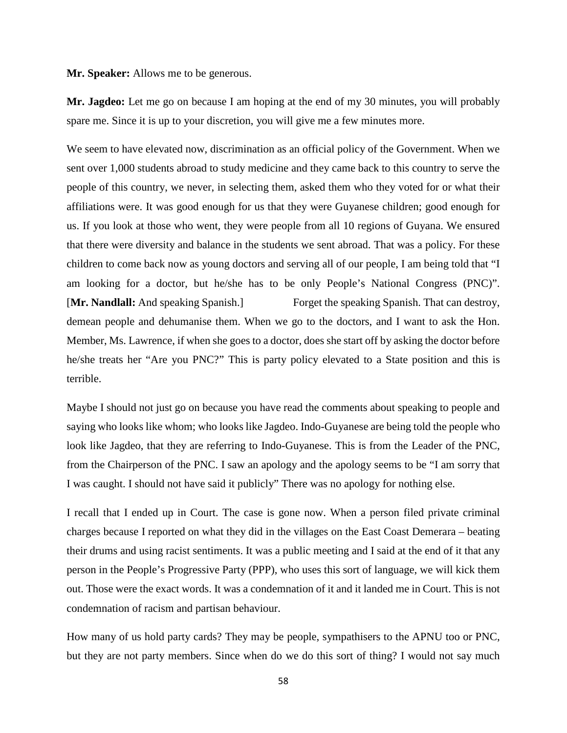**Mr. Speaker:** Allows me to be generous.

**Mr. Jagdeo:** Let me go on because I am hoping at the end of my 30 minutes, you will probably spare me. Since it is up to your discretion, you will give me a few minutes more.

We seem to have elevated now, discrimination as an official policy of the Government. When we sent over 1,000 students abroad to study medicine and they came back to this country to serve the people of this country, we never, in selecting them, asked them who they voted for or what their affiliations were. It was good enough for us that they were Guyanese children; good enough for us. If you look at those who went, they were people from all 10 regions of Guyana. We ensured that there were diversity and balance in the students we sent abroad. That was a policy. For these children to come back now as young doctors and serving all of our people, I am being told that "I am looking for a doctor, but he/she has to be only People's National Congress (PNC)". [**Mr. Nandlall:** And speaking Spanish.] Forget the speaking Spanish. That can destroy, demean people and dehumanise them. When we go to the doctors, and I want to ask the Hon. Member, Ms. Lawrence, if when she goes to a doctor, does she start off by asking the doctor before he/she treats her "Are you PNC?" This is party policy elevated to a State position and this is terrible.

Maybe I should not just go on because you have read the comments about speaking to people and saying who looks like whom; who looks like Jagdeo. Indo-Guyanese are being told the people who look like Jagdeo, that they are referring to Indo-Guyanese. This is from the Leader of the PNC, from the Chairperson of the PNC. I saw an apology and the apology seems to be "I am sorry that I was caught. I should not have said it publicly" There was no apology for nothing else.

I recall that I ended up in Court. The case is gone now. When a person filed private criminal charges because I reported on what they did in the villages on the East Coast Demerara – beating their drums and using racist sentiments. It was a public meeting and I said at the end of it that any person in the People's Progressive Party (PPP), who uses this sort of language, we will kick them out. Those were the exact words. It was a condemnation of it and it landed me in Court. This is not condemnation of racism and partisan behaviour.

How many of us hold party cards? They may be people, sympathisers to the APNU too or PNC, but they are not party members. Since when do we do this sort of thing? I would not say much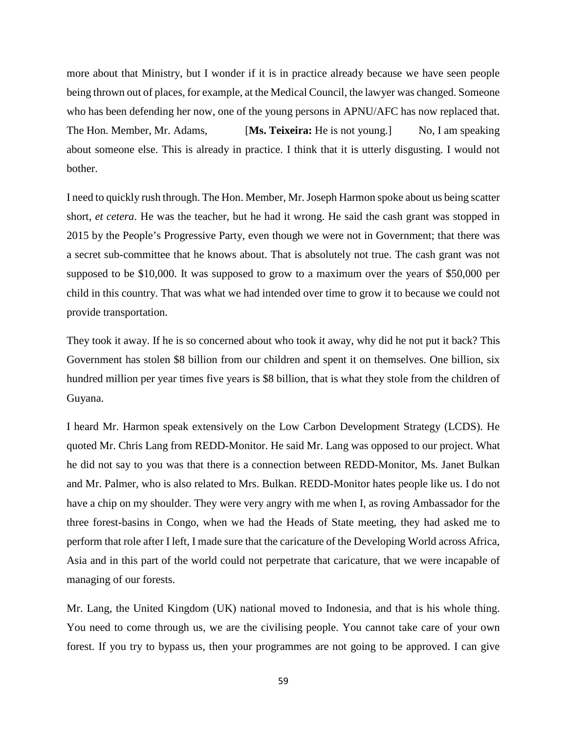more about that Ministry, but I wonder if it is in practice already because we have seen people being thrown out of places, for example, at the Medical Council, the lawyer was changed. Someone who has been defending her now, one of the young persons in APNU/AFC has now replaced that. The Hon. Member, Mr. Adams, [**Ms. Teixeira:** He is not young.] No, I am speaking about someone else. This is already in practice. I think that it is utterly disgusting. I would not bother.

I need to quickly rush through. The Hon. Member, Mr. Joseph Harmon spoke about us being scatter short, *et cetera*. He was the teacher, but he had it wrong. He said the cash grant was stopped in 2015 by the People's Progressive Party, even though we were not in Government; that there was a secret sub-committee that he knows about. That is absolutely not true. The cash grant was not supposed to be \$10,000. It was supposed to grow to a maximum over the years of \$50,000 per child in this country. That was what we had intended over time to grow it to because we could not provide transportation.

They took it away. If he is so concerned about who took it away, why did he not put it back? This Government has stolen \$8 billion from our children and spent it on themselves. One billion, six hundred million per year times five years is \$8 billion, that is what they stole from the children of Guyana.

I heard Mr. Harmon speak extensively on the Low Carbon Development Strategy (LCDS). He quoted Mr. Chris Lang from REDD-Monitor. He said Mr. Lang was opposed to our project. What he did not say to you was that there is a connection between REDD-Monitor, Ms. Janet Bulkan and Mr. Palmer, who is also related to Mrs. Bulkan. REDD-Monitor hates people like us. I do not have a chip on my shoulder. They were very angry with me when I, as roving Ambassador for the three forest-basins in Congo, when we had the Heads of State meeting, they had asked me to perform that role after I left, I made sure that the caricature of the Developing World across Africa, Asia and in this part of the world could not perpetrate that caricature, that we were incapable of managing of our forests.

Mr. Lang, the United Kingdom (UK) national moved to Indonesia, and that is his whole thing. You need to come through us, we are the civilising people. You cannot take care of your own forest. If you try to bypass us, then your programmes are not going to be approved. I can give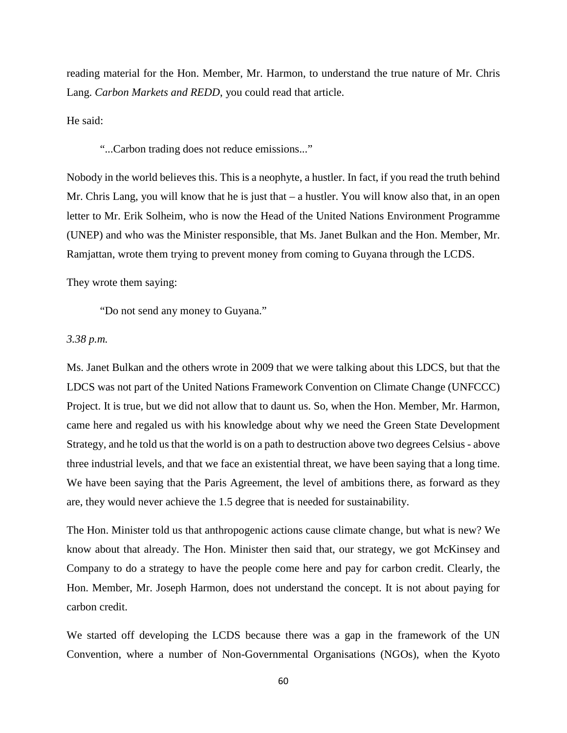reading material for the Hon. Member, Mr. Harmon, to understand the true nature of Mr. Chris Lang. *Carbon Markets and REDD*, you could read that article.

He said:

"...Carbon trading does not reduce emissions..."

Nobody in the world believes this. This is a neophyte, a hustler. In fact, if you read the truth behind Mr. Chris Lang, you will know that he is just that – a hustler. You will know also that, in an open letter to Mr. Erik Solheim, who is now the Head of the United Nations Environment Programme (UNEP) and who was the Minister responsible, that Ms. Janet Bulkan and the Hon. Member, Mr. Ramjattan, wrote them trying to prevent money from coming to Guyana through the LCDS.

They wrote them saying:

"Do not send any money to Guyana."

### *3.38 p.m.*

Ms. Janet Bulkan and the others wrote in 2009 that we were talking about this LDCS, but that the LDCS was not part of the United Nations Framework Convention on Climate Change (UNFCCC) Project. It is true, but we did not allow that to daunt us. So, when the Hon. Member, Mr. Harmon, came here and regaled us with his knowledge about why we need the Green State Development Strategy, and he told us that the world is on a path to destruction above two degrees Celsius - above three industrial levels, and that we face an existential threat, we have been saying that a long time. We have been saying that the Paris Agreement, the level of ambitions there, as forward as they are, they would never achieve the 1.5 degree that is needed for sustainability.

The Hon. Minister told us that anthropogenic actions cause climate change, but what is new? We know about that already. The Hon. Minister then said that, our strategy, we got McKinsey and Company to do a strategy to have the people come here and pay for carbon credit. Clearly, the Hon. Member, Mr. Joseph Harmon, does not understand the concept. It is not about paying for carbon credit.

We started off developing the LCDS because there was a gap in the framework of the UN Convention, where a number of Non-Governmental Organisations (NGOs), when the Kyoto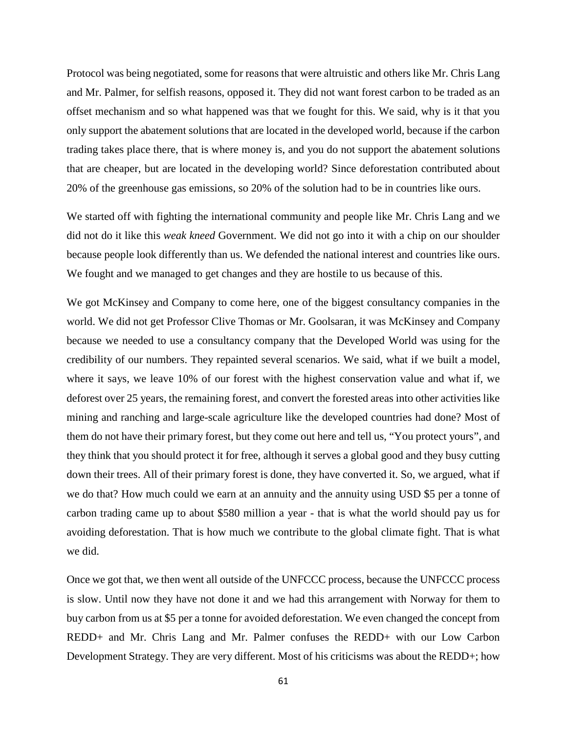Protocol was being negotiated, some for reasons that were altruistic and others like Mr. Chris Lang and Mr. Palmer, for selfish reasons, opposed it. They did not want forest carbon to be traded as an offset mechanism and so what happened was that we fought for this. We said, why is it that you only support the abatement solutions that are located in the developed world, because if the carbon trading takes place there, that is where money is, and you do not support the abatement solutions that are cheaper, but are located in the developing world? Since deforestation contributed about 20% of the greenhouse gas emissions, so 20% of the solution had to be in countries like ours.

We started off with fighting the international community and people like Mr. Chris Lang and we did not do it like this *weak kneed* Government. We did not go into it with a chip on our shoulder because people look differently than us. We defended the national interest and countries like ours. We fought and we managed to get changes and they are hostile to us because of this.

We got McKinsey and Company to come here, one of the biggest consultancy companies in the world. We did not get Professor Clive Thomas or Mr. Goolsaran, it was McKinsey and Company because we needed to use a consultancy company that the Developed World was using for the credibility of our numbers. They repainted several scenarios. We said, what if we built a model, where it says, we leave 10% of our forest with the highest conservation value and what if, we deforest over 25 years, the remaining forest, and convert the forested areas into other activities like mining and ranching and large-scale agriculture like the developed countries had done? Most of them do not have their primary forest, but they come out here and tell us, "You protect yours", and they think that you should protect it for free, although it serves a global good and they busy cutting down their trees. All of their primary forest is done, they have converted it. So, we argued, what if we do that? How much could we earn at an annuity and the annuity using USD \$5 per a tonne of carbon trading came up to about \$580 million a year - that is what the world should pay us for avoiding deforestation. That is how much we contribute to the global climate fight. That is what we did.

Once we got that, we then went all outside of the UNFCCC process, because the UNFCCC process is slow. Until now they have not done it and we had this arrangement with Norway for them to buy carbon from us at \$5 per a tonne for avoided deforestation. We even changed the concept from REDD+ and Mr. Chris Lang and Mr. Palmer confuses the REDD+ with our Low Carbon Development Strategy. They are very different. Most of his criticisms was about the REDD+; how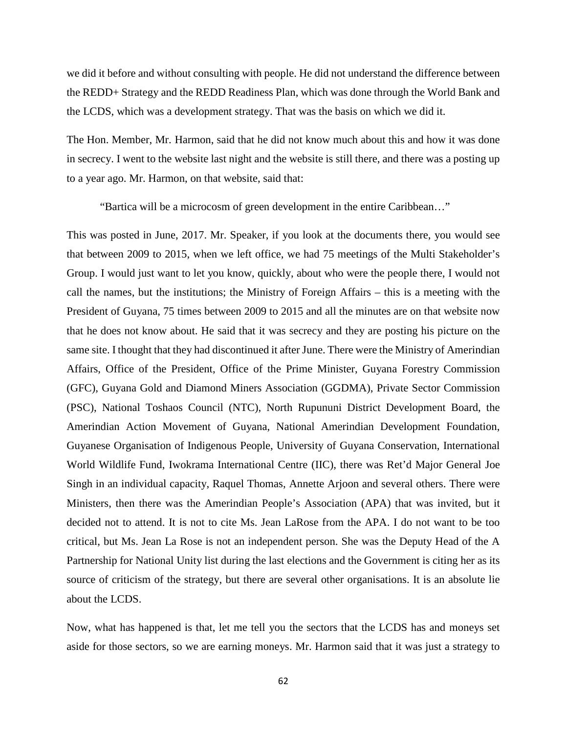we did it before and without consulting with people. He did not understand the difference between the REDD+ Strategy and the REDD Readiness Plan, which was done through the World Bank and the LCDS, which was a development strategy. That was the basis on which we did it.

The Hon. Member, Mr. Harmon, said that he did not know much about this and how it was done in secrecy. I went to the website last night and the website is still there, and there was a posting up to a year ago. Mr. Harmon, on that website, said that:

"Bartica will be a microcosm of green development in the entire Caribbean…"

This was posted in June, 2017. Mr. Speaker, if you look at the documents there, you would see that between 2009 to 2015, when we left office, we had 75 meetings of the Multi Stakeholder's Group. I would just want to let you know, quickly, about who were the people there, I would not call the names, but the institutions; the Ministry of Foreign Affairs – this is a meeting with the President of Guyana, 75 times between 2009 to 2015 and all the minutes are on that website now that he does not know about. He said that it was secrecy and they are posting his picture on the same site. I thought that they had discontinued it after June. There were the Ministry of Amerindian Affairs, Office of the President, Office of the Prime Minister, Guyana Forestry Commission (GFC), Guyana Gold and Diamond Miners Association (GGDMA), Private Sector Commission (PSC), National Toshaos Council (NTC), North Rupununi District Development Board, the Amerindian Action Movement of Guyana, National Amerindian Development Foundation, Guyanese Organisation of Indigenous People, University of Guyana Conservation, International World Wildlife Fund, Iwokrama International Centre (IIC), there was Ret'd Major General Joe Singh in an individual capacity, Raquel Thomas, Annette Arjoon and several others. There were Ministers, then there was the Amerindian People's Association (APA) that was invited, but it decided not to attend. It is not to cite Ms. Jean LaRose from the APA. I do not want to be too critical, but Ms. Jean La Rose is not an independent person. She was the Deputy Head of the A Partnership for National Unity list during the last elections and the Government is citing her as its source of criticism of the strategy, but there are several other organisations. It is an absolute lie about the LCDS.

Now, what has happened is that, let me tell you the sectors that the LCDS has and moneys set aside for those sectors, so we are earning moneys. Mr. Harmon said that it was just a strategy to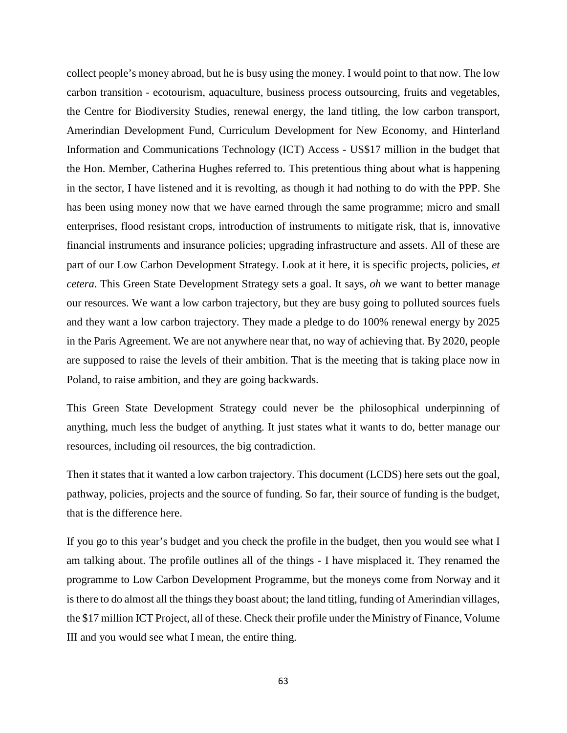collect people's money abroad, but he is busy using the money. I would point to that now. The low carbon transition - ecotourism, aquaculture, business process outsourcing, fruits and vegetables, the Centre for Biodiversity Studies, renewal energy, the land titling, the low carbon transport, Amerindian Development Fund, Curriculum Development for New Economy, and Hinterland Information and Communications Technology (ICT) Access - US\$17 million in the budget that the Hon. Member, Catherina Hughes referred to. This pretentious thing about what is happening in the sector, I have listened and it is revolting, as though it had nothing to do with the PPP. She has been using money now that we have earned through the same programme; micro and small enterprises, flood resistant crops, introduction of instruments to mitigate risk, that is, innovative financial instruments and insurance policies; upgrading infrastructure and assets. All of these are part of our Low Carbon Development Strategy. Look at it here, it is specific projects, policies, *et cetera*. This Green State Development Strategy sets a goal. It says, *oh* we want to better manage our resources. We want a low carbon trajectory, but they are busy going to polluted sources fuels and they want a low carbon trajectory. They made a pledge to do 100% renewal energy by 2025 in the Paris Agreement. We are not anywhere near that, no way of achieving that. By 2020, people are supposed to raise the levels of their ambition. That is the meeting that is taking place now in Poland, to raise ambition, and they are going backwards.

This Green State Development Strategy could never be the philosophical underpinning of anything, much less the budget of anything. It just states what it wants to do, better manage our resources, including oil resources, the big contradiction.

Then it states that it wanted a low carbon trajectory. This document (LCDS) here sets out the goal, pathway, policies, projects and the source of funding. So far, their source of funding is the budget, that is the difference here.

If you go to this year's budget and you check the profile in the budget, then you would see what I am talking about. The profile outlines all of the things - I have misplaced it. They renamed the programme to Low Carbon Development Programme, but the moneys come from Norway and it is there to do almost all the things they boast about; the land titling, funding of Amerindian villages, the \$17 million ICT Project, all of these. Check their profile under the Ministry of Finance, Volume III and you would see what I mean, the entire thing.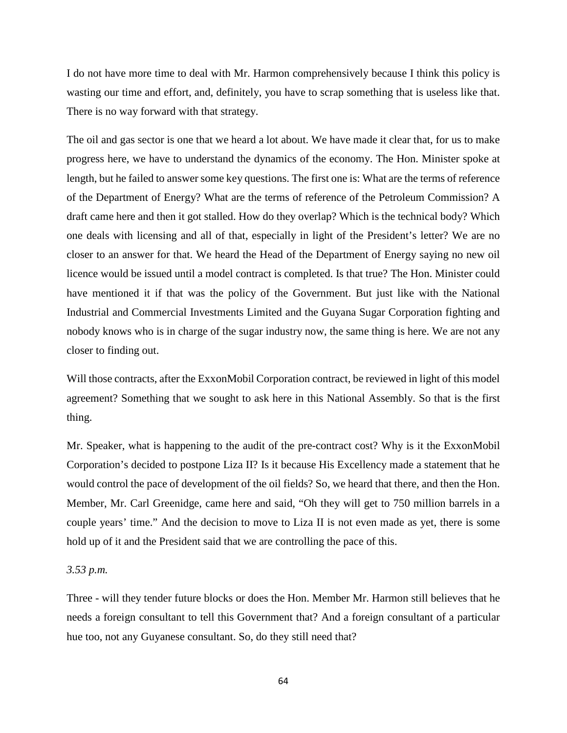I do not have more time to deal with Mr. Harmon comprehensively because I think this policy is wasting our time and effort, and, definitely, you have to scrap something that is useless like that. There is no way forward with that strategy.

The oil and gas sector is one that we heard a lot about. We have made it clear that, for us to make progress here, we have to understand the dynamics of the economy. The Hon. Minister spoke at length, but he failed to answer some key questions. The first one is: What are the terms of reference of the Department of Energy? What are the terms of reference of the Petroleum Commission? A draft came here and then it got stalled. How do they overlap? Which is the technical body? Which one deals with licensing and all of that, especially in light of the President's letter? We are no closer to an answer for that. We heard the Head of the Department of Energy saying no new oil licence would be issued until a model contract is completed. Is that true? The Hon. Minister could have mentioned it if that was the policy of the Government. But just like with the National Industrial and Commercial Investments Limited and the Guyana Sugar Corporation fighting and nobody knows who is in charge of the sugar industry now, the same thing is here. We are not any closer to finding out.

Will those contracts, after the ExxonMobil Corporation contract, be reviewed in light of this model agreement? Something that we sought to ask here in this National Assembly. So that is the first thing.

Mr. Speaker, what is happening to the audit of the pre-contract cost? Why is it the ExxonMobil Corporation's decided to postpone Liza II? Is it because His Excellency made a statement that he would control the pace of development of the oil fields? So, we heard that there, and then the Hon. Member, Mr. Carl Greenidge, came here and said, "Oh they will get to 750 million barrels in a couple years' time." And the decision to move to Liza II is not even made as yet, there is some hold up of it and the President said that we are controlling the pace of this.

# *3.53 p.m.*

Three - will they tender future blocks or does the Hon. Member Mr. Harmon still believes that he needs a foreign consultant to tell this Government that? And a foreign consultant of a particular hue too, not any Guyanese consultant. So, do they still need that?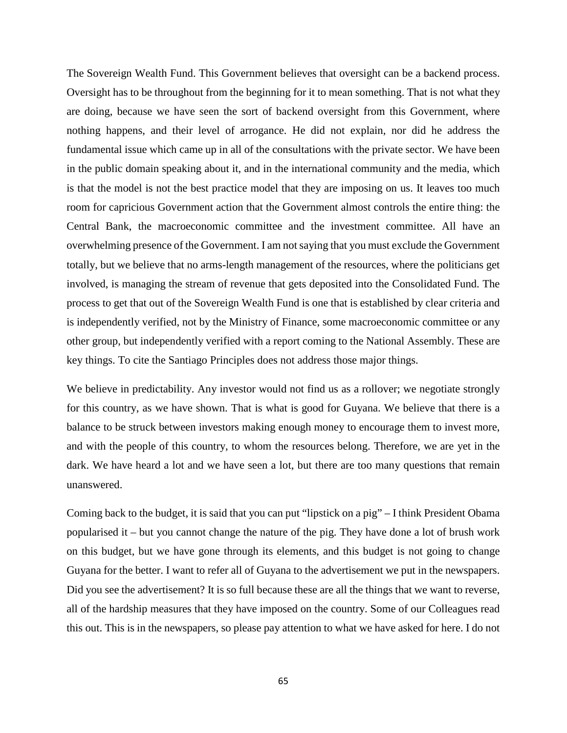The Sovereign Wealth Fund. This Government believes that oversight can be a backend process. Oversight has to be throughout from the beginning for it to mean something. That is not what they are doing, because we have seen the sort of backend oversight from this Government, where nothing happens, and their level of arrogance. He did not explain, nor did he address the fundamental issue which came up in all of the consultations with the private sector. We have been in the public domain speaking about it, and in the international community and the media, which is that the model is not the best practice model that they are imposing on us. It leaves too much room for capricious Government action that the Government almost controls the entire thing: the Central Bank, the macroeconomic committee and the investment committee. All have an overwhelming presence of the Government. I am not saying that you must exclude the Government totally, but we believe that no arms-length management of the resources, where the politicians get involved, is managing the stream of revenue that gets deposited into the Consolidated Fund. The process to get that out of the Sovereign Wealth Fund is one that is established by clear criteria and is independently verified, not by the Ministry of Finance, some macroeconomic committee or any other group, but independently verified with a report coming to the National Assembly. These are key things. To cite the Santiago Principles does not address those major things.

We believe in predictability. Any investor would not find us as a rollover; we negotiate strongly for this country, as we have shown. That is what is good for Guyana. We believe that there is a balance to be struck between investors making enough money to encourage them to invest more, and with the people of this country, to whom the resources belong. Therefore, we are yet in the dark. We have heard a lot and we have seen a lot, but there are too many questions that remain unanswered.

Coming back to the budget, it is said that you can put "lipstick on a pig" – I think President Obama popularised it – but you cannot change the nature of the pig. They have done a lot of brush work on this budget, but we have gone through its elements, and this budget is not going to change Guyana for the better. I want to refer all of Guyana to the advertisement we put in the newspapers. Did you see the advertisement? It is so full because these are all the things that we want to reverse, all of the hardship measures that they have imposed on the country. Some of our Colleagues read this out. This is in the newspapers, so please pay attention to what we have asked for here. I do not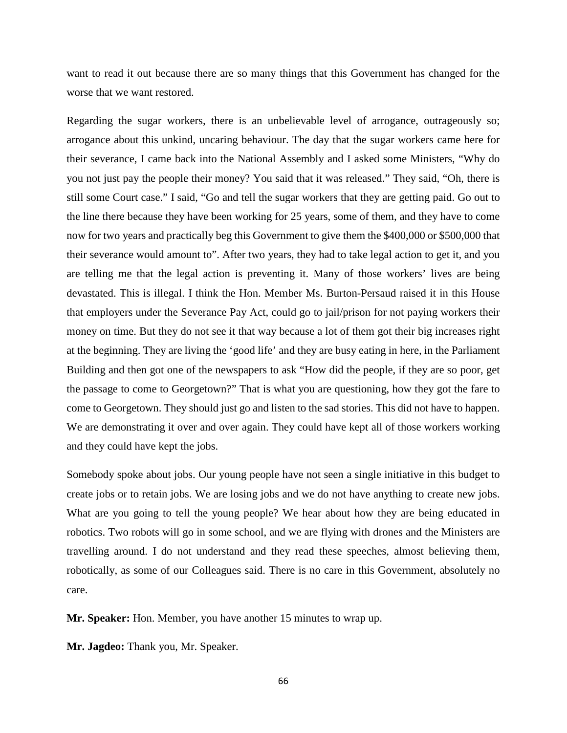want to read it out because there are so many things that this Government has changed for the worse that we want restored.

Regarding the sugar workers, there is an unbelievable level of arrogance, outrageously so; arrogance about this unkind, uncaring behaviour. The day that the sugar workers came here for their severance, I came back into the National Assembly and I asked some Ministers, "Why do you not just pay the people their money? You said that it was released." They said, "Oh, there is still some Court case." I said, "Go and tell the sugar workers that they are getting paid. Go out to the line there because they have been working for 25 years, some of them, and they have to come now for two years and practically beg this Government to give them the \$400,000 or \$500,000 that their severance would amount to". After two years, they had to take legal action to get it, and you are telling me that the legal action is preventing it. Many of those workers' lives are being devastated. This is illegal. I think the Hon. Member Ms. Burton-Persaud raised it in this House that employers under the Severance Pay Act, could go to jail/prison for not paying workers their money on time. But they do not see it that way because a lot of them got their big increases right at the beginning. They are living the 'good life' and they are busy eating in here, in the Parliament Building and then got one of the newspapers to ask "How did the people, if they are so poor, get the passage to come to Georgetown?" That is what you are questioning, how they got the fare to come to Georgetown. They should just go and listen to the sad stories. This did not have to happen. We are demonstrating it over and over again. They could have kept all of those workers working and they could have kept the jobs.

Somebody spoke about jobs. Our young people have not seen a single initiative in this budget to create jobs or to retain jobs. We are losing jobs and we do not have anything to create new jobs. What are you going to tell the young people? We hear about how they are being educated in robotics. Two robots will go in some school, and we are flying with drones and the Ministers are travelling around. I do not understand and they read these speeches, almost believing them, robotically, as some of our Colleagues said. There is no care in this Government, absolutely no care.

**Mr. Speaker:** Hon. Member, you have another 15 minutes to wrap up.

**Mr. Jagdeo:** Thank you, Mr. Speaker.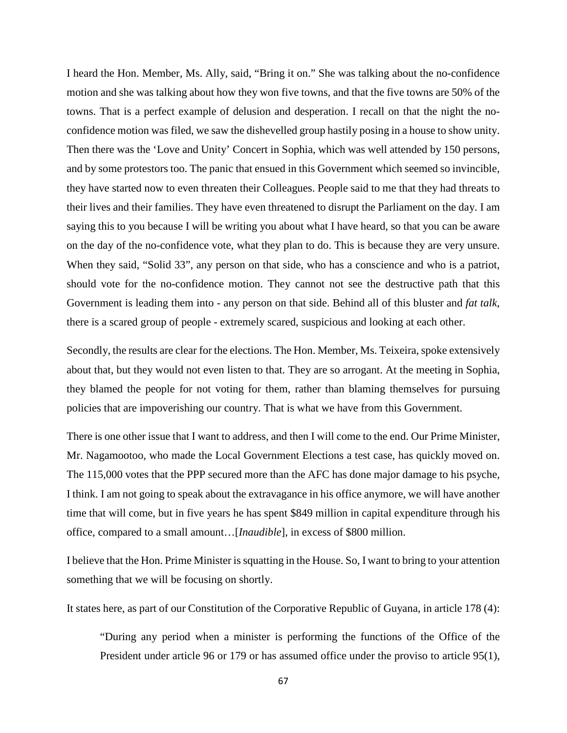I heard the Hon. Member, Ms. Ally, said, "Bring it on." She was talking about the no-confidence motion and she was talking about how they won five towns, and that the five towns are 50% of the towns. That is a perfect example of delusion and desperation. I recall on that the night the noconfidence motion was filed, we saw the dishevelled group hastily posing in a house to show unity. Then there was the 'Love and Unity' Concert in Sophia, which was well attended by 150 persons, and by some protestors too. The panic that ensued in this Government which seemed so invincible, they have started now to even threaten their Colleagues. People said to me that they had threats to their lives and their families. They have even threatened to disrupt the Parliament on the day. I am saying this to you because I will be writing you about what I have heard, so that you can be aware on the day of the no-confidence vote, what they plan to do. This is because they are very unsure. When they said, "Solid 33", any person on that side, who has a conscience and who is a patriot, should vote for the no-confidence motion. They cannot not see the destructive path that this Government is leading them into - any person on that side. Behind all of this bluster and *fat talk*, there is a scared group of people - extremely scared, suspicious and looking at each other.

Secondly, the results are clear for the elections. The Hon. Member, Ms. Teixeira, spoke extensively about that, but they would not even listen to that. They are so arrogant. At the meeting in Sophia, they blamed the people for not voting for them, rather than blaming themselves for pursuing policies that are impoverishing our country. That is what we have from this Government.

There is one other issue that I want to address, and then I will come to the end. Our Prime Minister, Mr. Nagamootoo, who made the Local Government Elections a test case, has quickly moved on. The 115,000 votes that the PPP secured more than the AFC has done major damage to his psyche, I think. I am not going to speak about the extravagance in his office anymore, we will have another time that will come, but in five years he has spent \$849 million in capital expenditure through his office, compared to a small amount…[*Inaudible*], in excess of \$800 million.

I believe that the Hon. Prime Minister is squatting in the House. So, I want to bring to your attention something that we will be focusing on shortly.

It states here, as part of our Constitution of the Corporative Republic of Guyana, in article 178 (4):

"During any period when a minister is performing the functions of the Office of the President under article 96 or 179 or has assumed office under the proviso to article 95(1),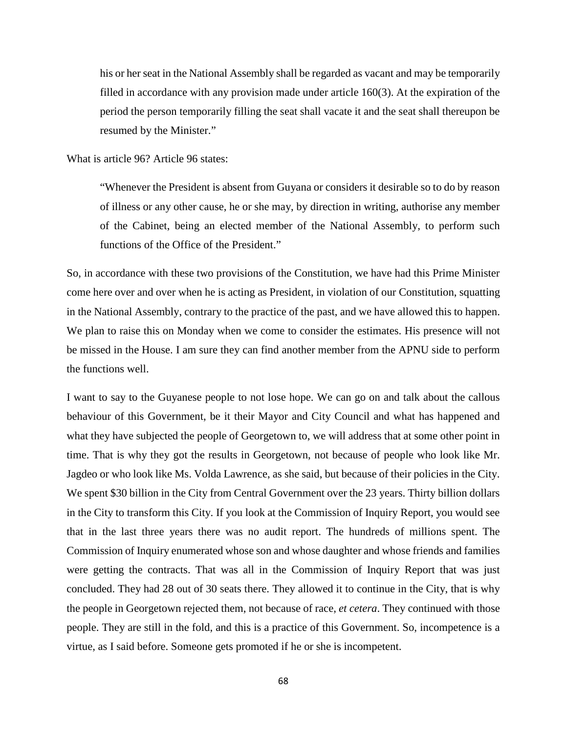his or her seat in the National Assembly shall be regarded as vacant and may be temporarily filled in accordance with any provision made under article 160(3). At the expiration of the period the person temporarily filling the seat shall vacate it and the seat shall thereupon be resumed by the Minister."

What is article 96? Article 96 states:

"Whenever the President is absent from Guyana or considers it desirable so to do by reason of illness or any other cause, he or she may, by direction in writing, authorise any member of the Cabinet, being an elected member of the National Assembly, to perform such functions of the Office of the President."

So, in accordance with these two provisions of the Constitution, we have had this Prime Minister come here over and over when he is acting as President, in violation of our Constitution, squatting in the National Assembly, contrary to the practice of the past, and we have allowed this to happen. We plan to raise this on Monday when we come to consider the estimates. His presence will not be missed in the House. I am sure they can find another member from the APNU side to perform the functions well.

I want to say to the Guyanese people to not lose hope. We can go on and talk about the callous behaviour of this Government, be it their Mayor and City Council and what has happened and what they have subjected the people of Georgetown to, we will address that at some other point in time. That is why they got the results in Georgetown, not because of people who look like Mr. Jagdeo or who look like Ms. Volda Lawrence, as she said, but because of their policies in the City. We spent \$30 billion in the City from Central Government over the 23 years. Thirty billion dollars in the City to transform this City. If you look at the Commission of Inquiry Report, you would see that in the last three years there was no audit report. The hundreds of millions spent. The Commission of Inquiry enumerated whose son and whose daughter and whose friends and families were getting the contracts. That was all in the Commission of Inquiry Report that was just concluded. They had 28 out of 30 seats there. They allowed it to continue in the City, that is why the people in Georgetown rejected them, not because of race, *et cetera*. They continued with those people. They are still in the fold, and this is a practice of this Government. So, incompetence is a virtue, as I said before. Someone gets promoted if he or she is incompetent.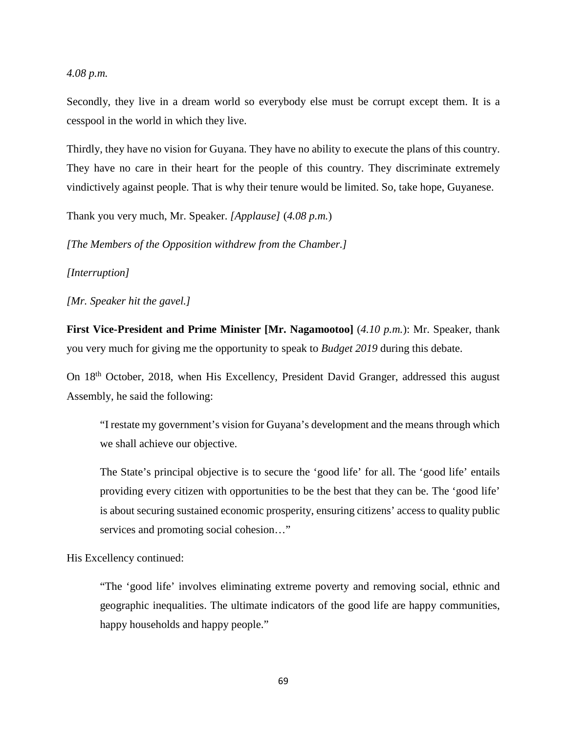## *4.08 p.m.*

Secondly, they live in a dream world so everybody else must be corrupt except them. It is a cesspool in the world in which they live.

Thirdly, they have no vision for Guyana. They have no ability to execute the plans of this country. They have no care in their heart for the people of this country. They discriminate extremely vindictively against people. That is why their tenure would be limited. So, take hope, Guyanese.

Thank you very much, Mr. Speaker. *[Applause]* (*4.08 p.m.*)

*[The Members of the Opposition withdrew from the Chamber.]*

*[Interruption]*

*[Mr. Speaker hit the gavel.]*

**First Vice-President and Prime Minister [Mr. Nagamootoo]** (*4.10 p.m.*): Mr. Speaker, thank you very much for giving me the opportunity to speak to *Budget 2019* during this debate.

On 18<sup>th</sup> October, 2018, when His Excellency, President David Granger, addressed this august Assembly, he said the following:

"I restate my government's vision for Guyana's development and the means through which we shall achieve our objective.

The State's principal objective is to secure the 'good life' for all. The 'good life' entails providing every citizen with opportunities to be the best that they can be. The 'good life' is about securing sustained economic prosperity, ensuring citizens' access to quality public services and promoting social cohesion…"

His Excellency continued:

"The 'good life' involves eliminating extreme poverty and removing social, ethnic and geographic inequalities. The ultimate indicators of the good life are happy communities, happy households and happy people."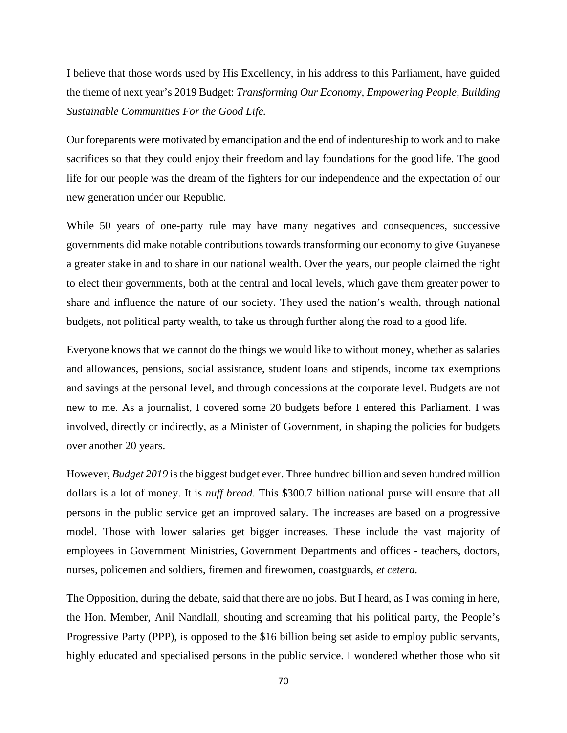I believe that those words used by His Excellency, in his address to this Parliament, have guided the theme of next year's 2019 Budget: *Transforming Our Economy, Empowering People, Building Sustainable Communities For the Good Life.*

Our foreparents were motivated by emancipation and the end of indentureship to work and to make sacrifices so that they could enjoy their freedom and lay foundations for the good life. The good life for our people was the dream of the fighters for our independence and the expectation of our new generation under our Republic.

While 50 years of one-party rule may have many negatives and consequences, successive governments did make notable contributions towards transforming our economy to give Guyanese a greater stake in and to share in our national wealth. Over the years, our people claimed the right to elect their governments, both at the central and local levels, which gave them greater power to share and influence the nature of our society. They used the nation's wealth, through national budgets, not political party wealth, to take us through further along the road to a good life.

Everyone knows that we cannot do the things we would like to without money, whether as salaries and allowances, pensions, social assistance, student loans and stipends, income tax exemptions and savings at the personal level, and through concessions at the corporate level. Budgets are not new to me. As a journalist, I covered some 20 budgets before I entered this Parliament. I was involved, directly or indirectly, as a Minister of Government, in shaping the policies for budgets over another 20 years.

However, *Budget 2019* is the biggest budget ever. Three hundred billion and seven hundred million dollars is a lot of money. It is *nuff bread*. This \$300.7 billion national purse will ensure that all persons in the public service get an improved salary. The increases are based on a progressive model. Those with lower salaries get bigger increases. These include the vast majority of employees in Government Ministries, Government Departments and offices - teachers, doctors, nurses, policemen and soldiers, firemen and firewomen, coastguards, *et cetera.*

The Opposition, during the debate, said that there are no jobs. But I heard, as I was coming in here, the Hon. Member, Anil Nandlall, shouting and screaming that his political party, the People's Progressive Party (PPP), is opposed to the \$16 billion being set aside to employ public servants, highly educated and specialised persons in the public service. I wondered whether those who sit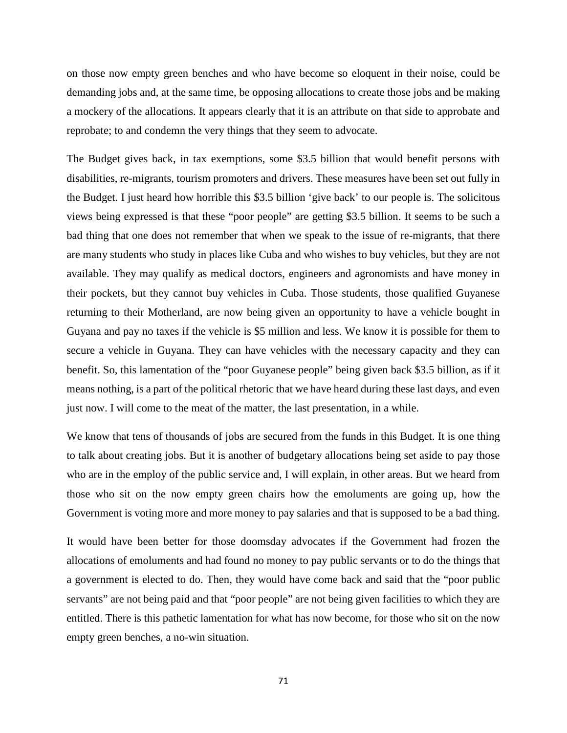on those now empty green benches and who have become so eloquent in their noise, could be demanding jobs and, at the same time, be opposing allocations to create those jobs and be making a mockery of the allocations. It appears clearly that it is an attribute on that side to approbate and reprobate; to and condemn the very things that they seem to advocate.

The Budget gives back, in tax exemptions, some \$3.5 billion that would benefit persons with disabilities, re-migrants, tourism promoters and drivers. These measures have been set out fully in the Budget. I just heard how horrible this \$3.5 billion 'give back' to our people is. The solicitous views being expressed is that these "poor people" are getting \$3.5 billion. It seems to be such a bad thing that one does not remember that when we speak to the issue of re-migrants, that there are many students who study in places like Cuba and who wishes to buy vehicles, but they are not available. They may qualify as medical doctors, engineers and agronomists and have money in their pockets, but they cannot buy vehicles in Cuba. Those students, those qualified Guyanese returning to their Motherland, are now being given an opportunity to have a vehicle bought in Guyana and pay no taxes if the vehicle is \$5 million and less. We know it is possible for them to secure a vehicle in Guyana. They can have vehicles with the necessary capacity and they can benefit. So, this lamentation of the "poor Guyanese people" being given back \$3.5 billion, as if it means nothing, is a part of the political rhetoric that we have heard during these last days, and even just now. I will come to the meat of the matter, the last presentation, in a while.

We know that tens of thousands of jobs are secured from the funds in this Budget. It is one thing to talk about creating jobs. But it is another of budgetary allocations being set aside to pay those who are in the employ of the public service and, I will explain, in other areas. But we heard from those who sit on the now empty green chairs how the emoluments are going up, how the Government is voting more and more money to pay salaries and that is supposed to be a bad thing.

It would have been better for those doomsday advocates if the Government had frozen the allocations of emoluments and had found no money to pay public servants or to do the things that a government is elected to do. Then, they would have come back and said that the "poor public servants" are not being paid and that "poor people" are not being given facilities to which they are entitled. There is this pathetic lamentation for what has now become, for those who sit on the now empty green benches, a no-win situation.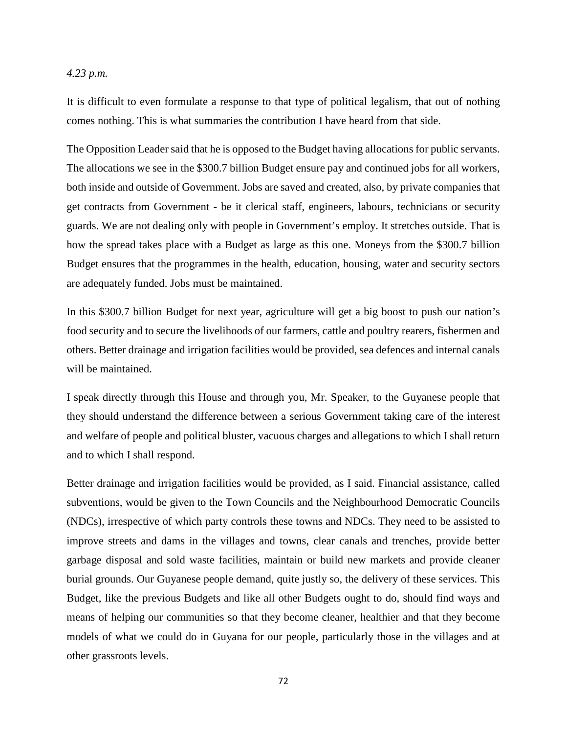# *4.23 p.m.*

It is difficult to even formulate a response to that type of political legalism, that out of nothing comes nothing. This is what summaries the contribution I have heard from that side.

The Opposition Leader said that he is opposed to the Budget having allocations for public servants. The allocations we see in the \$300.7 billion Budget ensure pay and continued jobs for all workers, both inside and outside of Government. Jobs are saved and created, also, by private companies that get contracts from Government - be it clerical staff, engineers, labours, technicians or security guards. We are not dealing only with people in Government's employ. It stretches outside. That is how the spread takes place with a Budget as large as this one. Moneys from the \$300.7 billion Budget ensures that the programmes in the health, education, housing, water and security sectors are adequately funded. Jobs must be maintained.

In this \$300.7 billion Budget for next year, agriculture will get a big boost to push our nation's food security and to secure the livelihoods of our farmers, cattle and poultry rearers, fishermen and others. Better drainage and irrigation facilities would be provided, sea defences and internal canals will be maintained.

I speak directly through this House and through you, Mr. Speaker, to the Guyanese people that they should understand the difference between a serious Government taking care of the interest and welfare of people and political bluster, vacuous charges and allegations to which I shall return and to which I shall respond.

Better drainage and irrigation facilities would be provided, as I said. Financial assistance, called subventions, would be given to the Town Councils and the Neighbourhood Democratic Councils (NDCs), irrespective of which party controls these towns and NDCs. They need to be assisted to improve streets and dams in the villages and towns, clear canals and trenches, provide better garbage disposal and sold waste facilities, maintain or build new markets and provide cleaner burial grounds. Our Guyanese people demand, quite justly so, the delivery of these services. This Budget, like the previous Budgets and like all other Budgets ought to do, should find ways and means of helping our communities so that they become cleaner, healthier and that they become models of what we could do in Guyana for our people, particularly those in the villages and at other grassroots levels.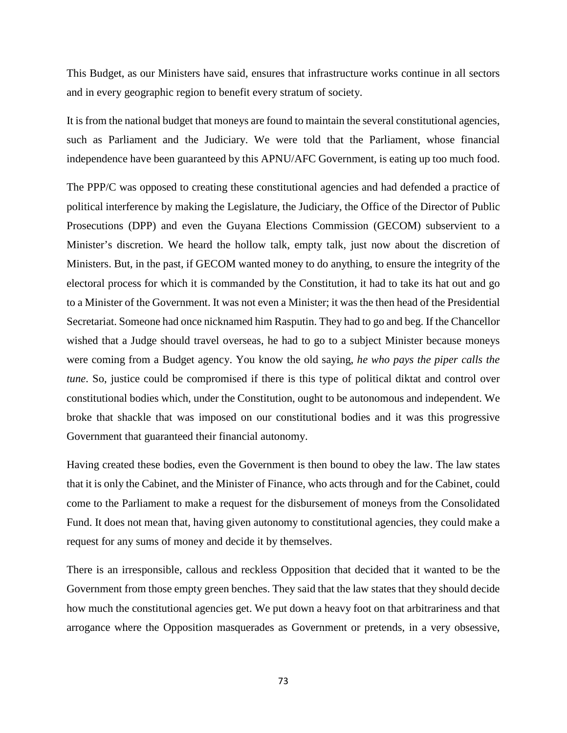This Budget, as our Ministers have said, ensures that infrastructure works continue in all sectors and in every geographic region to benefit every stratum of society.

It is from the national budget that moneys are found to maintain the several constitutional agencies, such as Parliament and the Judiciary. We were told that the Parliament, whose financial independence have been guaranteed by this APNU/AFC Government, is eating up too much food.

The PPP/C was opposed to creating these constitutional agencies and had defended a practice of political interference by making the Legislature, the Judiciary, the Office of the Director of Public Prosecutions (DPP) and even the Guyana Elections Commission (GECOM) subservient to a Minister's discretion. We heard the hollow talk, empty talk, just now about the discretion of Ministers. But, in the past, if GECOM wanted money to do anything, to ensure the integrity of the electoral process for which it is commanded by the Constitution, it had to take its hat out and go to a Minister of the Government. It was not even a Minister; it was the then head of the Presidential Secretariat. Someone had once nicknamed him Rasputin. They had to go and beg. If the Chancellor wished that a Judge should travel overseas, he had to go to a subject Minister because moneys were coming from a Budget agency. You know the old saying, *he who pays the piper calls the tune*. So, justice could be compromised if there is this type of political diktat and control over constitutional bodies which, under the Constitution, ought to be autonomous and independent. We broke that shackle that was imposed on our constitutional bodies and it was this progressive Government that guaranteed their financial autonomy.

Having created these bodies, even the Government is then bound to obey the law. The law states that it is only the Cabinet, and the Minister of Finance, who acts through and for the Cabinet, could come to the Parliament to make a request for the disbursement of moneys from the Consolidated Fund. It does not mean that, having given autonomy to constitutional agencies, they could make a request for any sums of money and decide it by themselves.

There is an irresponsible, callous and reckless Opposition that decided that it wanted to be the Government from those empty green benches. They said that the law states that they should decide how much the constitutional agencies get. We put down a heavy foot on that arbitrariness and that arrogance where the Opposition masquerades as Government or pretends, in a very obsessive,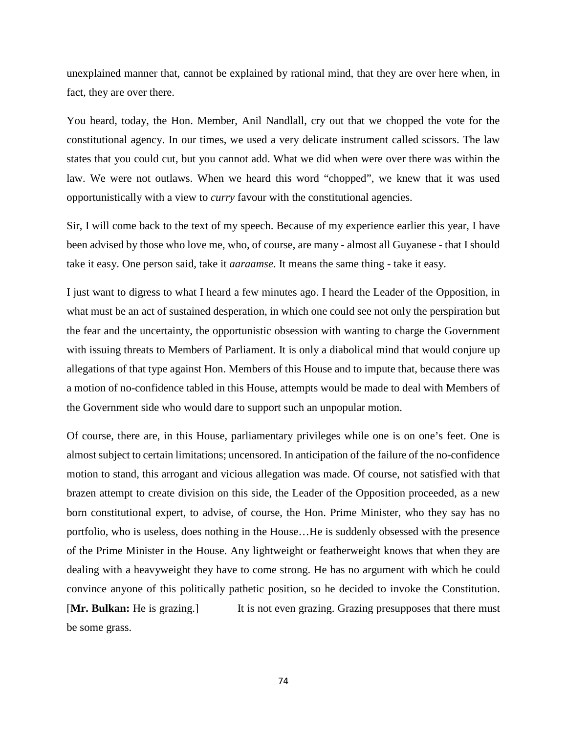unexplained manner that, cannot be explained by rational mind, that they are over here when, in fact, they are over there.

You heard, today, the Hon. Member, Anil Nandlall, cry out that we chopped the vote for the constitutional agency. In our times, we used a very delicate instrument called scissors. The law states that you could cut, but you cannot add. What we did when were over there was within the law. We were not outlaws. When we heard this word "chopped", we knew that it was used opportunistically with a view to *curry* favour with the constitutional agencies.

Sir, I will come back to the text of my speech. Because of my experience earlier this year, I have been advised by those who love me, who, of course, are many - almost all Guyanese - that I should take it easy. One person said, take it *aaraamse*. It means the same thing - take it easy.

I just want to digress to what I heard a few minutes ago. I heard the Leader of the Opposition, in what must be an act of sustained desperation, in which one could see not only the perspiration but the fear and the uncertainty, the opportunistic obsession with wanting to charge the Government with issuing threats to Members of Parliament. It is only a diabolical mind that would conjure up allegations of that type against Hon. Members of this House and to impute that, because there was a motion of no-confidence tabled in this House, attempts would be made to deal with Members of the Government side who would dare to support such an unpopular motion.

Of course, there are, in this House, parliamentary privileges while one is on one's feet. One is almost subject to certain limitations; uncensored. In anticipation of the failure of the no-confidence motion to stand, this arrogant and vicious allegation was made. Of course, not satisfied with that brazen attempt to create division on this side, the Leader of the Opposition proceeded, as a new born constitutional expert, to advise, of course, the Hon. Prime Minister, who they say has no portfolio, who is useless, does nothing in the House…He is suddenly obsessed with the presence of the Prime Minister in the House. Any lightweight or featherweight knows that when they are dealing with a heavyweight they have to come strong. He has no argument with which he could convince anyone of this politically pathetic position, so he decided to invoke the Constitution. **[Mr. Bulkan:** He is grazing.] It is not even grazing. Grazing presupposes that there must be some grass.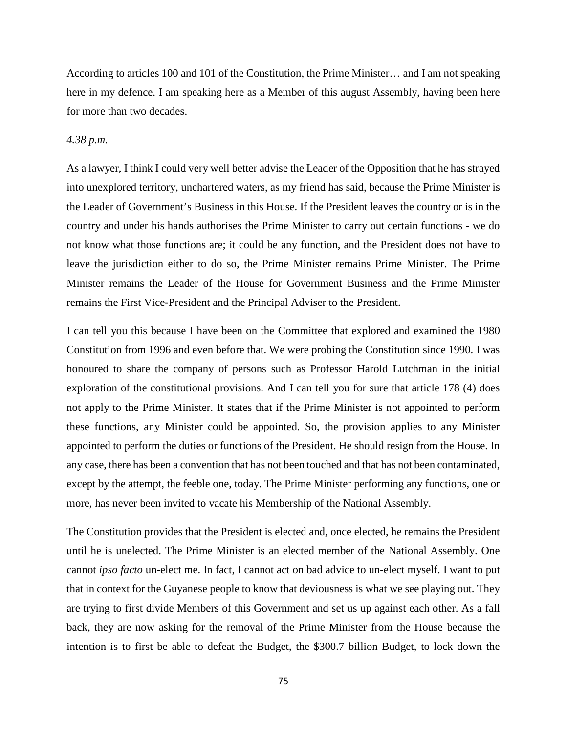According to articles 100 and 101 of the Constitution, the Prime Minister… and I am not speaking here in my defence. I am speaking here as a Member of this august Assembly, having been here for more than two decades.

# *4.38 p.m.*

As a lawyer, I think I could very well better advise the Leader of the Opposition that he has strayed into unexplored territory, unchartered waters, as my friend has said, because the Prime Minister is the Leader of Government's Business in this House. If the President leaves the country or is in the country and under his hands authorises the Prime Minister to carry out certain functions - we do not know what those functions are; it could be any function, and the President does not have to leave the jurisdiction either to do so, the Prime Minister remains Prime Minister. The Prime Minister remains the Leader of the House for Government Business and the Prime Minister remains the First Vice-President and the Principal Adviser to the President.

I can tell you this because I have been on the Committee that explored and examined the 1980 Constitution from 1996 and even before that. We were probing the Constitution since 1990. I was honoured to share the company of persons such as Professor Harold Lutchman in the initial exploration of the constitutional provisions. And I can tell you for sure that article 178 (4) does not apply to the Prime Minister. It states that if the Prime Minister is not appointed to perform these functions, any Minister could be appointed. So, the provision applies to any Minister appointed to perform the duties or functions of the President. He should resign from the House. In any case, there has been a convention that has not been touched and that has not been contaminated, except by the attempt, the feeble one, today. The Prime Minister performing any functions, one or more, has never been invited to vacate his Membership of the National Assembly.

The Constitution provides that the President is elected and, once elected, he remains the President until he is unelected. The Prime Minister is an elected member of the National Assembly. One cannot *ipso facto* un-elect me. In fact, I cannot act on bad advice to un-elect myself. I want to put that in context for the Guyanese people to know that deviousness is what we see playing out. They are trying to first divide Members of this Government and set us up against each other. As a fall back, they are now asking for the removal of the Prime Minister from the House because the intention is to first be able to defeat the Budget, the \$300.7 billion Budget, to lock down the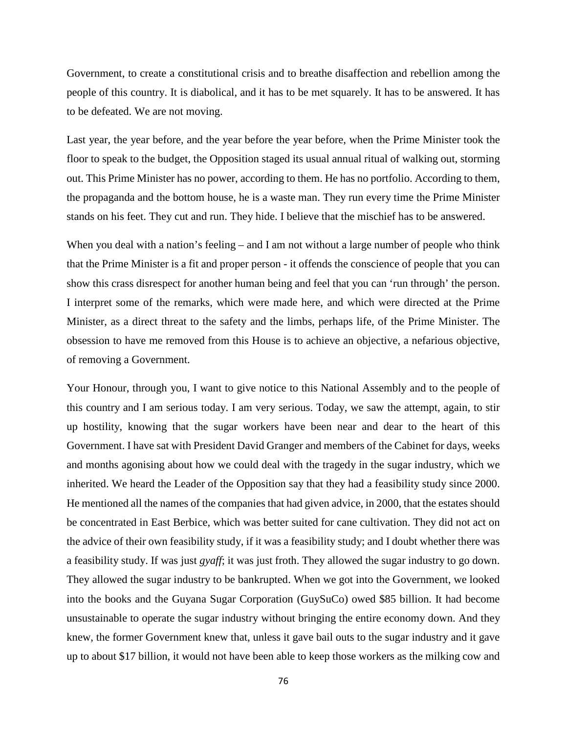Government, to create a constitutional crisis and to breathe disaffection and rebellion among the people of this country. It is diabolical, and it has to be met squarely. It has to be answered. It has to be defeated. We are not moving.

Last year, the year before, and the year before the year before, when the Prime Minister took the floor to speak to the budget, the Opposition staged its usual annual ritual of walking out, storming out. This Prime Minister has no power, according to them. He has no portfolio. According to them, the propaganda and the bottom house, he is a waste man. They run every time the Prime Minister stands on his feet. They cut and run. They hide. I believe that the mischief has to be answered.

When you deal with a nation's feeling – and I am not without a large number of people who think that the Prime Minister is a fit and proper person - it offends the conscience of people that you can show this crass disrespect for another human being and feel that you can 'run through' the person. I interpret some of the remarks, which were made here, and which were directed at the Prime Minister, as a direct threat to the safety and the limbs, perhaps life, of the Prime Minister. The obsession to have me removed from this House is to achieve an objective, a nefarious objective, of removing a Government.

Your Honour, through you, I want to give notice to this National Assembly and to the people of this country and I am serious today. I am very serious. Today, we saw the attempt, again, to stir up hostility, knowing that the sugar workers have been near and dear to the heart of this Government. I have sat with President David Granger and members of the Cabinet for days, weeks and months agonising about how we could deal with the tragedy in the sugar industry, which we inherited. We heard the Leader of the Opposition say that they had a feasibility study since 2000. He mentioned all the names of the companies that had given advice, in 2000, that the estates should be concentrated in East Berbice, which was better suited for cane cultivation. They did not act on the advice of their own feasibility study, if it was a feasibility study; and I doubt whether there was a feasibility study. If was just *gyaff*; it was just froth. They allowed the sugar industry to go down. They allowed the sugar industry to be bankrupted. When we got into the Government, we looked into the books and the Guyana Sugar Corporation (GuySuCo) owed \$85 billion. It had become unsustainable to operate the sugar industry without bringing the entire economy down. And they knew, the former Government knew that, unless it gave bail outs to the sugar industry and it gave up to about \$17 billion, it would not have been able to keep those workers as the milking cow and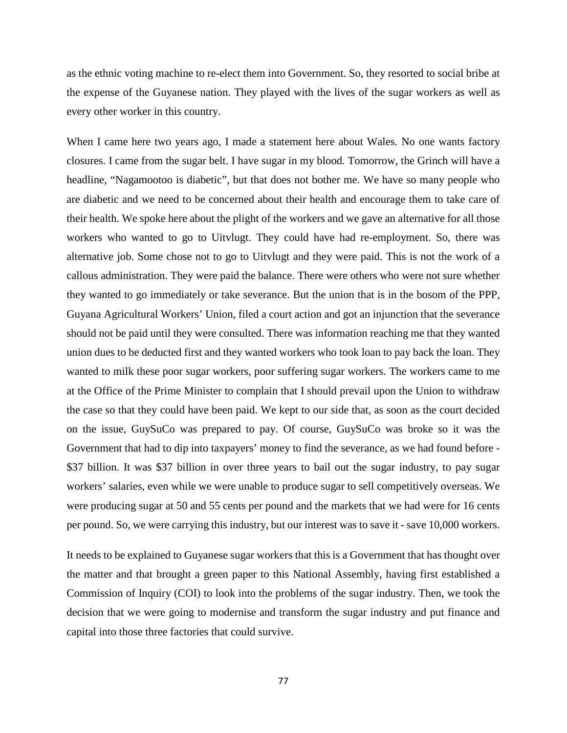as the ethnic voting machine to re-elect them into Government. So, they resorted to social bribe at the expense of the Guyanese nation. They played with the lives of the sugar workers as well as every other worker in this country.

When I came here two years ago, I made a statement here about Wales. No one wants factory closures. I came from the sugar belt. I have sugar in my blood. Tomorrow, the Grinch will have a headline, "Nagamootoo is diabetic", but that does not bother me. We have so many people who are diabetic and we need to be concerned about their health and encourage them to take care of their health. We spoke here about the plight of the workers and we gave an alternative for all those workers who wanted to go to Uitvlugt. They could have had re-employment. So, there was alternative job. Some chose not to go to Uitvlugt and they were paid. This is not the work of a callous administration. They were paid the balance. There were others who were not sure whether they wanted to go immediately or take severance. But the union that is in the bosom of the PPP, Guyana Agricultural Workers' Union, filed a court action and got an injunction that the severance should not be paid until they were consulted. There was information reaching me that they wanted union dues to be deducted first and they wanted workers who took loan to pay back the loan. They wanted to milk these poor sugar workers, poor suffering sugar workers. The workers came to me at the Office of the Prime Minister to complain that I should prevail upon the Union to withdraw the case so that they could have been paid. We kept to our side that, as soon as the court decided on the issue, GuySuCo was prepared to pay. Of course, GuySuCo was broke so it was the Government that had to dip into taxpayers' money to find the severance, as we had found before - \$37 billion. It was \$37 billion in over three years to bail out the sugar industry, to pay sugar workers' salaries, even while we were unable to produce sugar to sell competitively overseas. We were producing sugar at 50 and 55 cents per pound and the markets that we had were for 16 cents per pound. So, we were carrying this industry, but our interest was to save it - save 10,000 workers.

It needs to be explained to Guyanese sugar workers that this is a Government that has thought over the matter and that brought a green paper to this National Assembly, having first established a Commission of Inquiry (COI) to look into the problems of the sugar industry. Then, we took the decision that we were going to modernise and transform the sugar industry and put finance and capital into those three factories that could survive.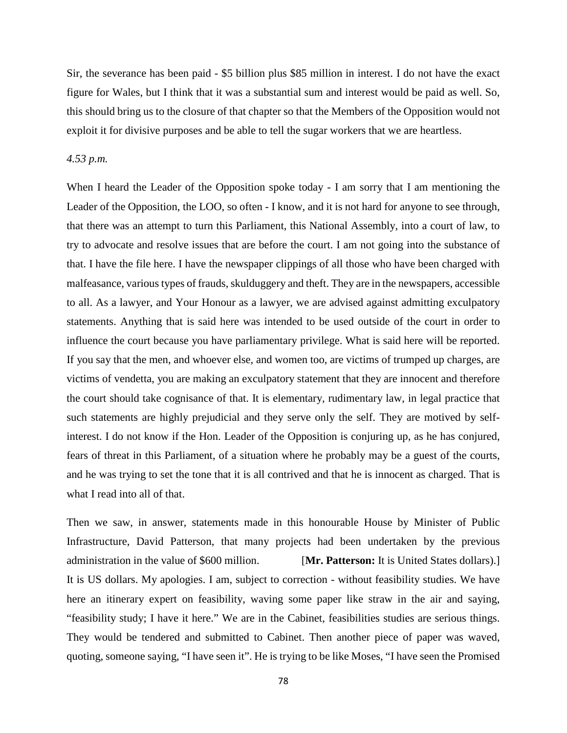Sir, the severance has been paid - \$5 billion plus \$85 million in interest. I do not have the exact figure for Wales, but I think that it was a substantial sum and interest would be paid as well. So, this should bring us to the closure of that chapter so that the Members of the Opposition would not exploit it for divisive purposes and be able to tell the sugar workers that we are heartless.

### *4.53 p.m.*

When I heard the Leader of the Opposition spoke today - I am sorry that I am mentioning the Leader of the Opposition, the LOO, so often - I know, and it is not hard for anyone to see through, that there was an attempt to turn this Parliament, this National Assembly, into a court of law, to try to advocate and resolve issues that are before the court. I am not going into the substance of that. I have the file here. I have the newspaper clippings of all those who have been charged with malfeasance, various types of frauds, skulduggery and theft. They are in the newspapers, accessible to all. As a lawyer, and Your Honour as a lawyer, we are advised against admitting exculpatory statements. Anything that is said here was intended to be used outside of the court in order to influence the court because you have parliamentary privilege. What is said here will be reported. If you say that the men, and whoever else, and women too, are victims of trumped up charges, are victims of vendetta, you are making an exculpatory statement that they are innocent and therefore the court should take cognisance of that. It is elementary, rudimentary law, in legal practice that such statements are highly prejudicial and they serve only the self. They are motived by selfinterest. I do not know if the Hon. Leader of the Opposition is conjuring up, as he has conjured, fears of threat in this Parliament, of a situation where he probably may be a guest of the courts, and he was trying to set the tone that it is all contrived and that he is innocent as charged. That is what I read into all of that.

Then we saw, in answer, statements made in this honourable House by Minister of Public Infrastructure, David Patterson, that many projects had been undertaken by the previous administration in the value of \$600 million. [**Mr. Patterson:** It is United States dollars).] It is US dollars. My apologies. I am, subject to correction - without feasibility studies. We have here an itinerary expert on feasibility, waving some paper like straw in the air and saying, "feasibility study; I have it here." We are in the Cabinet, feasibilities studies are serious things. They would be tendered and submitted to Cabinet. Then another piece of paper was waved, quoting, someone saying, "I have seen it". He is trying to be like Moses, "I have seen the Promised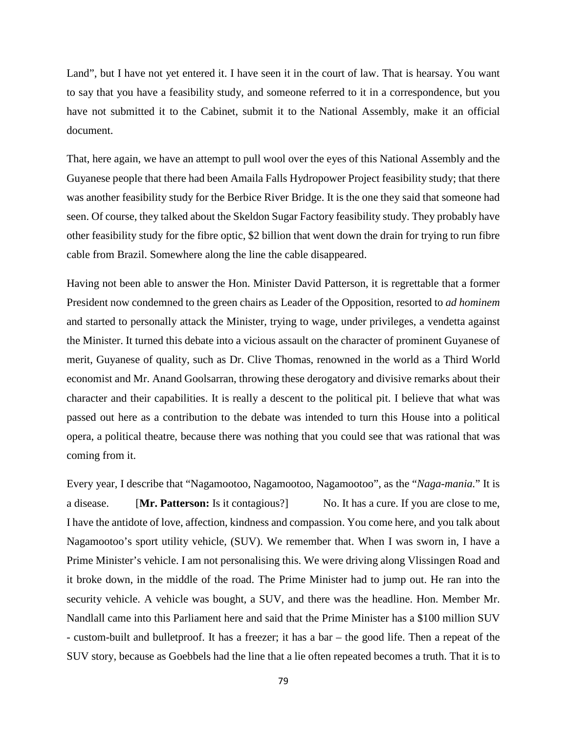Land", but I have not yet entered it. I have seen it in the court of law. That is hearsay. You want to say that you have a feasibility study, and someone referred to it in a correspondence, but you have not submitted it to the Cabinet, submit it to the National Assembly, make it an official document.

That, here again, we have an attempt to pull wool over the eyes of this National Assembly and the Guyanese people that there had been Amaila Falls Hydropower Project feasibility study; that there was another feasibility study for the Berbice River Bridge. It is the one they said that someone had seen. Of course, they talked about the Skeldon Sugar Factory feasibility study. They probably have other feasibility study for the fibre optic, \$2 billion that went down the drain for trying to run fibre cable from Brazil. Somewhere along the line the cable disappeared.

Having not been able to answer the Hon. Minister David Patterson, it is regrettable that a former President now condemned to the green chairs as Leader of the Opposition, resorted to *ad hominem*  and started to personally attack the Minister, trying to wage, under privileges, a vendetta against the Minister. It turned this debate into a vicious assault on the character of prominent Guyanese of merit, Guyanese of quality, such as Dr. Clive Thomas, renowned in the world as a Third World economist and Mr. Anand Goolsarran, throwing these derogatory and divisive remarks about their character and their capabilities. It is really a descent to the political pit. I believe that what was passed out here as a contribution to the debate was intended to turn this House into a political opera, a political theatre, because there was nothing that you could see that was rational that was coming from it.

Every year, I describe that "Nagamootoo, Nagamootoo*,* Nagamootoo", as the "*Naga-mania.*" It is a disease. [**Mr. Patterson:** Is it contagious?] No. It has a cure. If you are close to me, I have the antidote of love, affection, kindness and compassion. You come here, and you talk about Nagamootoo's sport utility vehicle, (SUV). We remember that. When I was sworn in, I have a Prime Minister's vehicle. I am not personalising this. We were driving along Vlissingen Road and it broke down, in the middle of the road. The Prime Minister had to jump out. He ran into the security vehicle. A vehicle was bought, a SUV, and there was the headline. Hon. Member Mr. Nandlall came into this Parliament here and said that the Prime Minister has a \$100 million SUV - custom-built and bulletproof. It has a freezer; it has a bar – the good life. Then a repeat of the SUV story, because as Goebbels had the line that a lie often repeated becomes a truth. That it is to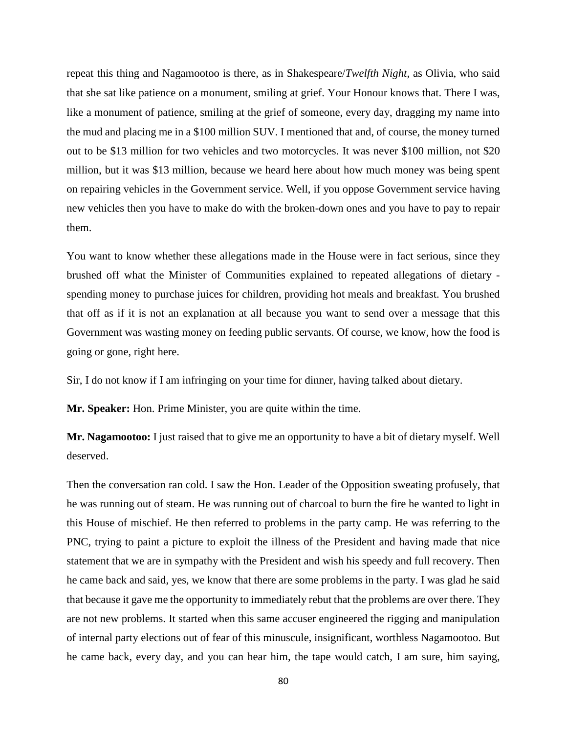repeat this thing and Nagamootoo is there, as in Shakespeare/*Twelfth Night*, as Olivia, who said that she sat like patience on a monument, smiling at grief. Your Honour knows that. There I was, like a monument of patience, smiling at the grief of someone, every day, dragging my name into the mud and placing me in a \$100 million SUV. I mentioned that and, of course, the money turned out to be \$13 million for two vehicles and two motorcycles. It was never \$100 million, not \$20 million, but it was \$13 million, because we heard here about how much money was being spent on repairing vehicles in the Government service. Well, if you oppose Government service having new vehicles then you have to make do with the broken-down ones and you have to pay to repair them.

You want to know whether these allegations made in the House were in fact serious, since they brushed off what the Minister of Communities explained to repeated allegations of dietary spending money to purchase juices for children, providing hot meals and breakfast. You brushed that off as if it is not an explanation at all because you want to send over a message that this Government was wasting money on feeding public servants. Of course, we know, how the food is going or gone, right here.

Sir, I do not know if I am infringing on your time for dinner, having talked about dietary.

**Mr. Speaker:** Hon. Prime Minister, you are quite within the time.

**Mr. Nagamootoo:** I just raised that to give me an opportunity to have a bit of dietary myself. Well deserved.

Then the conversation ran cold. I saw the Hon. Leader of the Opposition sweating profusely, that he was running out of steam. He was running out of charcoal to burn the fire he wanted to light in this House of mischief. He then referred to problems in the party camp. He was referring to the PNC, trying to paint a picture to exploit the illness of the President and having made that nice statement that we are in sympathy with the President and wish his speedy and full recovery. Then he came back and said, yes, we know that there are some problems in the party. I was glad he said that because it gave me the opportunity to immediately rebut that the problems are over there. They are not new problems. It started when this same accuser engineered the rigging and manipulation of internal party elections out of fear of this minuscule, insignificant, worthless Nagamootoo. But he came back, every day, and you can hear him, the tape would catch, I am sure, him saying,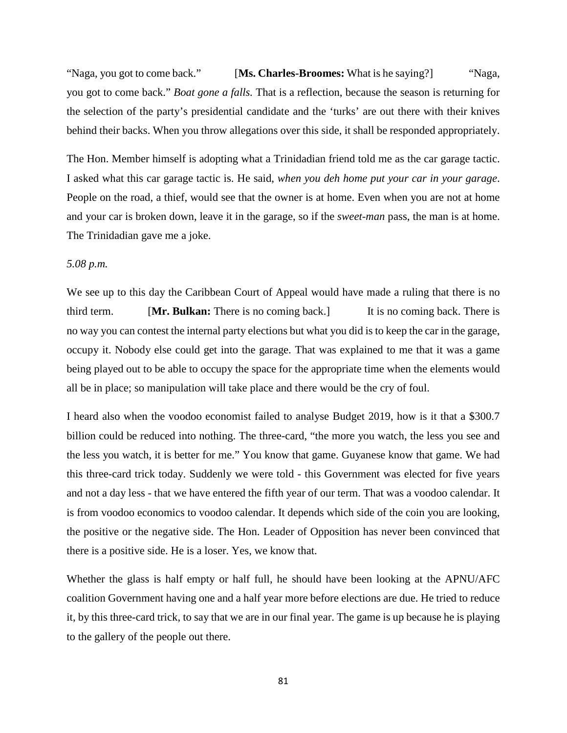"Naga, you got to come back." [**Ms. Charles-Broomes:** What is he saying?] "Naga, you got to come back." *Boat gone a falls.* That is a reflection, because the season is returning for the selection of the party's presidential candidate and the 'turks' are out there with their knives behind their backs. When you throw allegations over this side, it shall be responded appropriately.

The Hon. Member himself is adopting what a Trinidadian friend told me as the car garage tactic. I asked what this car garage tactic is. He said, *when you deh home put your car in your garage*. People on the road, a thief, would see that the owner is at home. Even when you are not at home and your car is broken down, leave it in the garage, so if the *sweet-man* pass, the man is at home. The Trinidadian gave me a joke.

# *5.08 p.m.*

We see up to this day the Caribbean Court of Appeal would have made a ruling that there is no third term. [**Mr. Bulkan:** There is no coming back.] It is no coming back. There is no way you can contest the internal party elections but what you did is to keep the car in the garage, occupy it. Nobody else could get into the garage. That was explained to me that it was a game being played out to be able to occupy the space for the appropriate time when the elements would all be in place; so manipulation will take place and there would be the cry of foul.

I heard also when the voodoo economist failed to analyse Budget 2019, how is it that a \$300.7 billion could be reduced into nothing. The three-card, "the more you watch, the less you see and the less you watch, it is better for me." You know that game. Guyanese know that game. We had this three-card trick today. Suddenly we were told - this Government was elected for five years and not a day less - that we have entered the fifth year of our term. That was a voodoo calendar. It is from voodoo economics to voodoo calendar. It depends which side of the coin you are looking, the positive or the negative side. The Hon. Leader of Opposition has never been convinced that there is a positive side. He is a loser. Yes, we know that.

Whether the glass is half empty or half full, he should have been looking at the APNU/AFC coalition Government having one and a half year more before elections are due. He tried to reduce it, by this three-card trick, to say that we are in our final year. The game is up because he is playing to the gallery of the people out there.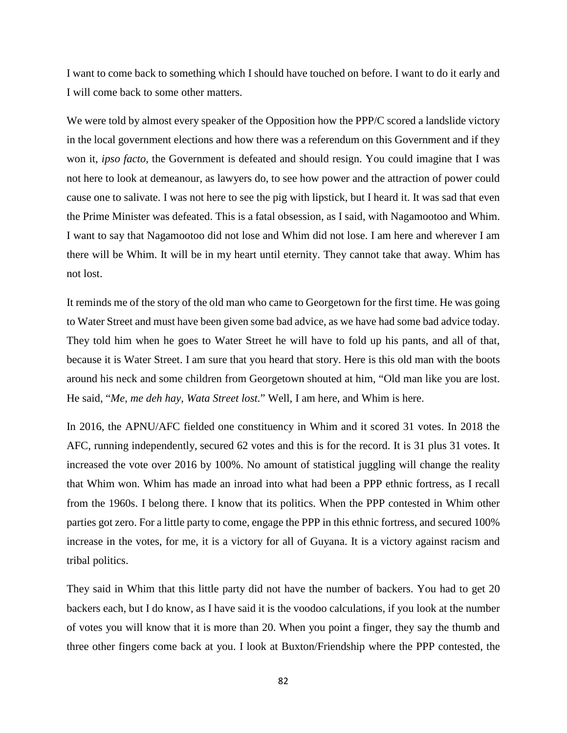I want to come back to something which I should have touched on before. I want to do it early and I will come back to some other matters.

We were told by almost every speaker of the Opposition how the PPP/C scored a landslide victory in the local government elections and how there was a referendum on this Government and if they won it, *ipso facto,* the Government is defeated and should resign. You could imagine that I was not here to look at demeanour, as lawyers do, to see how power and the attraction of power could cause one to salivate. I was not here to see the pig with lipstick, but I heard it. It was sad that even the Prime Minister was defeated. This is a fatal obsession, as I said, with Nagamootoo and Whim. I want to say that Nagamootoo did not lose and Whim did not lose. I am here and wherever I am there will be Whim. It will be in my heart until eternity. They cannot take that away. Whim has not lost.

It reminds me of the story of the old man who came to Georgetown for the first time. He was going to Water Street and must have been given some bad advice, as we have had some bad advice today. They told him when he goes to Water Street he will have to fold up his pants, and all of that, because it is Water Street. I am sure that you heard that story. Here is this old man with the boots around his neck and some children from Georgetown shouted at him, "Old man like you are lost. He said, "*Me, me deh hay, Wata Street lost.*" Well, I am here, and Whim is here.

In 2016, the APNU/AFC fielded one constituency in Whim and it scored 31 votes. In 2018 the AFC, running independently, secured 62 votes and this is for the record. It is 31 plus 31 votes. It increased the vote over 2016 by 100%. No amount of statistical juggling will change the reality that Whim won. Whim has made an inroad into what had been a PPP ethnic fortress, as I recall from the 1960s. I belong there. I know that its politics. When the PPP contested in Whim other parties got zero. For a little party to come, engage the PPP in this ethnic fortress, and secured 100% increase in the votes, for me, it is a victory for all of Guyana. It is a victory against racism and tribal politics.

They said in Whim that this little party did not have the number of backers. You had to get 20 backers each, but I do know, as I have said it is the voodoo calculations, if you look at the number of votes you will know that it is more than 20. When you point a finger, they say the thumb and three other fingers come back at you. I look at Buxton/Friendship where the PPP contested, the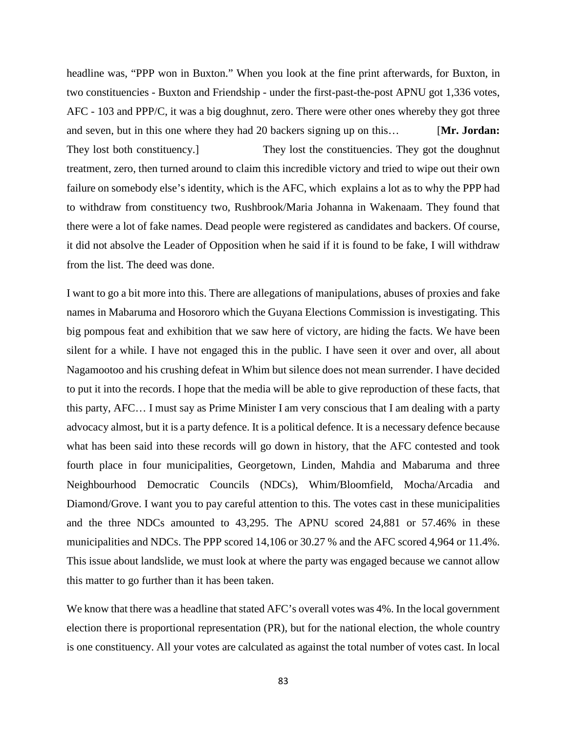headline was, "PPP won in Buxton." When you look at the fine print afterwards, for Buxton, in two constituencies - Buxton and Friendship - under the first-past-the-post APNU got 1,336 votes, AFC - 103 and PPP/C, it was a big doughnut, zero. There were other ones whereby they got three and seven, but in this one where they had 20 backers signing up on this… [**Mr. Jordan:** They lost both constituency.] They lost the constituencies. They got the doughnut treatment, zero, then turned around to claim this incredible victory and tried to wipe out their own failure on somebody else's identity, which is the AFC, which explains a lot as to why the PPP had to withdraw from constituency two, Rushbrook/Maria Johanna in Wakenaam. They found that there were a lot of fake names. Dead people were registered as candidates and backers. Of course, it did not absolve the Leader of Opposition when he said if it is found to be fake, I will withdraw from the list. The deed was done.

I want to go a bit more into this. There are allegations of manipulations, abuses of proxies and fake names in Mabaruma and Hosororo which the Guyana Elections Commission is investigating. This big pompous feat and exhibition that we saw here of victory, are hiding the facts. We have been silent for a while. I have not engaged this in the public. I have seen it over and over, all about Nagamootoo and his crushing defeat in Whim but silence does not mean surrender. I have decided to put it into the records. I hope that the media will be able to give reproduction of these facts, that this party, AFC… I must say as Prime Minister I am very conscious that I am dealing with a party advocacy almost, but it is a party defence. It is a political defence. It is a necessary defence because what has been said into these records will go down in history, that the AFC contested and took fourth place in four municipalities, Georgetown, Linden, Mahdia and Mabaruma and three Neighbourhood Democratic Councils (NDCs), Whim/Bloomfield, Mocha/Arcadia and Diamond/Grove. I want you to pay careful attention to this. The votes cast in these municipalities and the three NDCs amounted to 43,295. The APNU scored 24,881 or 57.46% in these municipalities and NDCs. The PPP scored 14,106 or 30.27 % and the AFC scored 4,964 or 11.4%. This issue about landslide, we must look at where the party was engaged because we cannot allow this matter to go further than it has been taken.

We know that there was a headline that stated AFC's overall votes was 4%. In the local government election there is proportional representation (PR), but for the national election, the whole country is one constituency. All your votes are calculated as against the total number of votes cast. In local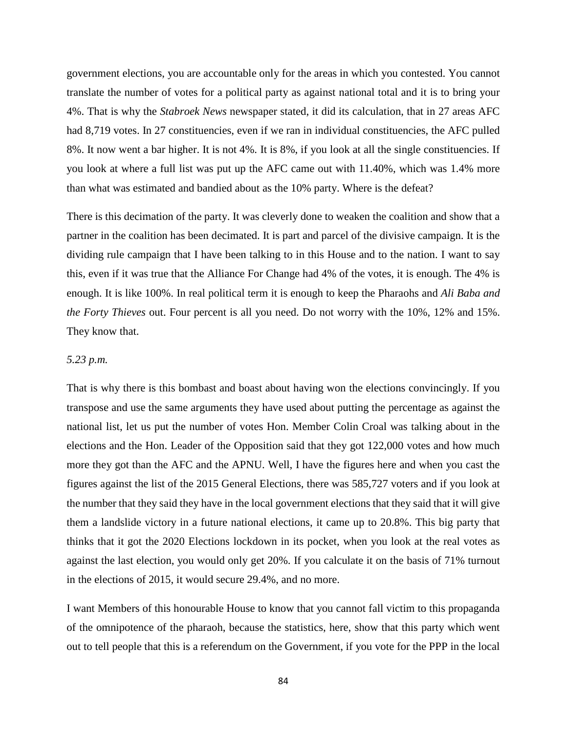government elections, you are accountable only for the areas in which you contested. You cannot translate the number of votes for a political party as against national total and it is to bring your 4%. That is why the *Stabroek News* newspaper stated, it did its calculation, that in 27 areas AFC had 8,719 votes. In 27 constituencies, even if we ran in individual constituencies, the AFC pulled 8%. It now went a bar higher. It is not 4%. It is 8%, if you look at all the single constituencies. If you look at where a full list was put up the AFC came out with 11.40%, which was 1.4% more than what was estimated and bandied about as the 10% party. Where is the defeat?

There is this decimation of the party. It was cleverly done to weaken the coalition and show that a partner in the coalition has been decimated. It is part and parcel of the divisive campaign. It is the dividing rule campaign that I have been talking to in this House and to the nation. I want to say this, even if it was true that the Alliance For Change had 4% of the votes, it is enough. The 4% is enough. It is like 100%. In real political term it is enough to keep the Pharaohs and *Ali Baba and the Forty Thieves* out. Four percent is all you need. Do not worry with the 10%, 12% and 15%. They know that.

#### *5.23 p.m.*

That is why there is this bombast and boast about having won the elections convincingly. If you transpose and use the same arguments they have used about putting the percentage as against the national list, let us put the number of votes Hon. Member Colin Croal was talking about in the elections and the Hon. Leader of the Opposition said that they got 122,000 votes and how much more they got than the AFC and the APNU. Well, I have the figures here and when you cast the figures against the list of the 2015 General Elections, there was 585,727 voters and if you look at the number that they said they have in the local government elections that they said that it will give them a landslide victory in a future national elections, it came up to 20.8%. This big party that thinks that it got the 2020 Elections lockdown in its pocket, when you look at the real votes as against the last election, you would only get 20%. If you calculate it on the basis of 71% turnout in the elections of 2015, it would secure 29.4%, and no more.

I want Members of this honourable House to know that you cannot fall victim to this propaganda of the omnipotence of the pharaoh, because the statistics, here, show that this party which went out to tell people that this is a referendum on the Government, if you vote for the PPP in the local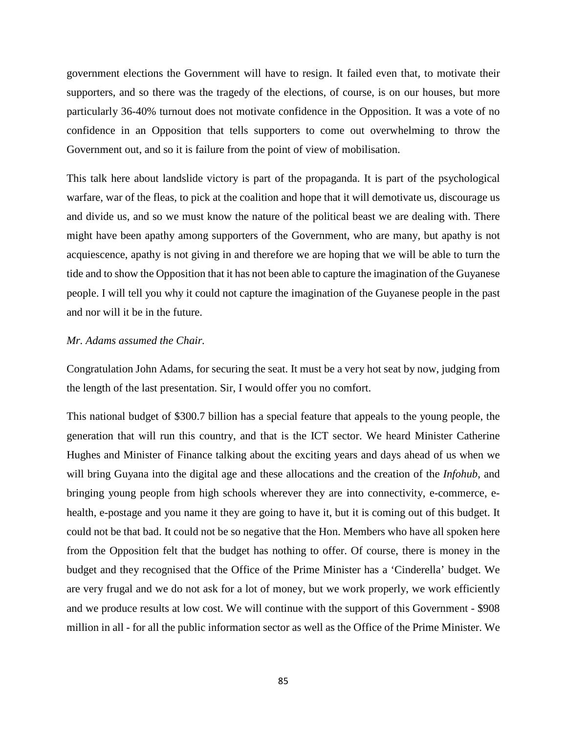government elections the Government will have to resign. It failed even that, to motivate their supporters, and so there was the tragedy of the elections, of course, is on our houses, but more particularly 36-40% turnout does not motivate confidence in the Opposition. It was a vote of no confidence in an Opposition that tells supporters to come out overwhelming to throw the Government out, and so it is failure from the point of view of mobilisation.

This talk here about landslide victory is part of the propaganda. It is part of the psychological warfare, war of the fleas, to pick at the coalition and hope that it will demotivate us, discourage us and divide us, and so we must know the nature of the political beast we are dealing with. There might have been apathy among supporters of the Government, who are many, but apathy is not acquiescence, apathy is not giving in and therefore we are hoping that we will be able to turn the tide and to show the Opposition that it has not been able to capture the imagination of the Guyanese people. I will tell you why it could not capture the imagination of the Guyanese people in the past and nor will it be in the future.

### *Mr. Adams assumed the Chair.*

Congratulation John Adams, for securing the seat. It must be a very hot seat by now, judging from the length of the last presentation. Sir, I would offer you no comfort.

This national budget of \$300.7 billion has a special feature that appeals to the young people, the generation that will run this country, and that is the ICT sector. We heard Minister Catherine Hughes and Minister of Finance talking about the exciting years and days ahead of us when we will bring Guyana into the digital age and these allocations and the creation of the *Infohub*, and bringing young people from high schools wherever they are into connectivity, e-commerce, ehealth, e-postage and you name it they are going to have it, but it is coming out of this budget. It could not be that bad. It could not be so negative that the Hon. Members who have all spoken here from the Opposition felt that the budget has nothing to offer. Of course, there is money in the budget and they recognised that the Office of the Prime Minister has a 'Cinderella' budget. We are very frugal and we do not ask for a lot of money, but we work properly, we work efficiently and we produce results at low cost. We will continue with the support of this Government - \$908 million in all - for all the public information sector as well as the Office of the Prime Minister. We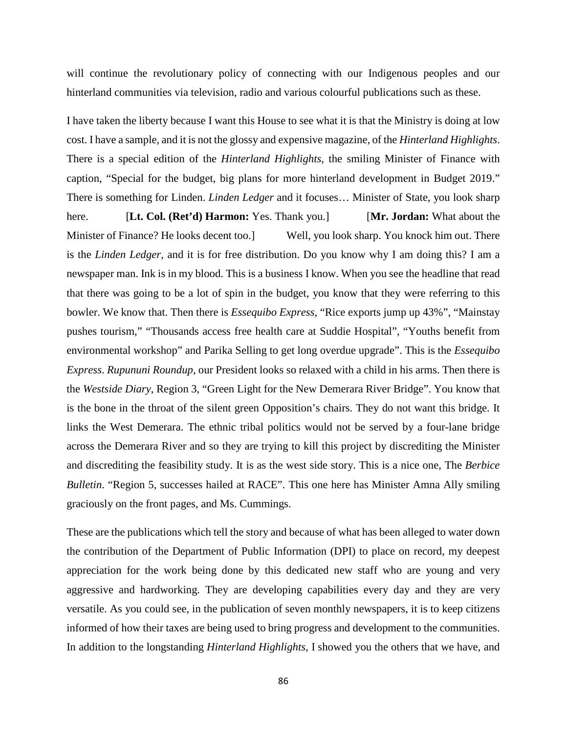will continue the revolutionary policy of connecting with our Indigenous peoples and our hinterland communities via television, radio and various colourful publications such as these.

I have taken the liberty because I want this House to see what it is that the Ministry is doing at low cost. I have a sample, and it is not the glossy and expensive magazine, of the *Hinterland Highlights*. There is a special edition of the *Hinterland Highlights*, the smiling Minister of Finance with caption, "Special for the budget, big plans for more hinterland development in Budget 2019." There is something for Linden. *Linden Ledger* and it focuses… Minister of State, you look sharp here. [**Lt. Col. (Ret'd) Harmon:** Yes. Thank you.] [**Mr. Jordan:** What about the Minister of Finance? He looks decent too.] Well, you look sharp. You knock him out. There is the *Linden Ledger*, and it is for free distribution. Do you know why I am doing this? I am a newspaper man. Ink is in my blood. This is a business I know. When you see the headline that read that there was going to be a lot of spin in the budget, you know that they were referring to this bowler. We know that. Then there is *Essequibo Express,* "Rice exports jump up 43%", "Mainstay pushes tourism," "Thousands access free health care at Suddie Hospital", "Youths benefit from environmental workshop" and Parika Selling to get long overdue upgrade". This is the *Essequibo Express*. *Rupununi Roundup,* our President looks so relaxed with a child in his arms. Then there is the *Westside Diary*, Region 3, "Green Light for the New Demerara River Bridge". You know that is the bone in the throat of the silent green Opposition's chairs. They do not want this bridge. It links the West Demerara. The ethnic tribal politics would not be served by a four-lane bridge across the Demerara River and so they are trying to kill this project by discrediting the Minister and discrediting the feasibility study. It is as the west side story. This is a nice one, The *Berbice Bulletin*. "Region 5, successes hailed at RACE". This one here has Minister Amna Ally smiling graciously on the front pages, and Ms. Cummings.

These are the publications which tell the story and because of what has been alleged to water down the contribution of the Department of Public Information (DPI) to place on record, my deepest appreciation for the work being done by this dedicated new staff who are young and very aggressive and hardworking. They are developing capabilities every day and they are very versatile. As you could see, in the publication of seven monthly newspapers, it is to keep citizens informed of how their taxes are being used to bring progress and development to the communities. In addition to the longstanding *Hinterland Highlights*, I showed you the others that we have, and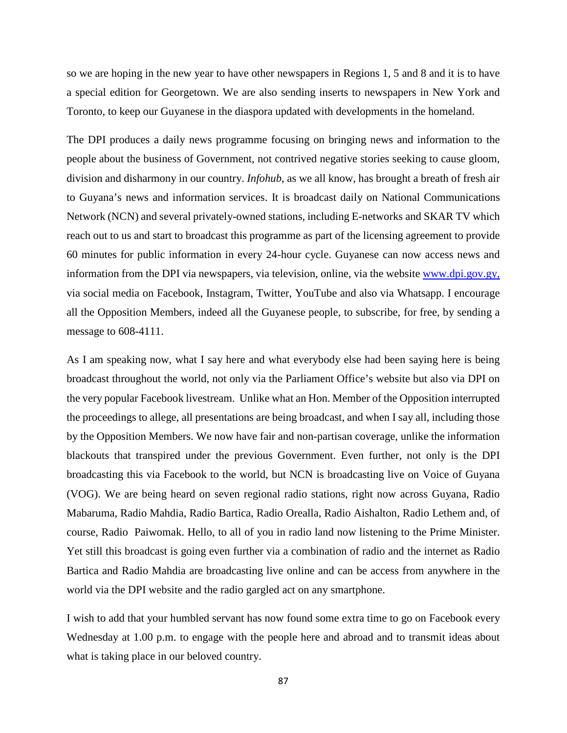so we are hoping in the new year to have other newspapers in Regions 1, 5 and 8 and it is to have a special edition for Georgetown. We are also sending inserts to newspapers in New York and Toronto, to keep our Guyanese in the diaspora updated with developments in the homeland.

The DPI produces a daily news programme focusing on bringing news and information to the people about the business of Government, not contrived negative stories seeking to cause gloom, division and disharmony in our country. *Infohub*, as we all know, has brought a breath of fresh air to Guyana's news and information services. It is broadcast daily on National Communications Network (NCN) and several privately-owned stations, including E-networks and SKAR TV which reach out to us and start to broadcast this programme as part of the licensing agreement to provide 60 minutes for public information in every 24-hour cycle. Guyanese can now access news and information from the DPI via newspapers, via television, online, via the website [www.dpi.gov.gy,](http://www.dpi.gov.gy/) via social media on Facebook, Instagram, Twitter, YouTube and also via Whatsapp. I encourage all the Opposition Members, indeed all the Guyanese people, to subscribe, for free, by sending a message to 608-4111.

As I am speaking now, what I say here and what everybody else had been saying here is being broadcast throughout the world, not only via the Parliament Office's website but also via DPI on the very popular Facebook livestream. Unlike what an Hon. Member of the Opposition interrupted the proceedings to allege, all presentations are being broadcast, and when I say all, including those by the Opposition Members. We now have fair and non-partisan coverage, unlike the information blackouts that transpired under the previous Government. Even further, not only is the DPI broadcasting this via Facebook to the world, but NCN is broadcasting live on Voice of Guyana (VOG). We are being heard on seven regional radio stations, right now across Guyana, Radio Mabaruma, Radio Mahdia, Radio Bartica, Radio Orealla, Radio Aishalton, Radio Lethem and, of course, Radio Paiwomak. Hello, to all of you in radio land now listening to the Prime Minister. Yet still this broadcast is going even further via a combination of radio and the internet as Radio Bartica and Radio Mahdia are broadcasting live online and can be access from anywhere in the world via the DPI website and the radio gargled act on any smartphone.

I wish to add that your humbled servant has now found some extra time to go on Facebook every Wednesday at 1.00 p.m. to engage with the people here and abroad and to transmit ideas about what is taking place in our beloved country.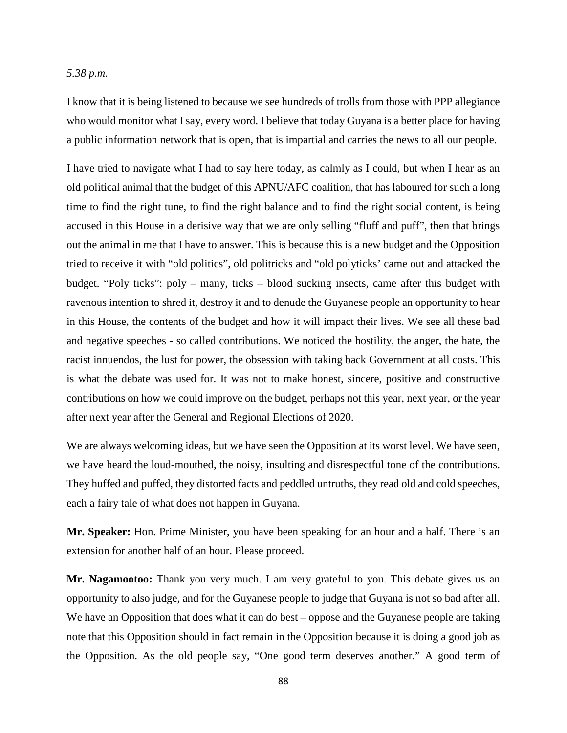#### *5.38 p.m.*

I know that it is being listened to because we see hundreds of trolls from those with PPP allegiance who would monitor what I say, every word. I believe that today Guyana is a better place for having a public information network that is open, that is impartial and carries the news to all our people.

I have tried to navigate what I had to say here today, as calmly as I could, but when I hear as an old political animal that the budget of this APNU/AFC coalition, that has laboured for such a long time to find the right tune, to find the right balance and to find the right social content, is being accused in this House in a derisive way that we are only selling "fluff and puff", then that brings out the animal in me that I have to answer. This is because this is a new budget and the Opposition tried to receive it with "old politics", old politricks and "old polyticks' came out and attacked the budget. "Poly ticks": poly – many, ticks – blood sucking insects, came after this budget with ravenous intention to shred it, destroy it and to denude the Guyanese people an opportunity to hear in this House, the contents of the budget and how it will impact their lives. We see all these bad and negative speeches - so called contributions. We noticed the hostility, the anger, the hate, the racist innuendos, the lust for power, the obsession with taking back Government at all costs. This is what the debate was used for. It was not to make honest, sincere, positive and constructive contributions on how we could improve on the budget, perhaps not this year, next year, or the year after next year after the General and Regional Elections of 2020.

We are always welcoming ideas, but we have seen the Opposition at its worst level. We have seen, we have heard the loud-mouthed, the noisy, insulting and disrespectful tone of the contributions. They huffed and puffed, they distorted facts and peddled untruths, they read old and cold speeches, each a fairy tale of what does not happen in Guyana.

**Mr. Speaker:** Hon. Prime Minister, you have been speaking for an hour and a half. There is an extension for another half of an hour. Please proceed.

**Mr. Nagamootoo:** Thank you very much. I am very grateful to you. This debate gives us an opportunity to also judge, and for the Guyanese people to judge that Guyana is not so bad after all. We have an Opposition that does what it can do best – oppose and the Guyanese people are taking note that this Opposition should in fact remain in the Opposition because it is doing a good job as the Opposition. As the old people say, "One good term deserves another." A good term of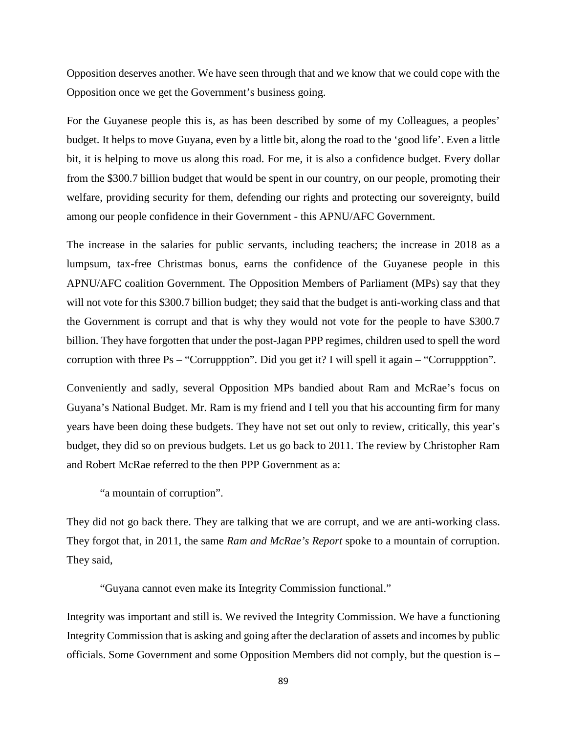Opposition deserves another. We have seen through that and we know that we could cope with the Opposition once we get the Government's business going.

For the Guyanese people this is, as has been described by some of my Colleagues, a peoples' budget. It helps to move Guyana, even by a little bit, along the road to the 'good life'. Even a little bit, it is helping to move us along this road. For me, it is also a confidence budget. Every dollar from the \$300.7 billion budget that would be spent in our country, on our people, promoting their welfare, providing security for them, defending our rights and protecting our sovereignty, build among our people confidence in their Government - this APNU/AFC Government.

The increase in the salaries for public servants, including teachers; the increase in 2018 as a lumpsum, tax-free Christmas bonus, earns the confidence of the Guyanese people in this APNU/AFC coalition Government. The Opposition Members of Parliament (MPs) say that they will not vote for this \$300.7 billion budget; they said that the budget is anti-working class and that the Government is corrupt and that is why they would not vote for the people to have \$300.7 billion. They have forgotten that under the post-Jagan PPP regimes, children used to spell the word corruption with three Ps – "Corruppption". Did you get it? I will spell it again – "Corruppption".

Conveniently and sadly, several Opposition MPs bandied about Ram and McRae's focus on Guyana's National Budget. Mr. Ram is my friend and I tell you that his accounting firm for many years have been doing these budgets. They have not set out only to review, critically, this year's budget, they did so on previous budgets. Let us go back to 2011. The review by Christopher Ram and Robert McRae referred to the then PPP Government as a:

"a mountain of corruption".

They did not go back there. They are talking that we are corrupt, and we are anti-working class. They forgot that, in 2011, the same *Ram and McRae's Report* spoke to a mountain of corruption. They said,

"Guyana cannot even make its Integrity Commission functional."

Integrity was important and still is. We revived the Integrity Commission. We have a functioning Integrity Commission that is asking and going after the declaration of assets and incomes by public officials. Some Government and some Opposition Members did not comply, but the question is –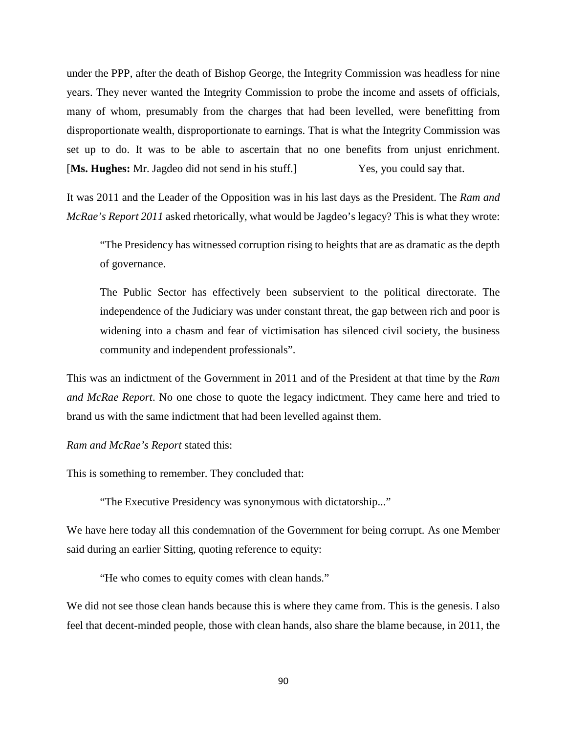under the PPP, after the death of Bishop George, the Integrity Commission was headless for nine years. They never wanted the Integrity Commission to probe the income and assets of officials, many of whom, presumably from the charges that had been levelled, were benefitting from disproportionate wealth, disproportionate to earnings. That is what the Integrity Commission was set up to do. It was to be able to ascertain that no one benefits from unjust enrichment. [**Ms. Hughes:** Mr. Jagdeo did not send in his stuff.] Yes, you could say that.

It was 2011 and the Leader of the Opposition was in his last days as the President. The *Ram and McRae's Report 2011* asked rhetorically, what would be Jagdeo's legacy? This is what they wrote:

"The Presidency has witnessed corruption rising to heights that are as dramatic as the depth of governance.

The Public Sector has effectively been subservient to the political directorate. The independence of the Judiciary was under constant threat, the gap between rich and poor is widening into a chasm and fear of victimisation has silenced civil society, the business community and independent professionals".

This was an indictment of the Government in 2011 and of the President at that time by the *Ram and McRae Report*. No one chose to quote the legacy indictment. They came here and tried to brand us with the same indictment that had been levelled against them.

*Ram and McRae's Report* stated this:

This is something to remember. They concluded that:

"The Executive Presidency was synonymous with dictatorship..."

We have here today all this condemnation of the Government for being corrupt. As one Member said during an earlier Sitting, quoting reference to equity:

"He who comes to equity comes with clean hands."

We did not see those clean hands because this is where they came from. This is the genesis. I also feel that decent-minded people, those with clean hands, also share the blame because, in 2011, the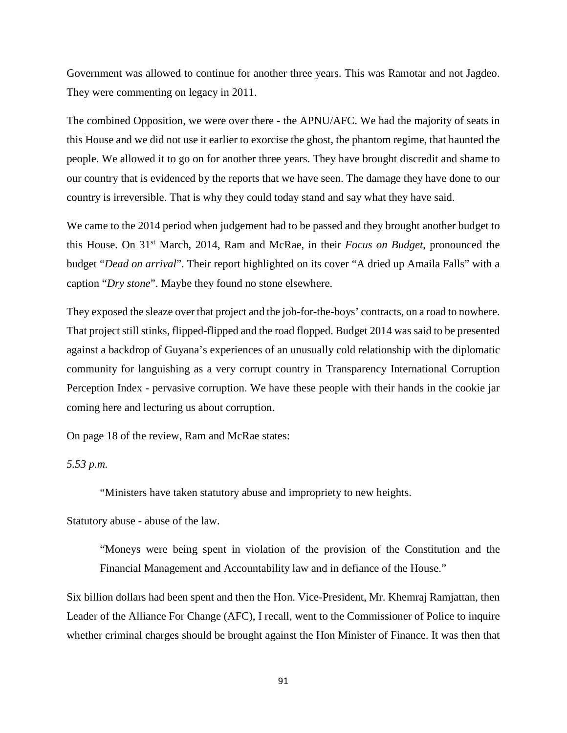Government was allowed to continue for another three years. This was Ramotar and not Jagdeo. They were commenting on legacy in 2011.

The combined Opposition, we were over there - the APNU/AFC. We had the majority of seats in this House and we did not use it earlier to exorcise the ghost, the phantom regime, that haunted the people. We allowed it to go on for another three years. They have brought discredit and shame to our country that is evidenced by the reports that we have seen. The damage they have done to our country is irreversible. That is why they could today stand and say what they have said.

We came to the 2014 period when judgement had to be passed and they brought another budget to this House. On 31st March, 2014, Ram and McRae, in their *Focus on Budget*, pronounced the budget "*Dead on arrival*". Their report highlighted on its cover "A dried up Amaila Falls" with a caption "*Dry stone*". Maybe they found no stone elsewhere.

They exposed the sleaze over that project and the job-for-the-boys' contracts, on a road to nowhere. That project still stinks, flipped-flipped and the road flopped. Budget 2014 was said to be presented against a backdrop of Guyana's experiences of an unusually cold relationship with the diplomatic community for languishing as a very corrupt country in Transparency International Corruption Perception Index - pervasive corruption. We have these people with their hands in the cookie jar coming here and lecturing us about corruption.

On page 18 of the review, Ram and McRae states:

*5.53 p.m.* 

"Ministers have taken statutory abuse and impropriety to new heights.

Statutory abuse - abuse of the law.

"Moneys were being spent in violation of the provision of the Constitution and the Financial Management and Accountability law and in defiance of the House."

Six billion dollars had been spent and then the Hon. Vice-President, Mr. Khemraj Ramjattan, then Leader of the Alliance For Change (AFC), I recall, went to the Commissioner of Police to inquire whether criminal charges should be brought against the Hon Minister of Finance. It was then that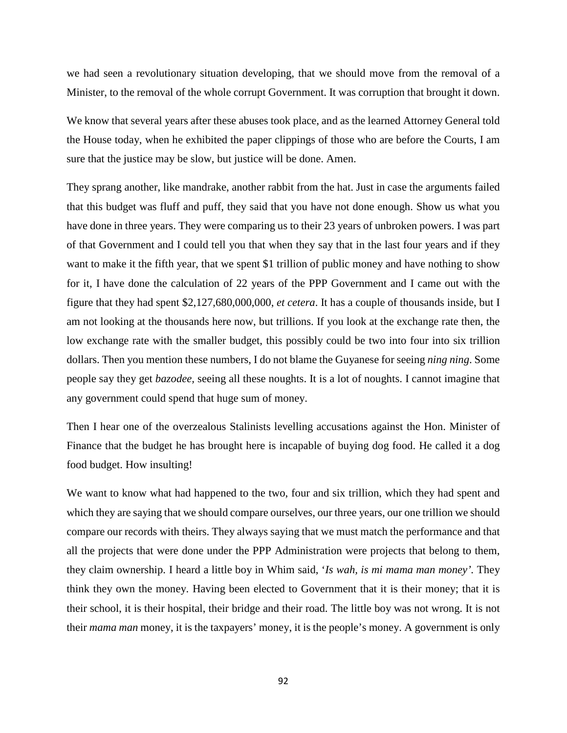we had seen a revolutionary situation developing, that we should move from the removal of a Minister, to the removal of the whole corrupt Government. It was corruption that brought it down.

We know that several years after these abuses took place, and as the learned Attorney General told the House today, when he exhibited the paper clippings of those who are before the Courts, I am sure that the justice may be slow, but justice will be done. Amen.

They sprang another, like mandrake, another rabbit from the hat. Just in case the arguments failed that this budget was fluff and puff, they said that you have not done enough. Show us what you have done in three years. They were comparing us to their 23 years of unbroken powers. I was part of that Government and I could tell you that when they say that in the last four years and if they want to make it the fifth year, that we spent \$1 trillion of public money and have nothing to show for it, I have done the calculation of 22 years of the PPP Government and I came out with the figure that they had spent \$2,127,680,000,000, *et cetera*. It has a couple of thousands inside, but I am not looking at the thousands here now, but trillions. If you look at the exchange rate then, the low exchange rate with the smaller budget, this possibly could be two into four into six trillion dollars. Then you mention these numbers, I do not blame the Guyanese for seeing *ning ning*. Some people say they get *bazodee,* seeing all these noughts. It is a lot of noughts. I cannot imagine that any government could spend that huge sum of money.

Then I hear one of the overzealous Stalinists levelling accusations against the Hon. Minister of Finance that the budget he has brought here is incapable of buying dog food. He called it a dog food budget. How insulting!

We want to know what had happened to the two, four and six trillion, which they had spent and which they are saying that we should compare ourselves, our three years, our one trillion we should compare our records with theirs. They always saying that we must match the performance and that all the projects that were done under the PPP Administration were projects that belong to them, they claim ownership. I heard a little boy in Whim said, '*Is wah, is mi mama man money'.* They think they own the money. Having been elected to Government that it is their money; that it is their school, it is their hospital, their bridge and their road. The little boy was not wrong. It is not their *mama man* money, it is the taxpayers' money, it is the people's money. A government is only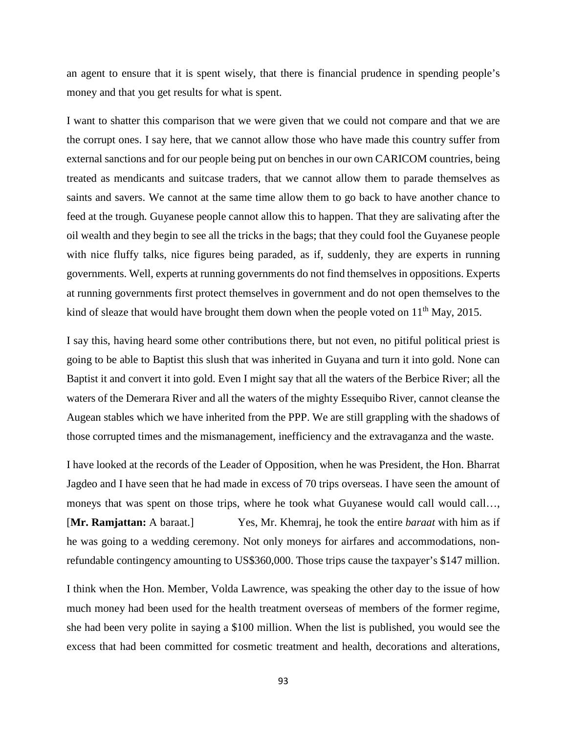an agent to ensure that it is spent wisely, that there is financial prudence in spending people's money and that you get results for what is spent.

I want to shatter this comparison that we were given that we could not compare and that we are the corrupt ones. I say here, that we cannot allow those who have made this country suffer from external sanctions and for our people being put on benches in our own CARICOM countries, being treated as mendicants and suitcase traders, that we cannot allow them to parade themselves as saints and savers. We cannot at the same time allow them to go back to have another chance to feed at the trough*.* Guyanese people cannot allow this to happen. That they are salivating after the oil wealth and they begin to see all the tricks in the bags; that they could fool the Guyanese people with nice fluffy talks, nice figures being paraded, as if, suddenly, they are experts in running governments. Well, experts at running governments do not find themselves in oppositions. Experts at running governments first protect themselves in government and do not open themselves to the kind of sleaze that would have brought them down when the people voted on  $11<sup>th</sup>$  May, 2015.

I say this, having heard some other contributions there, but not even, no pitiful political priest is going to be able to Baptist this slush that was inherited in Guyana and turn it into gold. None can Baptist it and convert it into gold. Even I might say that all the waters of the Berbice River; all the waters of the Demerara River and all the waters of the mighty Essequibo River, cannot cleanse the Augean stables which we have inherited from the PPP. We are still grappling with the shadows of those corrupted times and the mismanagement, inefficiency and the extravaganza and the waste.

I have looked at the records of the Leader of Opposition, when he was President, the Hon. Bharrat Jagdeo and I have seen that he had made in excess of 70 trips overseas. I have seen the amount of moneys that was spent on those trips, where he took what Guyanese would call would call..., [**Mr. Ramjattan:** A baraat.] Yes, Mr. Khemraj, he took the entire *baraat* with him as if he was going to a wedding ceremony. Not only moneys for airfares and accommodations, nonrefundable contingency amounting to US\$360,000. Those trips cause the taxpayer's \$147 million.

I think when the Hon. Member, Volda Lawrence, was speaking the other day to the issue of how much money had been used for the health treatment overseas of members of the former regime, she had been very polite in saying a \$100 million. When the list is published, you would see the excess that had been committed for cosmetic treatment and health, decorations and alterations,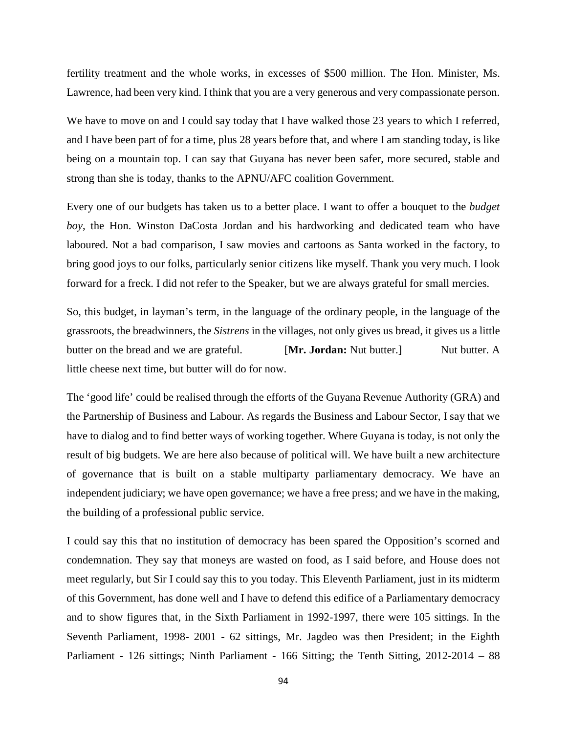fertility treatment and the whole works, in excesses of \$500 million. The Hon. Minister, Ms. Lawrence, had been very kind. I think that you are a very generous and very compassionate person.

We have to move on and I could say today that I have walked those 23 years to which I referred, and I have been part of for a time, plus 28 years before that, and where I am standing today, is like being on a mountain top. I can say that Guyana has never been safer, more secured, stable and strong than she is today, thanks to the APNU/AFC coalition Government.

Every one of our budgets has taken us to a better place. I want to offer a bouquet to the *budget boy*, the Hon. Winston DaCosta Jordan and his hardworking and dedicated team who have laboured. Not a bad comparison, I saw movies and cartoons as Santa worked in the factory, to bring good joys to our folks, particularly senior citizens like myself. Thank you very much. I look forward for a freck. I did not refer to the Speaker, but we are always grateful for small mercies.

So, this budget, in layman's term, in the language of the ordinary people, in the language of the grassroots, the breadwinners, the *Sistrens* in the villages, not only gives us bread, it gives us a little butter on the bread and we are grateful. **[Mr. Jordan:** Nut butter.] Nut butter. A little cheese next time, but butter will do for now.

The 'good life' could be realised through the efforts of the Guyana Revenue Authority (GRA) and the Partnership of Business and Labour. As regards the Business and Labour Sector, I say that we have to dialog and to find better ways of working together. Where Guyana is today, is not only the result of big budgets. We are here also because of political will. We have built a new architecture of governance that is built on a stable multiparty parliamentary democracy. We have an independent judiciary; we have open governance; we have a free press; and we have in the making, the building of a professional public service.

I could say this that no institution of democracy has been spared the Opposition's scorned and condemnation. They say that moneys are wasted on food, as I said before, and House does not meet regularly, but Sir I could say this to you today. This Eleventh Parliament, just in its midterm of this Government, has done well and I have to defend this edifice of a Parliamentary democracy and to show figures that, in the Sixth Parliament in 1992-1997, there were 105 sittings. In the Seventh Parliament, 1998- 2001 - 62 sittings, Mr. Jagdeo was then President; in the Eighth Parliament - 126 sittings; Ninth Parliament - 166 Sitting; the Tenth Sitting, 2012-2014 – 88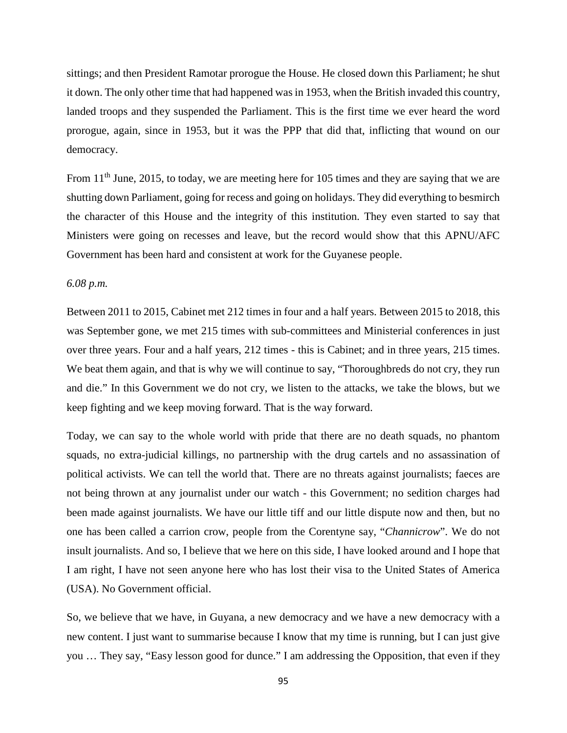sittings; and then President Ramotar prorogue the House. He closed down this Parliament; he shut it down. The only other time that had happened was in 1953, when the British invaded this country, landed troops and they suspended the Parliament. This is the first time we ever heard the word prorogue, again, since in 1953, but it was the PPP that did that, inflicting that wound on our democracy.

From 11<sup>th</sup> June, 2015, to today, we are meeting here for 105 times and they are saying that we are shutting down Parliament, going for recess and going on holidays. They did everything to besmirch the character of this House and the integrity of this institution. They even started to say that Ministers were going on recesses and leave, but the record would show that this APNU/AFC Government has been hard and consistent at work for the Guyanese people.

### *6.08 p.m.*

Between 2011 to 2015, Cabinet met 212 times in four and a half years. Between 2015 to 2018, this was September gone, we met 215 times with sub-committees and Ministerial conferences in just over three years. Four and a half years, 212 times - this is Cabinet; and in three years, 215 times. We beat them again, and that is why we will continue to say, "Thoroughbreds do not cry, they run and die." In this Government we do not cry, we listen to the attacks, we take the blows, but we keep fighting and we keep moving forward. That is the way forward.

Today, we can say to the whole world with pride that there are no death squads, no phantom squads, no extra-judicial killings, no partnership with the drug cartels and no assassination of political activists. We can tell the world that. There are no threats against journalists; faeces are not being thrown at any journalist under our watch - this Government; no sedition charges had been made against journalists. We have our little tiff and our little dispute now and then, but no one has been called a carrion crow, people from the Corentyne say, "*Channicrow*". We do not insult journalists. And so, I believe that we here on this side, I have looked around and I hope that I am right, I have not seen anyone here who has lost their visa to the United States of America (USA). No Government official.

So, we believe that we have, in Guyana, a new democracy and we have a new democracy with a new content. I just want to summarise because I know that my time is running, but I can just give you … They say, "Easy lesson good for dunce." I am addressing the Opposition, that even if they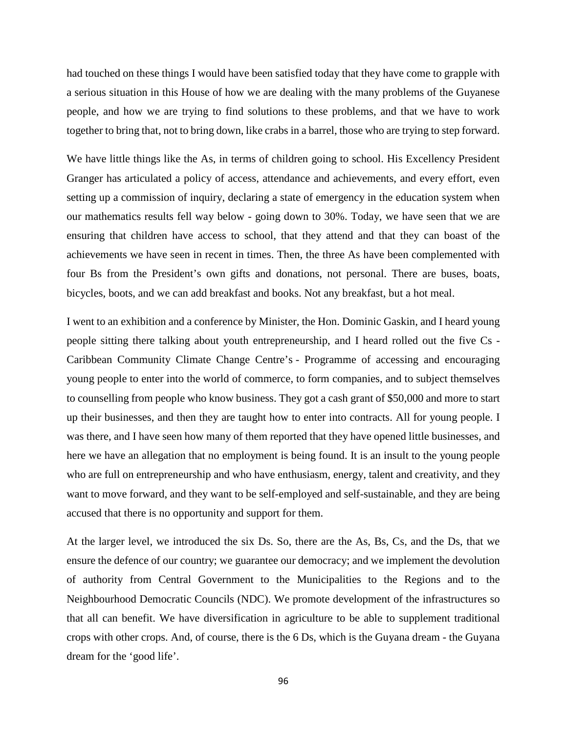had touched on these things I would have been satisfied today that they have come to grapple with a serious situation in this House of how we are dealing with the many problems of the Guyanese people, and how we are trying to find solutions to these problems, and that we have to work together to bring that, not to bring down, like crabs in a barrel, those who are trying to step forward.

We have little things like the As, in terms of children going to school. His Excellency President Granger has articulated a policy of access, attendance and achievements, and every effort, even setting up a commission of inquiry, declaring a state of emergency in the education system when our mathematics results fell way below - going down to 30%. Today, we have seen that we are ensuring that children have access to school, that they attend and that they can boast of the achievements we have seen in recent in times. Then, the three As have been complemented with four Bs from the President's own gifts and donations, not personal. There are buses, boats, bicycles, boots, and we can add breakfast and books. Not any breakfast, but a hot meal.

I went to an exhibition and a conference by Minister, the Hon. Dominic Gaskin, and I heard young people sitting there talking about youth entrepreneurship, and I heard rolled out the five Cs - Caribbean Community Climate Change Centre's - Programme of accessing and encouraging young people to enter into the world of commerce, to form companies, and to subject themselves to counselling from people who know business. They got a cash grant of \$50,000 and more to start up their businesses, and then they are taught how to enter into contracts. All for young people. I was there, and I have seen how many of them reported that they have opened little businesses, and here we have an allegation that no employment is being found. It is an insult to the young people who are full on entrepreneurship and who have enthusiasm, energy, talent and creativity, and they want to move forward, and they want to be self-employed and self-sustainable, and they are being accused that there is no opportunity and support for them.

At the larger level, we introduced the six Ds. So, there are the As, Bs, Cs, and the Ds, that we ensure the defence of our country; we guarantee our democracy; and we implement the devolution of authority from Central Government to the Municipalities to the Regions and to the Neighbourhood Democratic Councils (NDC). We promote development of the infrastructures so that all can benefit. We have diversification in agriculture to be able to supplement traditional crops with other crops. And, of course, there is the 6 Ds, which is the Guyana dream - the Guyana dream for the 'good life'.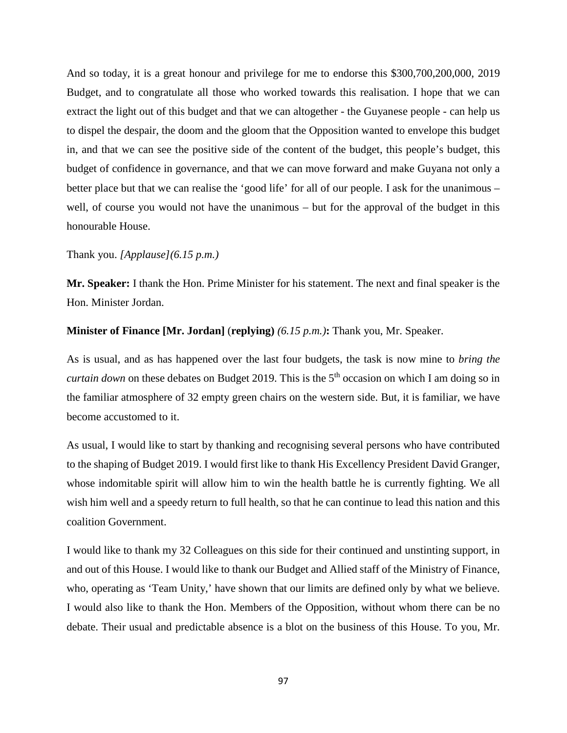And so today, it is a great honour and privilege for me to endorse this \$300,700,200,000, 2019 Budget, and to congratulate all those who worked towards this realisation. I hope that we can extract the light out of this budget and that we can altogether - the Guyanese people - can help us to dispel the despair, the doom and the gloom that the Opposition wanted to envelope this budget in, and that we can see the positive side of the content of the budget, this people's budget, this budget of confidence in governance, and that we can move forward and make Guyana not only a better place but that we can realise the 'good life' for all of our people. I ask for the unanimous – well, of course you would not have the unanimous – but for the approval of the budget in this honourable House.

## Thank you. *[Applause](6.15 p.m.)*

**Mr. Speaker:** I thank the Hon. Prime Minister for his statement. The next and final speaker is the Hon. Minister Jordan.

### **Minister of Finance [Mr. Jordan]** (**replying)** *(6.15 p.m.)***:** Thank you, Mr. Speaker.

As is usual, and as has happened over the last four budgets, the task is now mine to *bring the curtain down* on these debates on Budget 2019. This is the 5<sup>th</sup> occasion on which I am doing so in the familiar atmosphere of 32 empty green chairs on the western side. But, it is familiar, we have become accustomed to it.

As usual, I would like to start by thanking and recognising several persons who have contributed to the shaping of Budget 2019. I would first like to thank His Excellency President David Granger, whose indomitable spirit will allow him to win the health battle he is currently fighting. We all wish him well and a speedy return to full health, so that he can continue to lead this nation and this coalition Government.

I would like to thank my 32 Colleagues on this side for their continued and unstinting support, in and out of this House. I would like to thank our Budget and Allied staff of the Ministry of Finance, who, operating as 'Team Unity,' have shown that our limits are defined only by what we believe. I would also like to thank the Hon. Members of the Opposition, without whom there can be no debate. Their usual and predictable absence is a blot on the business of this House. To you, Mr.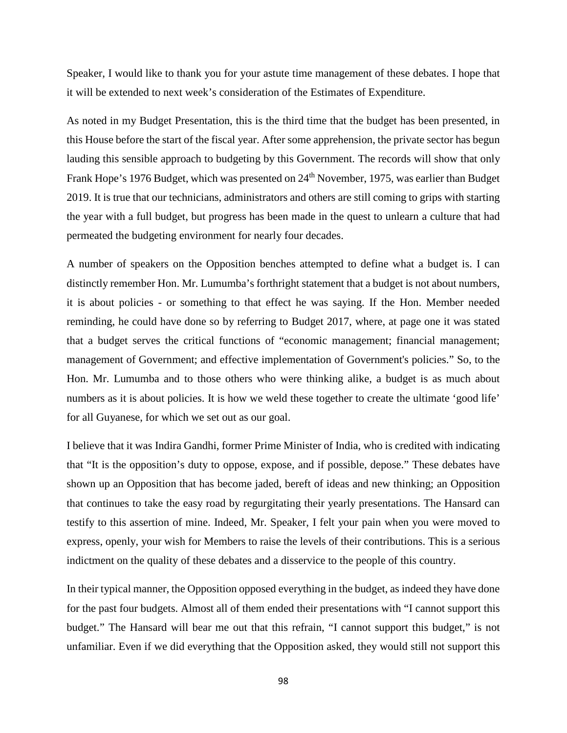Speaker, I would like to thank you for your astute time management of these debates. I hope that it will be extended to next week's consideration of the Estimates of Expenditure.

As noted in my Budget Presentation, this is the third time that the budget has been presented, in this House before the start of the fiscal year. After some apprehension, the private sector has begun lauding this sensible approach to budgeting by this Government. The records will show that only Frank Hope's 1976 Budget, which was presented on 24<sup>th</sup> November, 1975, was earlier than Budget 2019. It is true that our technicians, administrators and others are still coming to grips with starting the year with a full budget, but progress has been made in the quest to unlearn a culture that had permeated the budgeting environment for nearly four decades.

A number of speakers on the Opposition benches attempted to define what a budget is. I can distinctly remember Hon. Mr. Lumumba's forthright statement that a budget is not about numbers, it is about policies - or something to that effect he was saying. If the Hon. Member needed reminding, he could have done so by referring to Budget 2017, where, at page one it was stated that a budget serves the critical functions of "economic management; financial management; management of Government; and effective implementation of Government's policies." So, to the Hon. Mr. Lumumba and to those others who were thinking alike, a budget is as much about numbers as it is about policies. It is how we weld these together to create the ultimate 'good life' for all Guyanese, for which we set out as our goal.

I believe that it was Indira Gandhi, former Prime Minister of India, who is credited with indicating that "It is the opposition's duty to oppose, expose, and if possible, depose." These debates have shown up an Opposition that has become jaded, bereft of ideas and new thinking; an Opposition that continues to take the easy road by regurgitating their yearly presentations. The Hansard can testify to this assertion of mine. Indeed, Mr. Speaker, I felt your pain when you were moved to express, openly, your wish for Members to raise the levels of their contributions. This is a serious indictment on the quality of these debates and a disservice to the people of this country.

In their typical manner, the Opposition opposed everything in the budget, as indeed they have done for the past four budgets. Almost all of them ended their presentations with "I cannot support this budget." The Hansard will bear me out that this refrain, "I cannot support this budget," is not unfamiliar. Even if we did everything that the Opposition asked, they would still not support this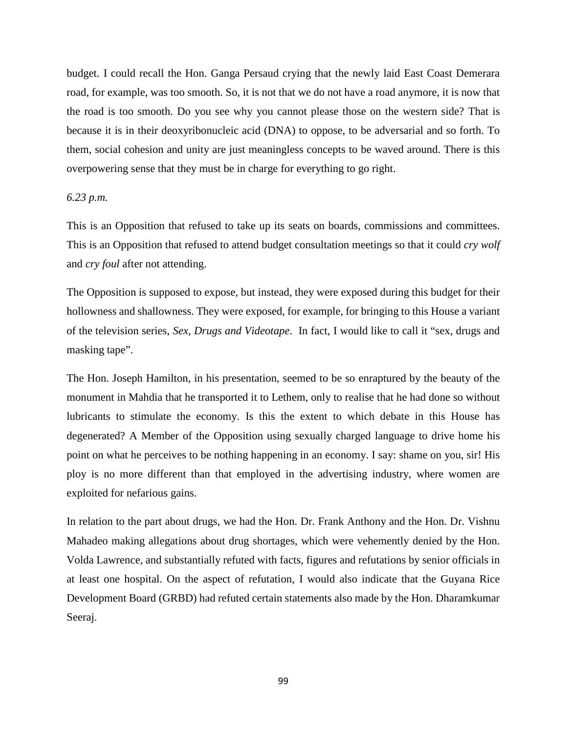budget. I could recall the Hon. Ganga Persaud crying that the newly laid East Coast Demerara road, for example, was too smooth. So, it is not that we do not have a road anymore, it is now that the road is too smooth. Do you see why you cannot please those on the western side? That is because it is in their deoxyribonucleic acid (DNA) to oppose, to be adversarial and so forth. To them, social cohesion and unity are just meaningless concepts to be waved around. There is this overpowering sense that they must be in charge for everything to go right.

#### *6.23 p.m.*

This is an Opposition that refused to take up its seats on boards, commissions and committees. This is an Opposition that refused to attend budget consultation meetings so that it could *cry wolf* and *cry foul* after not attending.

The Opposition is supposed to expose, but instead, they were exposed during this budget for their hollowness and shallowness. They were exposed, for example, for bringing to this House a variant of the television series, *Sex, Drugs and Videotape*. In fact, I would like to call it "sex, drugs and masking tape".

The Hon. Joseph Hamilton, in his presentation, seemed to be so enraptured by the beauty of the monument in Mahdia that he transported it to Lethem, only to realise that he had done so without lubricants to stimulate the economy. Is this the extent to which debate in this House has degenerated? A Member of the Opposition using sexually charged language to drive home his point on what he perceives to be nothing happening in an economy. I say: shame on you, sir! His ploy is no more different than that employed in the advertising industry, where women are exploited for nefarious gains.

In relation to the part about drugs, we had the Hon. Dr. Frank Anthony and the Hon. Dr. Vishnu Mahadeo making allegations about drug shortages, which were vehemently denied by the Hon. Volda Lawrence, and substantially refuted with facts, figures and refutations by senior officials in at least one hospital. On the aspect of refutation, I would also indicate that the Guyana Rice Development Board (GRBD) had refuted certain statements also made by the Hon. Dharamkumar Seeraj.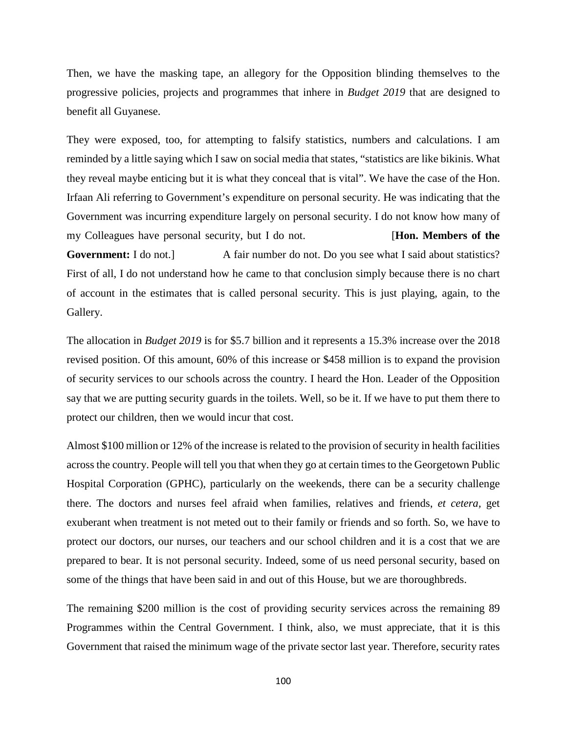Then, we have the masking tape, an allegory for the Opposition blinding themselves to the progressive policies, projects and programmes that inhere in *Budget 2019* that are designed to benefit all Guyanese.

They were exposed, too, for attempting to falsify statistics, numbers and calculations. I am reminded by a little saying which I saw on social media that states, "statistics are like bikinis. What they reveal maybe enticing but it is what they conceal that is vital". We have the case of the Hon. Irfaan Ali referring to Government's expenditure on personal security. He was indicating that the Government was incurring expenditure largely on personal security. I do not know how many of my Colleagues have personal security, but I do not. [**Hon. Members of the Government:** I do not.] A fair number do not. Do you see what I said about statistics? First of all, I do not understand how he came to that conclusion simply because there is no chart of account in the estimates that is called personal security. This is just playing, again, to the Gallery.

The allocation in *Budget 2019* is for \$5.7 billion and it represents a 15.3% increase over the 2018 revised position. Of this amount, 60% of this increase or \$458 million is to expand the provision of security services to our schools across the country. I heard the Hon. Leader of the Opposition say that we are putting security guards in the toilets. Well, so be it. If we have to put them there to protect our children, then we would incur that cost.

Almost \$100 million or 12% of the increase is related to the provision of security in health facilities across the country. People will tell you that when they go at certain times to the Georgetown Public Hospital Corporation (GPHC), particularly on the weekends, there can be a security challenge there. The doctors and nurses feel afraid when families, relatives and friends, *et cetera,* get exuberant when treatment is not meted out to their family or friends and so forth. So, we have to protect our doctors, our nurses, our teachers and our school children and it is a cost that we are prepared to bear. It is not personal security. Indeed, some of us need personal security, based on some of the things that have been said in and out of this House, but we are thoroughbreds.

The remaining \$200 million is the cost of providing security services across the remaining 89 Programmes within the Central Government. I think, also, we must appreciate, that it is this Government that raised the minimum wage of the private sector last year. Therefore, security rates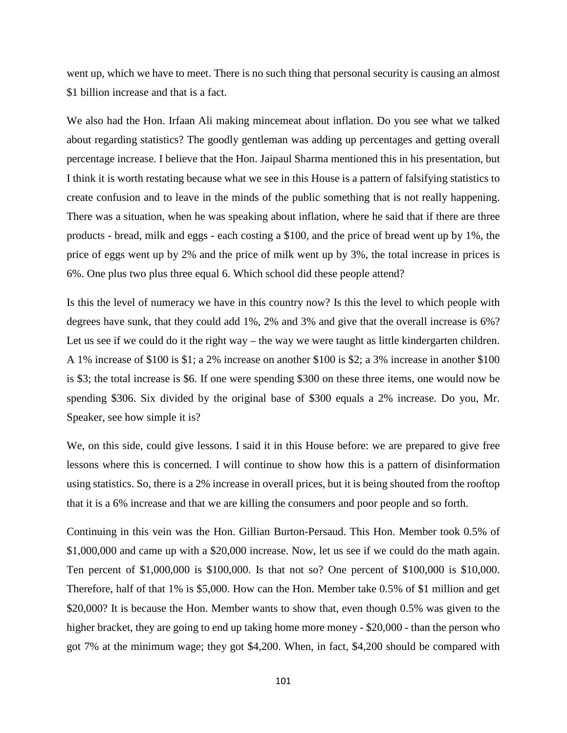went up, which we have to meet. There is no such thing that personal security is causing an almost \$1 billion increase and that is a fact.

We also had the Hon. Irfaan Ali making mincemeat about inflation. Do you see what we talked about regarding statistics? The goodly gentleman was adding up percentages and getting overall percentage increase. I believe that the Hon. Jaipaul Sharma mentioned this in his presentation, but I think it is worth restating because what we see in this House is a pattern of falsifying statistics to create confusion and to leave in the minds of the public something that is not really happening. There was a situation, when he was speaking about inflation, where he said that if there are three products - bread, milk and eggs - each costing a \$100, and the price of bread went up by 1%, the price of eggs went up by 2% and the price of milk went up by 3%, the total increase in prices is 6%. One plus two plus three equal 6. Which school did these people attend?

Is this the level of numeracy we have in this country now? Is this the level to which people with degrees have sunk, that they could add 1%, 2% and 3% and give that the overall increase is 6%? Let us see if we could do it the right way – the way we were taught as little kindergarten children. A 1% increase of \$100 is \$1; a 2% increase on another \$100 is \$2; a 3% increase in another \$100 is \$3; the total increase is \$6. If one were spending \$300 on these three items, one would now be spending \$306. Six divided by the original base of \$300 equals a 2% increase. Do you, Mr. Speaker, see how simple it is?

We, on this side, could give lessons. I said it in this House before: we are prepared to give free lessons where this is concerned. I will continue to show how this is a pattern of disinformation using statistics. So, there is a 2% increase in overall prices, but it is being shouted from the rooftop that it is a 6% increase and that we are killing the consumers and poor people and so forth.

Continuing in this vein was the Hon. Gillian Burton-Persaud. This Hon. Member took 0.5% of \$1,000,000 and came up with a \$20,000 increase. Now, let us see if we could do the math again. Ten percent of \$1,000,000 is \$100,000. Is that not so? One percent of \$100,000 is \$10,000. Therefore, half of that 1% is \$5,000. How can the Hon. Member take 0.5% of \$1 million and get \$20,000? It is because the Hon. Member wants to show that, even though 0.5% was given to the higher bracket, they are going to end up taking home more money - \$20,000 - than the person who got 7% at the minimum wage; they got \$4,200. When, in fact, \$4,200 should be compared with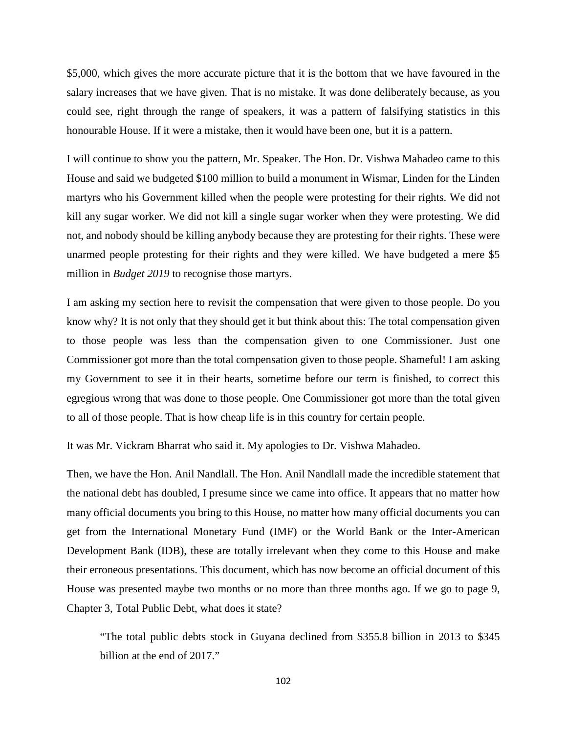\$5,000, which gives the more accurate picture that it is the bottom that we have favoured in the salary increases that we have given. That is no mistake. It was done deliberately because, as you could see, right through the range of speakers, it was a pattern of falsifying statistics in this honourable House. If it were a mistake, then it would have been one, but it is a pattern.

I will continue to show you the pattern, Mr. Speaker. The Hon. Dr. Vishwa Mahadeo came to this House and said we budgeted \$100 million to build a monument in Wismar, Linden for the Linden martyrs who his Government killed when the people were protesting for their rights. We did not kill any sugar worker. We did not kill a single sugar worker when they were protesting. We did not, and nobody should be killing anybody because they are protesting for their rights. These were unarmed people protesting for their rights and they were killed. We have budgeted a mere \$5 million in *Budget 2019* to recognise those martyrs.

I am asking my section here to revisit the compensation that were given to those people. Do you know why? It is not only that they should get it but think about this: The total compensation given to those people was less than the compensation given to one Commissioner. Just one Commissioner got more than the total compensation given to those people. Shameful! I am asking my Government to see it in their hearts, sometime before our term is finished, to correct this egregious wrong that was done to those people. One Commissioner got more than the total given to all of those people. That is how cheap life is in this country for certain people.

It was Mr. Vickram Bharrat who said it. My apologies to Dr. Vishwa Mahadeo.

Then, we have the Hon. Anil Nandlall. The Hon. Anil Nandlall made the incredible statement that the national debt has doubled, I presume since we came into office. It appears that no matter how many official documents you bring to this House, no matter how many official documents you can get from the International Monetary Fund (IMF) or the World Bank or the Inter-American Development Bank (IDB), these are totally irrelevant when they come to this House and make their erroneous presentations. This document, which has now become an official document of this House was presented maybe two months or no more than three months ago. If we go to page 9, Chapter 3, Total Public Debt, what does it state?

"The total public debts stock in Guyana declined from \$355.8 billion in 2013 to \$345 billion at the end of 2017."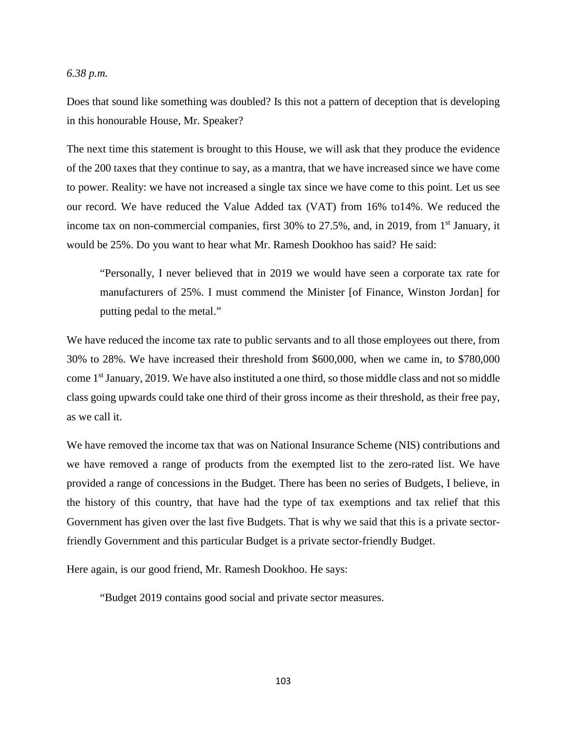#### *6.38 p.m.*

Does that sound like something was doubled? Is this not a pattern of deception that is developing in this honourable House, Mr. Speaker?

The next time this statement is brought to this House, we will ask that they produce the evidence of the 200 taxes that they continue to say, as a mantra, that we have increased since we have come to power. Reality: we have not increased a single tax since we have come to this point. Let us see our record. We have reduced the Value Added tax (VAT) from 16% to14%. We reduced the income tax on non-commercial companies, first  $30\%$  to  $27.5\%$ , and, in 2019, from 1<sup>st</sup> January, it would be 25%. Do you want to hear what Mr. Ramesh Dookhoo has said? He said:

"Personally, I never believed that in 2019 we would have seen a corporate tax rate for manufacturers of 25%. I must commend the Minister [of Finance, Winston Jordan] for putting pedal to the metal."

We have reduced the income tax rate to public servants and to all those employees out there, from 30% to 28%. We have increased their threshold from \$600,000, when we came in, to \$780,000 come 1<sup>st</sup> January, 2019. We have also instituted a one third, so those middle class and not so middle class going upwards could take one third of their gross income as their threshold, as their free pay, as we call it.

We have removed the income tax that was on National Insurance Scheme (NIS) contributions and we have removed a range of products from the exempted list to the zero-rated list. We have provided a range of concessions in the Budget. There has been no series of Budgets, I believe, in the history of this country, that have had the type of tax exemptions and tax relief that this Government has given over the last five Budgets. That is why we said that this is a private sectorfriendly Government and this particular Budget is a private sector-friendly Budget.

Here again, is our good friend, Mr. Ramesh Dookhoo. He says:

"Budget 2019 contains good social and private sector measures.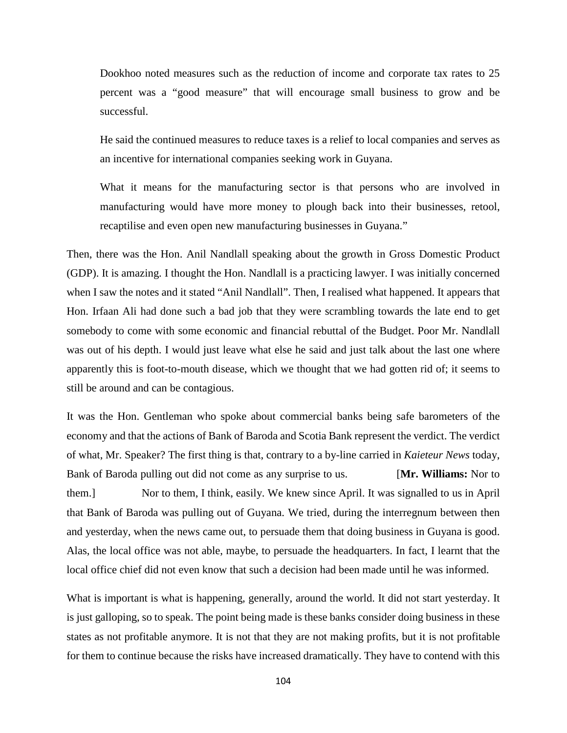Dookhoo noted measures such as the reduction of income and corporate tax rates to 25 percent was a "good measure" that will encourage small business to grow and be successful.

He said the continued measures to reduce taxes is a relief to local companies and serves as an incentive for international companies seeking work in Guyana.

What it means for the manufacturing sector is that persons who are involved in manufacturing would have more money to plough back into their businesses, retool, recaptilise and even open new manufacturing businesses in Guyana."

Then, there was the Hon. Anil Nandlall speaking about the growth in Gross Domestic Product (GDP). It is amazing. I thought the Hon. Nandlall is a practicing lawyer. I was initially concerned when I saw the notes and it stated "Anil Nandlall". Then, I realised what happened. It appears that Hon. Irfaan Ali had done such a bad job that they were scrambling towards the late end to get somebody to come with some economic and financial rebuttal of the Budget. Poor Mr. Nandlall was out of his depth. I would just leave what else he said and just talk about the last one where apparently this is foot-to-mouth disease, which we thought that we had gotten rid of; it seems to still be around and can be contagious.

It was the Hon. Gentleman who spoke about commercial banks being safe barometers of the economy and that the actions of Bank of Baroda and Scotia Bank represent the verdict. The verdict of what, Mr. Speaker? The first thing is that, contrary to a by-line carried in *Kaieteur News* today, Bank of Baroda pulling out did not come as any surprise to us. [**Mr. Williams:** Nor to them.] Nor to them, I think, easily. We knew since April. It was signalled to us in April that Bank of Baroda was pulling out of Guyana. We tried, during the interregnum between then and yesterday, when the news came out, to persuade them that doing business in Guyana is good. Alas, the local office was not able, maybe, to persuade the headquarters. In fact, I learnt that the local office chief did not even know that such a decision had been made until he was informed.

What is important is what is happening, generally, around the world. It did not start yesterday. It is just galloping, so to speak. The point being made is these banks consider doing business in these states as not profitable anymore. It is not that they are not making profits, but it is not profitable for them to continue because the risks have increased dramatically. They have to contend with this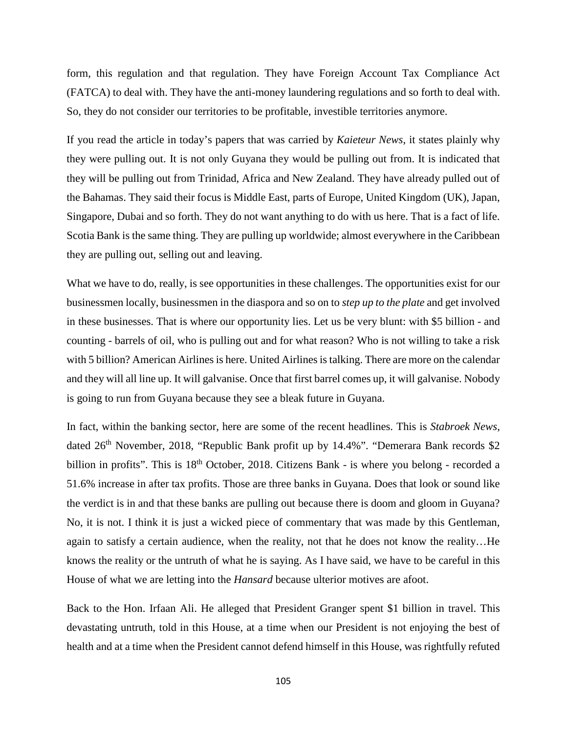form, this regulation and that regulation. They have Foreign Account Tax Compliance Act (FATCA) to deal with. They have the anti-money laundering regulations and so forth to deal with. So, they do not consider our territories to be profitable, investible territories anymore.

If you read the article in today's papers that was carried by *Kaieteur News*, it states plainly why they were pulling out. It is not only Guyana they would be pulling out from. It is indicated that they will be pulling out from Trinidad, Africa and New Zealand. They have already pulled out of the Bahamas. They said their focus is Middle East, parts of Europe, United Kingdom (UK), Japan, Singapore, Dubai and so forth. They do not want anything to do with us here. That is a fact of life. Scotia Bank is the same thing. They are pulling up worldwide; almost everywhere in the Caribbean they are pulling out, selling out and leaving.

What we have to do, really, is see opportunities in these challenges. The opportunities exist for our businessmen locally, businessmen in the diaspora and so on to *step up to the plate* and get involved in these businesses. That is where our opportunity lies. Let us be very blunt: with \$5 billion - and counting - barrels of oil, who is pulling out and for what reason? Who is not willing to take a risk with 5 billion? American Airlines is here. United Airlines is talking. There are more on the calendar and they will all line up. It will galvanise. Once that first barrel comes up, it will galvanise. Nobody is going to run from Guyana because they see a bleak future in Guyana.

In fact, within the banking sector, here are some of the recent headlines. This is *Stabroek News*, dated  $26<sup>th</sup>$  November, 2018, "Republic Bank profit up by 14.4%". "Demerara Bank records \$2 billion in profits". This is 18<sup>th</sup> October, 2018. Citizens Bank - is where you belong - recorded a 51.6% increase in after tax profits. Those are three banks in Guyana. Does that look or sound like the verdict is in and that these banks are pulling out because there is doom and gloom in Guyana? No, it is not. I think it is just a wicked piece of commentary that was made by this Gentleman, again to satisfy a certain audience, when the reality, not that he does not know the reality…He knows the reality or the untruth of what he is saying. As I have said, we have to be careful in this House of what we are letting into the *Hansard* because ulterior motives are afoot.

Back to the Hon. Irfaan Ali. He alleged that President Granger spent \$1 billion in travel. This devastating untruth, told in this House, at a time when our President is not enjoying the best of health and at a time when the President cannot defend himself in this House, was rightfully refuted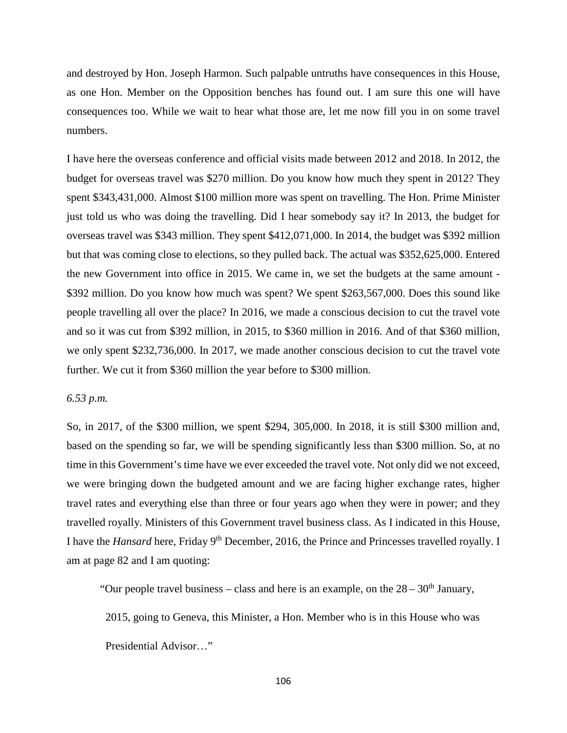and destroyed by Hon. Joseph Harmon. Such palpable untruths have consequences in this House, as one Hon. Member on the Opposition benches has found out. I am sure this one will have consequences too. While we wait to hear what those are, let me now fill you in on some travel numbers.

I have here the overseas conference and official visits made between 2012 and 2018. In 2012, the budget for overseas travel was \$270 million. Do you know how much they spent in 2012? They spent \$343,431,000. Almost \$100 million more was spent on travelling. The Hon. Prime Minister just told us who was doing the travelling. Did I hear somebody say it? In 2013, the budget for overseas travel was \$343 million. They spent \$412,071,000. In 2014, the budget was \$392 million but that was coming close to elections, so they pulled back. The actual was \$352,625,000. Entered the new Government into office in 2015. We came in, we set the budgets at the same amount - \$392 million. Do you know how much was spent? We spent \$263,567,000. Does this sound like people travelling all over the place? In 2016, we made a conscious decision to cut the travel vote and so it was cut from \$392 million, in 2015, to \$360 million in 2016. And of that \$360 million, we only spent \$232,736,000. In 2017, we made another conscious decision to cut the travel vote further. We cut it from \$360 million the year before to \$300 million.

## *6.53 p.m.*

So, in 2017, of the \$300 million, we spent \$294, 305,000. In 2018, it is still \$300 million and, based on the spending so far, we will be spending significantly less than \$300 million. So, at no time in this Government's time have we ever exceeded the travel vote. Not only did we not exceed, we were bringing down the budgeted amount and we are facing higher exchange rates, higher travel rates and everything else than three or four years ago when they were in power; and they travelled royally. Ministers of this Government travel business class. As I indicated in this House, I have the *Hansard* here, Friday 9th December, 2016, the Prince and Princesses travelled royally. I am at page 82 and I am quoting:

"Our people travel business – class and here is an example, on the  $28 - 30<sup>th</sup>$  January,

2015, going to Geneva, this Minister, a Hon. Member who is in this House who was

Presidential Advisor…"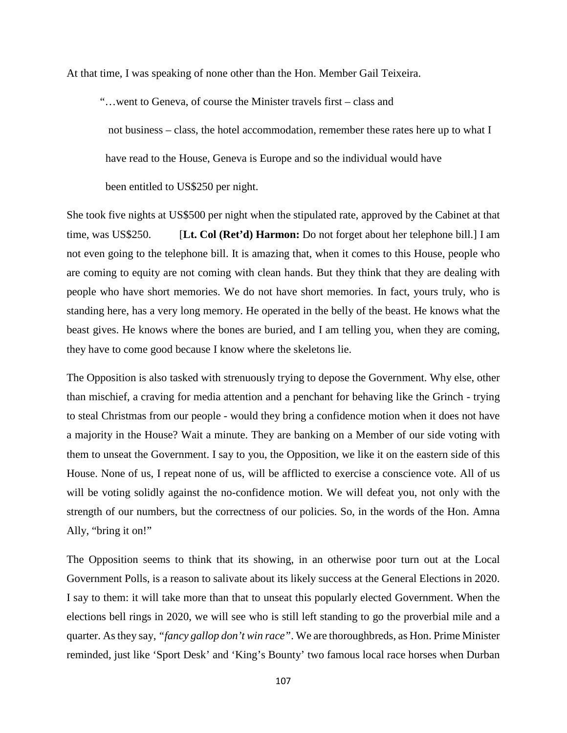At that time, I was speaking of none other than the Hon. Member Gail Teixeira.

"…went to Geneva, of course the Minister travels first – class and

 not business – class, the hotel accommodation, remember these rates here up to what I have read to the House, Geneva is Europe and so the individual would have

been entitled to US\$250 per night.

She took five nights at US\$500 per night when the stipulated rate, approved by the Cabinet at that time, was US\$250. [**Lt. Col (Ret'd) Harmon:** Do not forget about her telephone bill.] I am not even going to the telephone bill. It is amazing that, when it comes to this House, people who are coming to equity are not coming with clean hands. But they think that they are dealing with people who have short memories. We do not have short memories. In fact, yours truly, who is standing here, has a very long memory. He operated in the belly of the beast. He knows what the beast gives. He knows where the bones are buried, and I am telling you, when they are coming, they have to come good because I know where the skeletons lie.

The Opposition is also tasked with strenuously trying to depose the Government. Why else, other than mischief, a craving for media attention and a penchant for behaving like the Grinch - trying to steal Christmas from our people - would they bring a confidence motion when it does not have a majority in the House? Wait a minute. They are banking on a Member of our side voting with them to unseat the Government. I say to you, the Opposition, we like it on the eastern side of this House. None of us, I repeat none of us, will be afflicted to exercise a conscience vote. All of us will be voting solidly against the no-confidence motion. We will defeat you, not only with the strength of our numbers, but the correctness of our policies. So, in the words of the Hon. Amna Ally, "bring it on!"

The Opposition seems to think that its showing, in an otherwise poor turn out at the Local Government Polls, is a reason to salivate about its likely success at the General Elections in 2020. I say to them: it will take more than that to unseat this popularly elected Government. When the elections bell rings in 2020, we will see who is still left standing to go the proverbial mile and a quarter. As they say, *"fancy gallop don't win race"*. We are thoroughbreds, as Hon. Prime Minister reminded, just like 'Sport Desk' and 'King's Bounty' two famous local race horses when Durban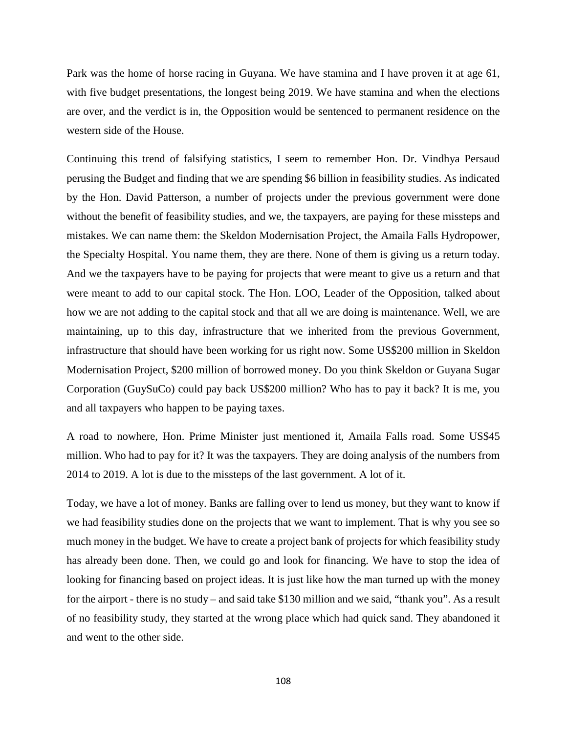Park was the home of horse racing in Guyana. We have stamina and I have proven it at age 61, with five budget presentations, the longest being 2019. We have stamina and when the elections are over, and the verdict is in, the Opposition would be sentenced to permanent residence on the western side of the House.

Continuing this trend of falsifying statistics, I seem to remember Hon. Dr. Vindhya Persaud perusing the Budget and finding that we are spending \$6 billion in feasibility studies. As indicated by the Hon. David Patterson, a number of projects under the previous government were done without the benefit of feasibility studies, and we, the taxpayers, are paying for these missteps and mistakes. We can name them: the Skeldon Modernisation Project, the Amaila Falls Hydropower, the Specialty Hospital. You name them, they are there. None of them is giving us a return today. And we the taxpayers have to be paying for projects that were meant to give us a return and that were meant to add to our capital stock. The Hon. LOO, Leader of the Opposition, talked about how we are not adding to the capital stock and that all we are doing is maintenance. Well, we are maintaining, up to this day, infrastructure that we inherited from the previous Government, infrastructure that should have been working for us right now. Some US\$200 million in Skeldon Modernisation Project, \$200 million of borrowed money. Do you think Skeldon or Guyana Sugar Corporation (GuySuCo) could pay back US\$200 million? Who has to pay it back? It is me, you and all taxpayers who happen to be paying taxes.

A road to nowhere, Hon. Prime Minister just mentioned it, Amaila Falls road. Some US\$45 million. Who had to pay for it? It was the taxpayers. They are doing analysis of the numbers from 2014 to 2019. A lot is due to the missteps of the last government. A lot of it.

Today, we have a lot of money. Banks are falling over to lend us money, but they want to know if we had feasibility studies done on the projects that we want to implement. That is why you see so much money in the budget. We have to create a project bank of projects for which feasibility study has already been done. Then, we could go and look for financing. We have to stop the idea of looking for financing based on project ideas. It is just like how the man turned up with the money for the airport - there is no study – and said take \$130 million and we said, "thank you". As a result of no feasibility study, they started at the wrong place which had quick sand. They abandoned it and went to the other side.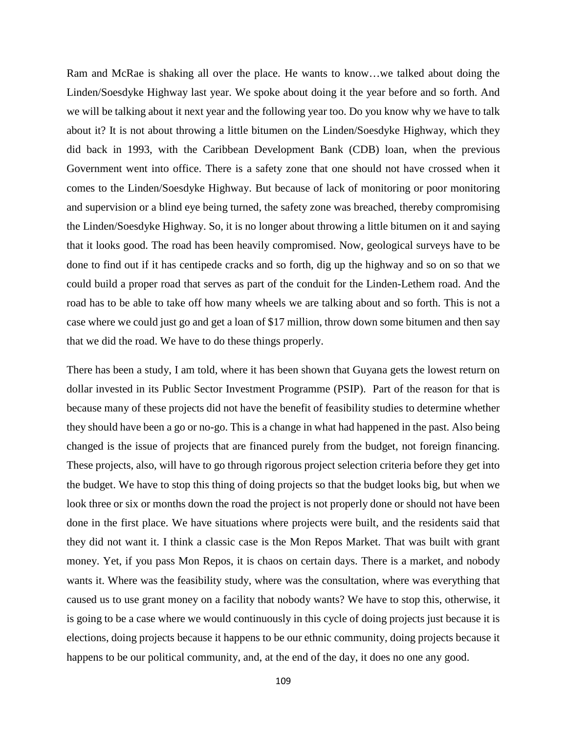Ram and McRae is shaking all over the place. He wants to know…we talked about doing the Linden/Soesdyke Highway last year. We spoke about doing it the year before and so forth. And we will be talking about it next year and the following year too. Do you know why we have to talk about it? It is not about throwing a little bitumen on the Linden/Soesdyke Highway, which they did back in 1993, with the Caribbean Development Bank (CDB) loan, when the previous Government went into office. There is a safety zone that one should not have crossed when it comes to the Linden/Soesdyke Highway. But because of lack of monitoring or poor monitoring and supervision or a blind eye being turned, the safety zone was breached, thereby compromising the Linden/Soesdyke Highway. So, it is no longer about throwing a little bitumen on it and saying that it looks good. The road has been heavily compromised. Now, geological surveys have to be done to find out if it has centipede cracks and so forth, dig up the highway and so on so that we could build a proper road that serves as part of the conduit for the Linden-Lethem road. And the road has to be able to take off how many wheels we are talking about and so forth. This is not a case where we could just go and get a loan of \$17 million, throw down some bitumen and then say that we did the road. We have to do these things properly.

There has been a study, I am told, where it has been shown that Guyana gets the lowest return on dollar invested in its Public Sector Investment Programme (PSIP). Part of the reason for that is because many of these projects did not have the benefit of feasibility studies to determine whether they should have been a go or no-go. This is a change in what had happened in the past. Also being changed is the issue of projects that are financed purely from the budget, not foreign financing. These projects, also, will have to go through rigorous project selection criteria before they get into the budget. We have to stop this thing of doing projects so that the budget looks big, but when we look three or six or months down the road the project is not properly done or should not have been done in the first place. We have situations where projects were built, and the residents said that they did not want it. I think a classic case is the Mon Repos Market. That was built with grant money. Yet, if you pass Mon Repos, it is chaos on certain days. There is a market, and nobody wants it. Where was the feasibility study, where was the consultation, where was everything that caused us to use grant money on a facility that nobody wants? We have to stop this, otherwise, it is going to be a case where we would continuously in this cycle of doing projects just because it is elections, doing projects because it happens to be our ethnic community, doing projects because it happens to be our political community, and, at the end of the day, it does no one any good.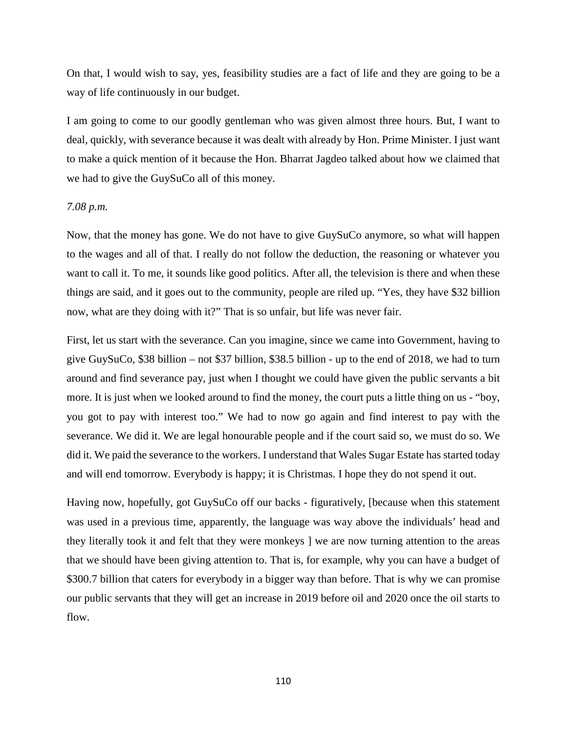On that, I would wish to say, yes, feasibility studies are a fact of life and they are going to be a way of life continuously in our budget.

I am going to come to our goodly gentleman who was given almost three hours. But, I want to deal, quickly, with severance because it was dealt with already by Hon. Prime Minister. I just want to make a quick mention of it because the Hon. Bharrat Jagdeo talked about how we claimed that we had to give the GuySuCo all of this money.

### *7.08 p.m.*

Now, that the money has gone. We do not have to give GuySuCo anymore, so what will happen to the wages and all of that. I really do not follow the deduction, the reasoning or whatever you want to call it. To me, it sounds like good politics. After all, the television is there and when these things are said, and it goes out to the community, people are riled up. "Yes, they have \$32 billion now, what are they doing with it?" That is so unfair, but life was never fair.

First, let us start with the severance. Can you imagine, since we came into Government, having to give GuySuCo, \$38 billion – not \$37 billion, \$38.5 billion - up to the end of 2018, we had to turn around and find severance pay, just when I thought we could have given the public servants a bit more. It is just when we looked around to find the money, the court puts a little thing on us - "boy, you got to pay with interest too." We had to now go again and find interest to pay with the severance. We did it. We are legal honourable people and if the court said so, we must do so. We did it. We paid the severance to the workers. I understand that Wales Sugar Estate has started today and will end tomorrow. Everybody is happy; it is Christmas. I hope they do not spend it out.

Having now, hopefully, got GuySuCo off our backs - figuratively, [because when this statement was used in a previous time, apparently, the language was way above the individuals' head and they literally took it and felt that they were monkeys ] we are now turning attention to the areas that we should have been giving attention to. That is, for example, why you can have a budget of \$300.7 billion that caters for everybody in a bigger way than before. That is why we can promise our public servants that they will get an increase in 2019 before oil and 2020 once the oil starts to flow.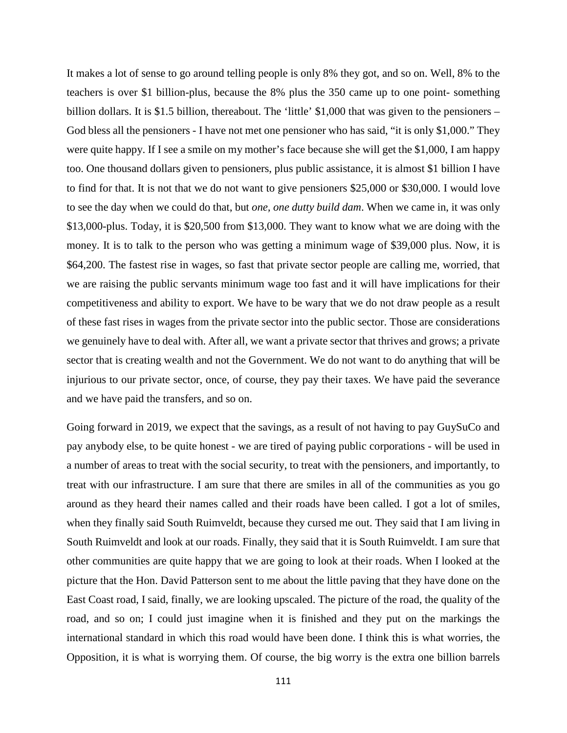It makes a lot of sense to go around telling people is only 8% they got, and so on. Well, 8% to the teachers is over \$1 billion-plus, because the 8% plus the 350 came up to one point- something billion dollars. It is \$1.5 billion, thereabout. The 'little' \$1,000 that was given to the pensioners – God bless all the pensioners - I have not met one pensioner who has said, "it is only \$1,000." They were quite happy. If I see a smile on my mother's face because she will get the \$1,000, I am happy too. One thousand dollars given to pensioners, plus public assistance, it is almost \$1 billion I have to find for that. It is not that we do not want to give pensioners \$25,000 or \$30,000. I would love to see the day when we could do that, but *one, one dutty build dam*. When we came in, it was only \$13,000-plus. Today, it is \$20,500 from \$13,000. They want to know what we are doing with the money. It is to talk to the person who was getting a minimum wage of \$39,000 plus. Now, it is \$64,200. The fastest rise in wages, so fast that private sector people are calling me, worried, that we are raising the public servants minimum wage too fast and it will have implications for their competitiveness and ability to export. We have to be wary that we do not draw people as a result of these fast rises in wages from the private sector into the public sector. Those are considerations we genuinely have to deal with. After all, we want a private sector that thrives and grows; a private sector that is creating wealth and not the Government. We do not want to do anything that will be injurious to our private sector, once, of course, they pay their taxes. We have paid the severance and we have paid the transfers, and so on.

Going forward in 2019, we expect that the savings, as a result of not having to pay GuySuCo and pay anybody else, to be quite honest - we are tired of paying public corporations - will be used in a number of areas to treat with the social security, to treat with the pensioners, and importantly, to treat with our infrastructure. I am sure that there are smiles in all of the communities as you go around as they heard their names called and their roads have been called. I got a lot of smiles, when they finally said South Ruimveldt, because they cursed me out. They said that I am living in South Ruimveldt and look at our roads. Finally, they said that it is South Ruimveldt. I am sure that other communities are quite happy that we are going to look at their roads. When I looked at the picture that the Hon. David Patterson sent to me about the little paving that they have done on the East Coast road, I said, finally, we are looking upscaled. The picture of the road, the quality of the road, and so on; I could just imagine when it is finished and they put on the markings the international standard in which this road would have been done. I think this is what worries, the Opposition, it is what is worrying them. Of course, the big worry is the extra one billion barrels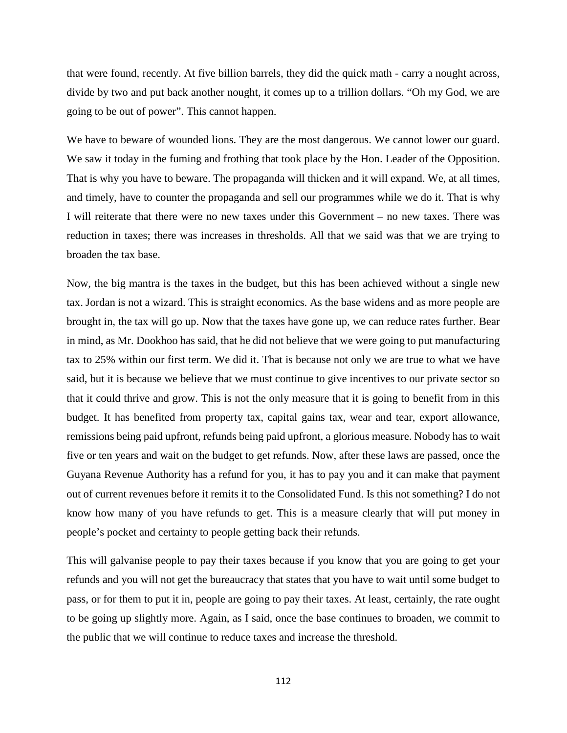that were found, recently. At five billion barrels, they did the quick math - carry a nought across, divide by two and put back another nought, it comes up to a trillion dollars. "Oh my God, we are going to be out of power". This cannot happen.

We have to beware of wounded lions. They are the most dangerous. We cannot lower our guard. We saw it today in the fuming and frothing that took place by the Hon. Leader of the Opposition. That is why you have to beware. The propaganda will thicken and it will expand. We, at all times, and timely, have to counter the propaganda and sell our programmes while we do it. That is why I will reiterate that there were no new taxes under this Government – no new taxes. There was reduction in taxes; there was increases in thresholds. All that we said was that we are trying to broaden the tax base.

Now, the big mantra is the taxes in the budget, but this has been achieved without a single new tax. Jordan is not a wizard. This is straight economics. As the base widens and as more people are brought in, the tax will go up. Now that the taxes have gone up, we can reduce rates further. Bear in mind, as Mr. Dookhoo has said, that he did not believe that we were going to put manufacturing tax to 25% within our first term. We did it. That is because not only we are true to what we have said, but it is because we believe that we must continue to give incentives to our private sector so that it could thrive and grow. This is not the only measure that it is going to benefit from in this budget. It has benefited from property tax, capital gains tax, wear and tear, export allowance, remissions being paid upfront, refunds being paid upfront, a glorious measure. Nobody has to wait five or ten years and wait on the budget to get refunds. Now, after these laws are passed, once the Guyana Revenue Authority has a refund for you, it has to pay you and it can make that payment out of current revenues before it remits it to the Consolidated Fund. Is this not something? I do not know how many of you have refunds to get. This is a measure clearly that will put money in people's pocket and certainty to people getting back their refunds.

This will galvanise people to pay their taxes because if you know that you are going to get your refunds and you will not get the bureaucracy that states that you have to wait until some budget to pass, or for them to put it in, people are going to pay their taxes. At least, certainly, the rate ought to be going up slightly more. Again, as I said, once the base continues to broaden, we commit to the public that we will continue to reduce taxes and increase the threshold.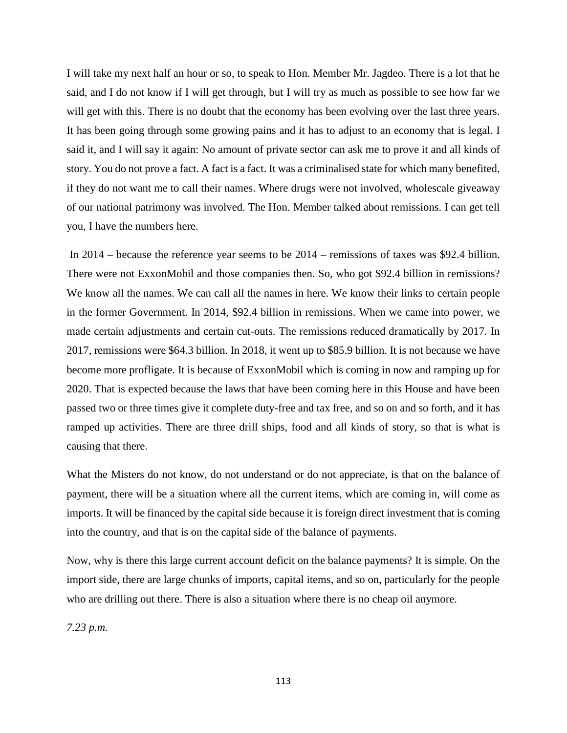I will take my next half an hour or so, to speak to Hon. Member Mr. Jagdeo. There is a lot that he said, and I do not know if I will get through, but I will try as much as possible to see how far we will get with this. There is no doubt that the economy has been evolving over the last three years. It has been going through some growing pains and it has to adjust to an economy that is legal. I said it, and I will say it again: No amount of private sector can ask me to prove it and all kinds of story. You do not prove a fact. A fact is a fact. It was a criminalised state for which many benefited, if they do not want me to call their names. Where drugs were not involved, wholescale giveaway of our national patrimony was involved. The Hon. Member talked about remissions. I can get tell you, I have the numbers here.

In 2014 – because the reference year seems to be 2014 – remissions of taxes was \$92.4 billion. There were not ExxonMobil and those companies then. So, who got \$92.4 billion in remissions? We know all the names. We can call all the names in here. We know their links to certain people in the former Government. In 2014, \$92.4 billion in remissions. When we came into power, we made certain adjustments and certain cut-outs. The remissions reduced dramatically by 2017. In 2017, remissions were \$64.3 billion. In 2018, it went up to \$85.9 billion. It is not because we have become more profligate. It is because of ExxonMobil which is coming in now and ramping up for 2020. That is expected because the laws that have been coming here in this House and have been passed two or three times give it complete duty-free and tax free, and so on and so forth, and it has ramped up activities. There are three drill ships, food and all kinds of story, so that is what is causing that there.

What the Misters do not know, do not understand or do not appreciate, is that on the balance of payment, there will be a situation where all the current items, which are coming in, will come as imports. It will be financed by the capital side because it is foreign direct investment that is coming into the country, and that is on the capital side of the balance of payments.

Now, why is there this large current account deficit on the balance payments? It is simple. On the import side, there are large chunks of imports, capital items, and so on, particularly for the people who are drilling out there. There is also a situation where there is no cheap oil anymore.

*7.23 p.m.*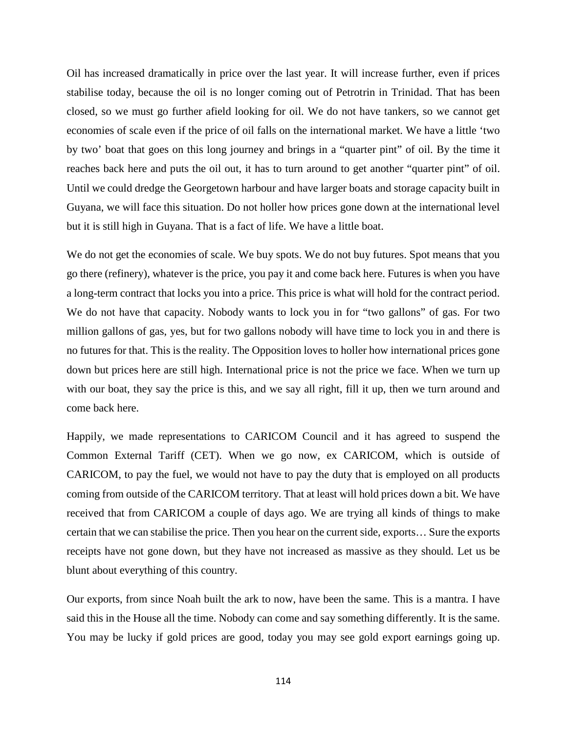Oil has increased dramatically in price over the last year. It will increase further, even if prices stabilise today, because the oil is no longer coming out of Petrotrin in Trinidad. That has been closed, so we must go further afield looking for oil. We do not have tankers, so we cannot get economies of scale even if the price of oil falls on the international market. We have a little 'two by two' boat that goes on this long journey and brings in a "quarter pint" of oil. By the time it reaches back here and puts the oil out, it has to turn around to get another "quarter pint" of oil. Until we could dredge the Georgetown harbour and have larger boats and storage capacity built in Guyana, we will face this situation. Do not holler how prices gone down at the international level but it is still high in Guyana. That is a fact of life. We have a little boat.

We do not get the economies of scale. We buy spots. We do not buy futures. Spot means that you go there (refinery), whatever is the price, you pay it and come back here. Futures is when you have a long-term contract that locks you into a price. This price is what will hold for the contract period. We do not have that capacity. Nobody wants to lock you in for "two gallons" of gas. For two million gallons of gas, yes, but for two gallons nobody will have time to lock you in and there is no futures for that. This is the reality. The Opposition loves to holler how international prices gone down but prices here are still high. International price is not the price we face. When we turn up with our boat, they say the price is this, and we say all right, fill it up, then we turn around and come back here.

Happily, we made representations to CARICOM Council and it has agreed to suspend the Common External Tariff (CET). When we go now, ex CARICOM, which is outside of CARICOM, to pay the fuel, we would not have to pay the duty that is employed on all products coming from outside of the CARICOM territory. That at least will hold prices down a bit. We have received that from CARICOM a couple of days ago. We are trying all kinds of things to make certain that we can stabilise the price. Then you hear on the current side, exports… Sure the exports receipts have not gone down, but they have not increased as massive as they should. Let us be blunt about everything of this country.

Our exports, from since Noah built the ark to now, have been the same. This is a mantra. I have said this in the House all the time. Nobody can come and say something differently. It is the same. You may be lucky if gold prices are good, today you may see gold export earnings going up.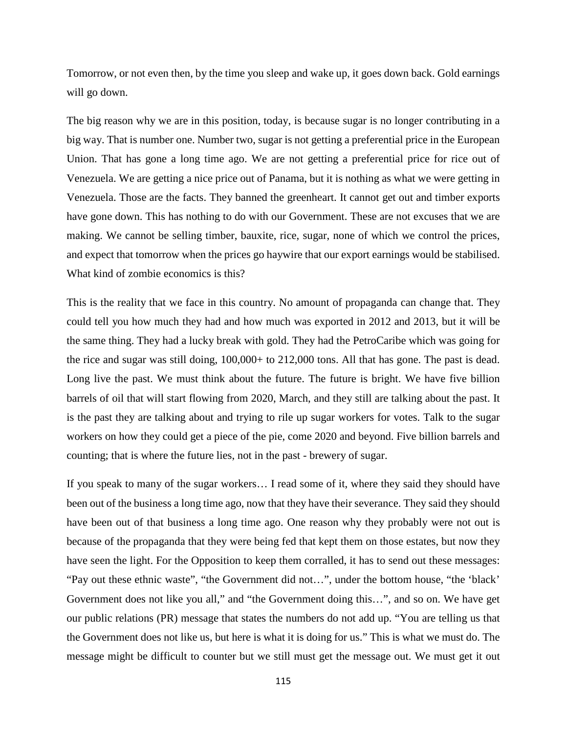Tomorrow, or not even then, by the time you sleep and wake up, it goes down back. Gold earnings will go down.

The big reason why we are in this position, today, is because sugar is no longer contributing in a big way. That is number one. Number two, sugar is not getting a preferential price in the European Union. That has gone a long time ago. We are not getting a preferential price for rice out of Venezuela. We are getting a nice price out of Panama, but it is nothing as what we were getting in Venezuela. Those are the facts. They banned the greenheart. It cannot get out and timber exports have gone down. This has nothing to do with our Government. These are not excuses that we are making. We cannot be selling timber, bauxite, rice, sugar, none of which we control the prices, and expect that tomorrow when the prices go haywire that our export earnings would be stabilised. What kind of zombie economics is this?

This is the reality that we face in this country. No amount of propaganda can change that. They could tell you how much they had and how much was exported in 2012 and 2013, but it will be the same thing. They had a lucky break with gold. They had the PetroCaribe which was going for the rice and sugar was still doing, 100,000+ to 212,000 tons. All that has gone. The past is dead. Long live the past. We must think about the future. The future is bright. We have five billion barrels of oil that will start flowing from 2020, March, and they still are talking about the past. It is the past they are talking about and trying to rile up sugar workers for votes. Talk to the sugar workers on how they could get a piece of the pie, come 2020 and beyond. Five billion barrels and counting; that is where the future lies, not in the past - brewery of sugar.

If you speak to many of the sugar workers… I read some of it, where they said they should have been out of the business a long time ago, now that they have their severance. They said they should have been out of that business a long time ago. One reason why they probably were not out is because of the propaganda that they were being fed that kept them on those estates, but now they have seen the light. For the Opposition to keep them corralled, it has to send out these messages: "Pay out these ethnic waste", "the Government did not…", under the bottom house, "the 'black' Government does not like you all," and "the Government doing this…", and so on. We have get our public relations (PR) message that states the numbers do not add up. "You are telling us that the Government does not like us, but here is what it is doing for us." This is what we must do. The message might be difficult to counter but we still must get the message out. We must get it out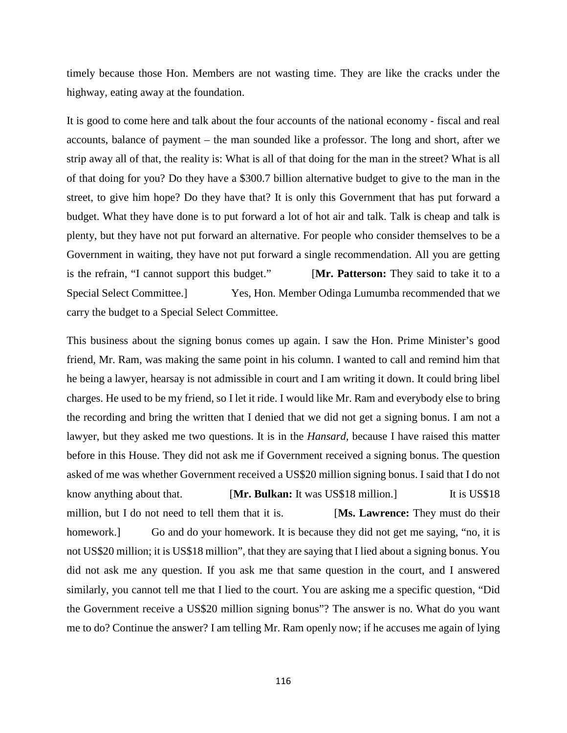timely because those Hon. Members are not wasting time. They are like the cracks under the highway, eating away at the foundation.

It is good to come here and talk about the four accounts of the national economy - fiscal and real accounts, balance of payment – the man sounded like a professor. The long and short, after we strip away all of that, the reality is: What is all of that doing for the man in the street? What is all of that doing for you? Do they have a \$300.7 billion alternative budget to give to the man in the street, to give him hope? Do they have that? It is only this Government that has put forward a budget. What they have done is to put forward a lot of hot air and talk. Talk is cheap and talk is plenty, but they have not put forward an alternative. For people who consider themselves to be a Government in waiting, they have not put forward a single recommendation. All you are getting is the refrain, "I cannot support this budget." [**Mr. Patterson:** They said to take it to a Special Select Committee.] Yes, Hon. Member Odinga Lumumba recommended that we carry the budget to a Special Select Committee.

This business about the signing bonus comes up again. I saw the Hon. Prime Minister's good friend, Mr. Ram, was making the same point in his column. I wanted to call and remind him that he being a lawyer, hearsay is not admissible in court and I am writing it down. It could bring libel charges. He used to be my friend, so I let it ride. I would like Mr. Ram and everybody else to bring the recording and bring the written that I denied that we did not get a signing bonus. I am not a lawyer, but they asked me two questions. It is in the *Hansard,* because I have raised this matter before in this House. They did not ask me if Government received a signing bonus. The question asked of me was whether Government received a US\$20 million signing bonus. I said that I do not know anything about that. [**Mr. Bulkan:** It was US\$18 million.] It is US\$18 million, but I do not need to tell them that it is. [**Ms. Lawrence:** They must do their homework.] Go and do your homework. It is because they did not get me saying, "no, it is not US\$20 million; it is US\$18 million", that they are saying that I lied about a signing bonus. You did not ask me any question. If you ask me that same question in the court, and I answered similarly, you cannot tell me that I lied to the court. You are asking me a specific question, "Did the Government receive a US\$20 million signing bonus"? The answer is no. What do you want me to do? Continue the answer? I am telling Mr. Ram openly now; if he accuses me again of lying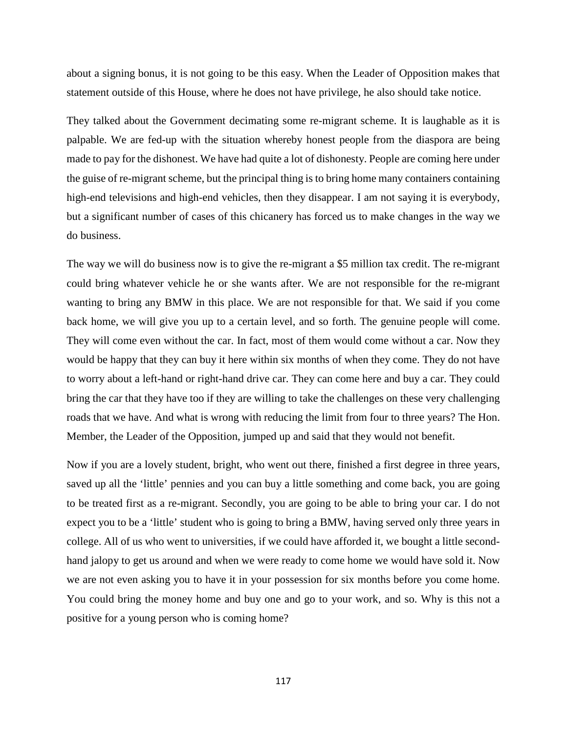about a signing bonus, it is not going to be this easy. When the Leader of Opposition makes that statement outside of this House, where he does not have privilege, he also should take notice.

They talked about the Government decimating some re-migrant scheme. It is laughable as it is palpable. We are fed-up with the situation whereby honest people from the diaspora are being made to pay for the dishonest. We have had quite a lot of dishonesty. People are coming here under the guise of re-migrant scheme, but the principal thing is to bring home many containers containing high-end televisions and high-end vehicles, then they disappear. I am not saying it is everybody, but a significant number of cases of this chicanery has forced us to make changes in the way we do business.

The way we will do business now is to give the re-migrant a \$5 million tax credit. The re-migrant could bring whatever vehicle he or she wants after. We are not responsible for the re-migrant wanting to bring any BMW in this place. We are not responsible for that. We said if you come back home, we will give you up to a certain level, and so forth. The genuine people will come. They will come even without the car. In fact, most of them would come without a car. Now they would be happy that they can buy it here within six months of when they come. They do not have to worry about a left-hand or right-hand drive car. They can come here and buy a car. They could bring the car that they have too if they are willing to take the challenges on these very challenging roads that we have. And what is wrong with reducing the limit from four to three years? The Hon. Member, the Leader of the Opposition, jumped up and said that they would not benefit.

Now if you are a lovely student, bright, who went out there, finished a first degree in three years, saved up all the 'little' pennies and you can buy a little something and come back, you are going to be treated first as a re-migrant. Secondly, you are going to be able to bring your car. I do not expect you to be a 'little' student who is going to bring a BMW, having served only three years in college. All of us who went to universities, if we could have afforded it, we bought a little secondhand jalopy to get us around and when we were ready to come home we would have sold it. Now we are not even asking you to have it in your possession for six months before you come home. You could bring the money home and buy one and go to your work, and so. Why is this not a positive for a young person who is coming home?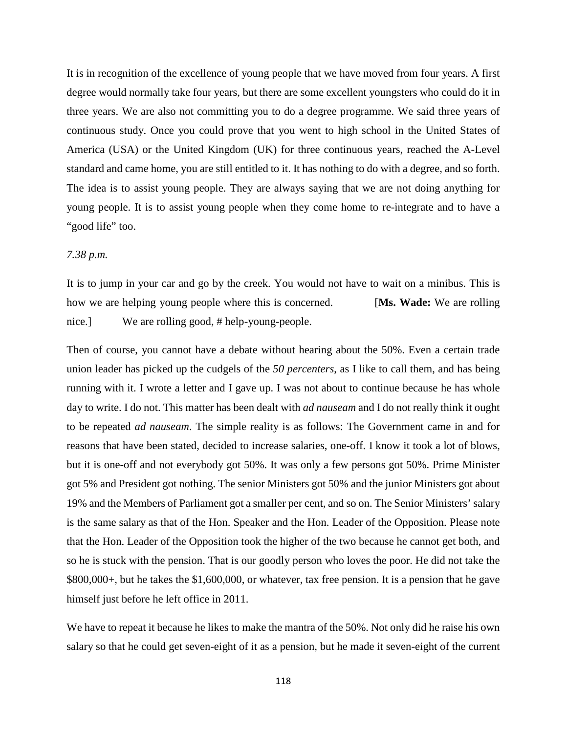It is in recognition of the excellence of young people that we have moved from four years. A first degree would normally take four years, but there are some excellent youngsters who could do it in three years. We are also not committing you to do a degree programme. We said three years of continuous study. Once you could prove that you went to high school in the United States of America (USA) or the United Kingdom (UK) for three continuous years, reached the A-Level standard and came home, you are still entitled to it. It has nothing to do with a degree, and so forth. The idea is to assist young people. They are always saying that we are not doing anything for young people. It is to assist young people when they come home to re-integrate and to have a "good life" too.

# *7.38 p.m.*

It is to jump in your car and go by the creek. You would not have to wait on a minibus. This is how we are helping young people where this is concerned. [**Ms. Wade:** We are rolling nice.] We are rolling good, # help-young-people.

Then of course, you cannot have a debate without hearing about the 50%. Even a certain trade union leader has picked up the cudgels of the *50 percenters*, as I like to call them, and has being running with it. I wrote a letter and I gave up. I was not about to continue because he has whole day to write. I do not. This matter has been dealt with *ad nauseam* and I do not really think it ought to be repeated *ad nauseam*. The simple reality is as follows: The Government came in and for reasons that have been stated, decided to increase salaries, one-off. I know it took a lot of blows, but it is one-off and not everybody got 50%. It was only a few persons got 50%. Prime Minister got 5% and President got nothing. The senior Ministers got 50% and the junior Ministers got about 19% and the Members of Parliament got a smaller per cent, and so on. The Senior Ministers' salary is the same salary as that of the Hon. Speaker and the Hon. Leader of the Opposition. Please note that the Hon. Leader of the Opposition took the higher of the two because he cannot get both, and so he is stuck with the pension. That is our goodly person who loves the poor. He did not take the \$800,000+, but he takes the \$1,600,000, or whatever, tax free pension. It is a pension that he gave himself just before he left office in 2011.

We have to repeat it because he likes to make the mantra of the 50%. Not only did he raise his own salary so that he could get seven-eight of it as a pension, but he made it seven-eight of the current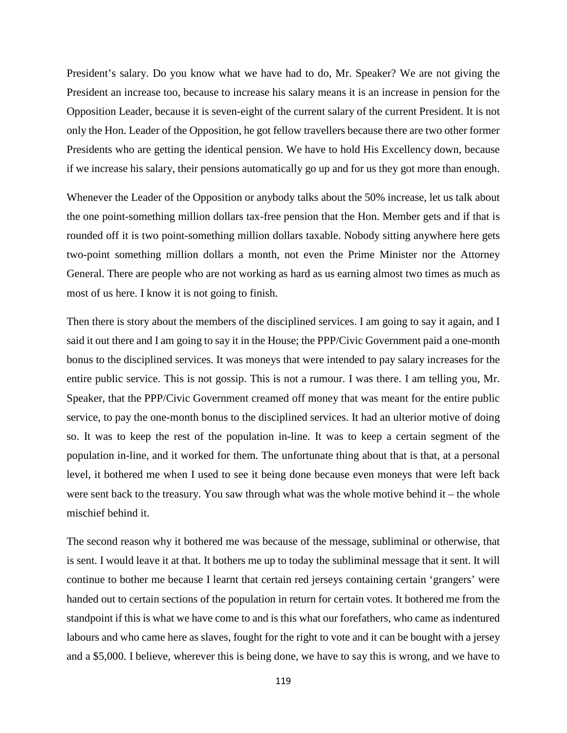President's salary. Do you know what we have had to do, Mr. Speaker? We are not giving the President an increase too, because to increase his salary means it is an increase in pension for the Opposition Leader, because it is seven-eight of the current salary of the current President. It is not only the Hon. Leader of the Opposition, he got fellow travellers because there are two other former Presidents who are getting the identical pension. We have to hold His Excellency down, because if we increase his salary, their pensions automatically go up and for us they got more than enough.

Whenever the Leader of the Opposition or anybody talks about the 50% increase, let us talk about the one point-something million dollars tax-free pension that the Hon. Member gets and if that is rounded off it is two point-something million dollars taxable. Nobody sitting anywhere here gets two-point something million dollars a month, not even the Prime Minister nor the Attorney General. There are people who are not working as hard as us earning almost two times as much as most of us here. I know it is not going to finish.

Then there is story about the members of the disciplined services. I am going to say it again, and I said it out there and I am going to say it in the House; the PPP/Civic Government paid a one-month bonus to the disciplined services. It was moneys that were intended to pay salary increases for the entire public service. This is not gossip. This is not a rumour. I was there. I am telling you, Mr. Speaker, that the PPP/Civic Government creamed off money that was meant for the entire public service, to pay the one-month bonus to the disciplined services. It had an ulterior motive of doing so. It was to keep the rest of the population in-line. It was to keep a certain segment of the population in-line, and it worked for them. The unfortunate thing about that is that, at a personal level, it bothered me when I used to see it being done because even moneys that were left back were sent back to the treasury. You saw through what was the whole motive behind it – the whole mischief behind it.

The second reason why it bothered me was because of the message, subliminal or otherwise, that is sent. I would leave it at that. It bothers me up to today the subliminal message that it sent. It will continue to bother me because I learnt that certain red jerseys containing certain 'grangers' were handed out to certain sections of the population in return for certain votes. It bothered me from the standpoint if this is what we have come to and is this what our forefathers, who came as indentured labours and who came here as slaves, fought for the right to vote and it can be bought with a jersey and a \$5,000. I believe, wherever this is being done, we have to say this is wrong, and we have to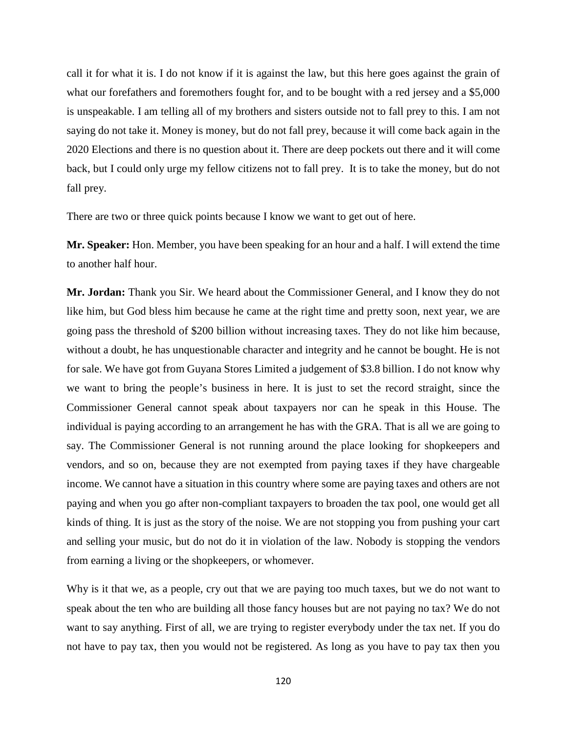call it for what it is. I do not know if it is against the law, but this here goes against the grain of what our forefathers and foremothers fought for, and to be bought with a red jersey and a \$5,000 is unspeakable. I am telling all of my brothers and sisters outside not to fall prey to this. I am not saying do not take it. Money is money, but do not fall prey, because it will come back again in the 2020 Elections and there is no question about it. There are deep pockets out there and it will come back, but I could only urge my fellow citizens not to fall prey. It is to take the money, but do not fall prey.

There are two or three quick points because I know we want to get out of here.

**Mr. Speaker:** Hon. Member, you have been speaking for an hour and a half. I will extend the time to another half hour.

**Mr. Jordan:** Thank you Sir. We heard about the Commissioner General, and I know they do not like him, but God bless him because he came at the right time and pretty soon, next year, we are going pass the threshold of \$200 billion without increasing taxes. They do not like him because, without a doubt, he has unquestionable character and integrity and he cannot be bought. He is not for sale. We have got from Guyana Stores Limited a judgement of \$3.8 billion. I do not know why we want to bring the people's business in here. It is just to set the record straight, since the Commissioner General cannot speak about taxpayers nor can he speak in this House. The individual is paying according to an arrangement he has with the GRA. That is all we are going to say. The Commissioner General is not running around the place looking for shopkeepers and vendors, and so on, because they are not exempted from paying taxes if they have chargeable income. We cannot have a situation in this country where some are paying taxes and others are not paying and when you go after non-compliant taxpayers to broaden the tax pool, one would get all kinds of thing. It is just as the story of the noise. We are not stopping you from pushing your cart and selling your music, but do not do it in violation of the law. Nobody is stopping the vendors from earning a living or the shopkeepers, or whomever.

Why is it that we, as a people, cry out that we are paying too much taxes, but we do not want to speak about the ten who are building all those fancy houses but are not paying no tax? We do not want to say anything. First of all, we are trying to register everybody under the tax net. If you do not have to pay tax, then you would not be registered. As long as you have to pay tax then you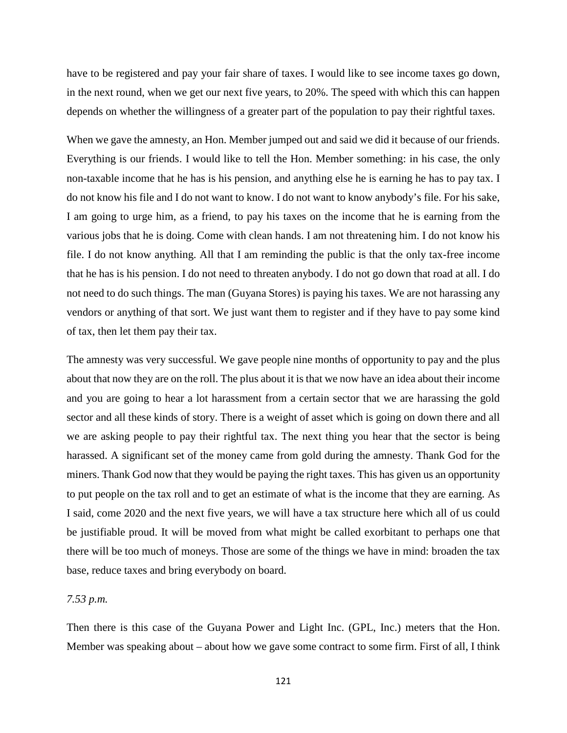have to be registered and pay your fair share of taxes. I would like to see income taxes go down, in the next round, when we get our next five years, to 20%. The speed with which this can happen depends on whether the willingness of a greater part of the population to pay their rightful taxes.

When we gave the amnesty, an Hon. Member jumped out and said we did it because of our friends. Everything is our friends. I would like to tell the Hon. Member something: in his case, the only non-taxable income that he has is his pension, and anything else he is earning he has to pay tax. I do not know his file and I do not want to know. I do not want to know anybody's file. For his sake, I am going to urge him, as a friend, to pay his taxes on the income that he is earning from the various jobs that he is doing. Come with clean hands. I am not threatening him. I do not know his file. I do not know anything. All that I am reminding the public is that the only tax-free income that he has is his pension. I do not need to threaten anybody. I do not go down that road at all. I do not need to do such things. The man (Guyana Stores) is paying his taxes. We are not harassing any vendors or anything of that sort. We just want them to register and if they have to pay some kind of tax, then let them pay their tax.

The amnesty was very successful. We gave people nine months of opportunity to pay and the plus about that now they are on the roll. The plus about it is that we now have an idea about their income and you are going to hear a lot harassment from a certain sector that we are harassing the gold sector and all these kinds of story. There is a weight of asset which is going on down there and all we are asking people to pay their rightful tax. The next thing you hear that the sector is being harassed. A significant set of the money came from gold during the amnesty. Thank God for the miners. Thank God now that they would be paying the right taxes. This has given us an opportunity to put people on the tax roll and to get an estimate of what is the income that they are earning. As I said, come 2020 and the next five years, we will have a tax structure here which all of us could be justifiable proud. It will be moved from what might be called exorbitant to perhaps one that there will be too much of moneys. Those are some of the things we have in mind: broaden the tax base, reduce taxes and bring everybody on board.

### *7.53 p.m.*

Then there is this case of the Guyana Power and Light Inc. (GPL, Inc.) meters that the Hon. Member was speaking about – about how we gave some contract to some firm. First of all, I think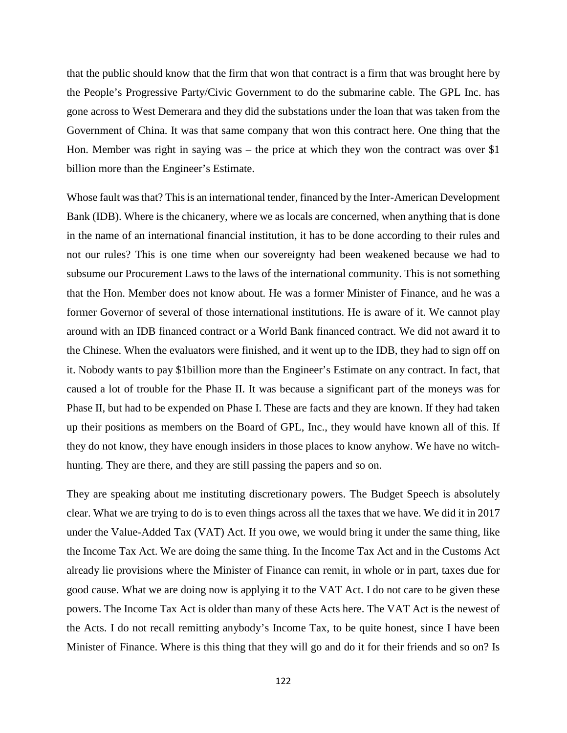that the public should know that the firm that won that contract is a firm that was brought here by the People's Progressive Party/Civic Government to do the submarine cable. The GPL Inc. has gone across to West Demerara and they did the substations under the loan that was taken from the Government of China. It was that same company that won this contract here. One thing that the Hon. Member was right in saying was – the price at which they won the contract was over \$1 billion more than the Engineer's Estimate.

Whose fault was that? This is an international tender, financed by the Inter-American Development Bank (IDB). Where is the chicanery, where we as locals are concerned, when anything that is done in the name of an international financial institution, it has to be done according to their rules and not our rules? This is one time when our sovereignty had been weakened because we had to subsume our Procurement Laws to the laws of the international community. This is not something that the Hon. Member does not know about. He was a former Minister of Finance, and he was a former Governor of several of those international institutions. He is aware of it. We cannot play around with an IDB financed contract or a World Bank financed contract. We did not award it to the Chinese. When the evaluators were finished, and it went up to the IDB, they had to sign off on it. Nobody wants to pay \$1billion more than the Engineer's Estimate on any contract. In fact, that caused a lot of trouble for the Phase II. It was because a significant part of the moneys was for Phase II, but had to be expended on Phase I. These are facts and they are known. If they had taken up their positions as members on the Board of GPL, Inc., they would have known all of this. If they do not know, they have enough insiders in those places to know anyhow. We have no witchhunting. They are there, and they are still passing the papers and so on.

They are speaking about me instituting discretionary powers. The Budget Speech is absolutely clear. What we are trying to do is to even things across all the taxes that we have. We did it in 2017 under the Value-Added Tax (VAT) Act. If you owe, we would bring it under the same thing, like the Income Tax Act. We are doing the same thing. In the Income Tax Act and in the Customs Act already lie provisions where the Minister of Finance can remit, in whole or in part, taxes due for good cause. What we are doing now is applying it to the VAT Act. I do not care to be given these powers. The Income Tax Act is older than many of these Acts here. The VAT Act is the newest of the Acts. I do not recall remitting anybody's Income Tax, to be quite honest, since I have been Minister of Finance. Where is this thing that they will go and do it for their friends and so on? Is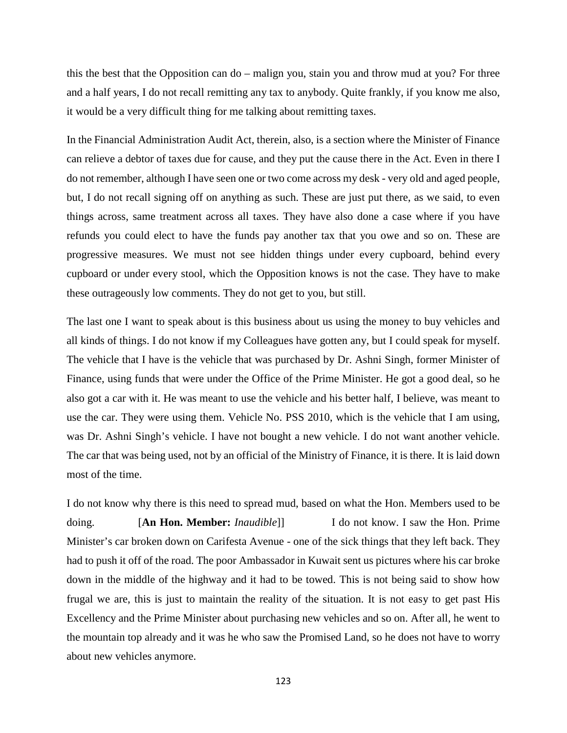this the best that the Opposition can do – malign you, stain you and throw mud at you? For three and a half years, I do not recall remitting any tax to anybody. Quite frankly, if you know me also, it would be a very difficult thing for me talking about remitting taxes.

In the Financial Administration Audit Act, therein, also, is a section where the Minister of Finance can relieve a debtor of taxes due for cause, and they put the cause there in the Act. Even in there I do not remember, although I have seen one or two come across my desk - very old and aged people, but, I do not recall signing off on anything as such. These are just put there, as we said, to even things across, same treatment across all taxes. They have also done a case where if you have refunds you could elect to have the funds pay another tax that you owe and so on. These are progressive measures. We must not see hidden things under every cupboard, behind every cupboard or under every stool, which the Opposition knows is not the case. They have to make these outrageously low comments. They do not get to you, but still.

The last one I want to speak about is this business about us using the money to buy vehicles and all kinds of things. I do not know if my Colleagues have gotten any, but I could speak for myself. The vehicle that I have is the vehicle that was purchased by Dr. Ashni Singh, former Minister of Finance, using funds that were under the Office of the Prime Minister. He got a good deal, so he also got a car with it. He was meant to use the vehicle and his better half, I believe, was meant to use the car. They were using them. Vehicle No. PSS 2010, which is the vehicle that I am using, was Dr. Ashni Singh's vehicle. I have not bought a new vehicle. I do not want another vehicle. The car that was being used, not by an official of the Ministry of Finance, it is there. It is laid down most of the time.

I do not know why there is this need to spread mud, based on what the Hon. Members used to be doing. [**An Hon. Member:** *Inaudible*]] I do not know. I saw the Hon. Prime Minister's car broken down on Carifesta Avenue - one of the sick things that they left back. They had to push it off of the road. The poor Ambassador in Kuwait sent us pictures where his car broke down in the middle of the highway and it had to be towed. This is not being said to show how frugal we are, this is just to maintain the reality of the situation. It is not easy to get past His Excellency and the Prime Minister about purchasing new vehicles and so on. After all, he went to the mountain top already and it was he who saw the Promised Land, so he does not have to worry about new vehicles anymore.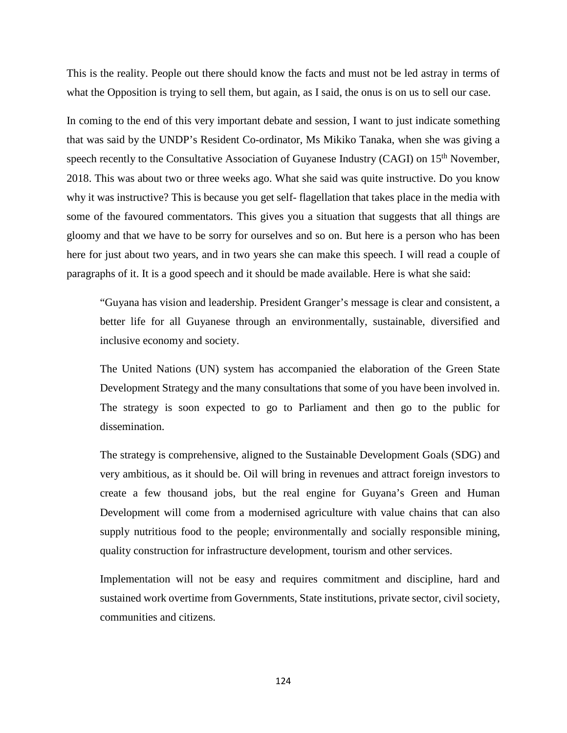This is the reality. People out there should know the facts and must not be led astray in terms of what the Opposition is trying to sell them, but again, as I said, the onus is on us to sell our case.

In coming to the end of this very important debate and session, I want to just indicate something that was said by the UNDP's Resident Co-ordinator, Ms Mikiko Tanaka, when she was giving a speech recently to the Consultative Association of Guyanese Industry (CAGI) on 15<sup>th</sup> November, 2018. This was about two or three weeks ago. What she said was quite instructive. Do you know why it was instructive? This is because you get self- flagellation that takes place in the media with some of the favoured commentators. This gives you a situation that suggests that all things are gloomy and that we have to be sorry for ourselves and so on. But here is a person who has been here for just about two years, and in two years she can make this speech. I will read a couple of paragraphs of it. It is a good speech and it should be made available. Here is what she said:

"Guyana has vision and leadership. President Granger's message is clear and consistent, a better life for all Guyanese through an environmentally, sustainable, diversified and inclusive economy and society.

The United Nations (UN) system has accompanied the elaboration of the Green State Development Strategy and the many consultations that some of you have been involved in. The strategy is soon expected to go to Parliament and then go to the public for dissemination.

The strategy is comprehensive, aligned to the Sustainable Development Goals (SDG) and very ambitious, as it should be. Oil will bring in revenues and attract foreign investors to create a few thousand jobs, but the real engine for Guyana's Green and Human Development will come from a modernised agriculture with value chains that can also supply nutritious food to the people; environmentally and socially responsible mining, quality construction for infrastructure development, tourism and other services.

Implementation will not be easy and requires commitment and discipline, hard and sustained work overtime from Governments, State institutions, private sector, civil society, communities and citizens.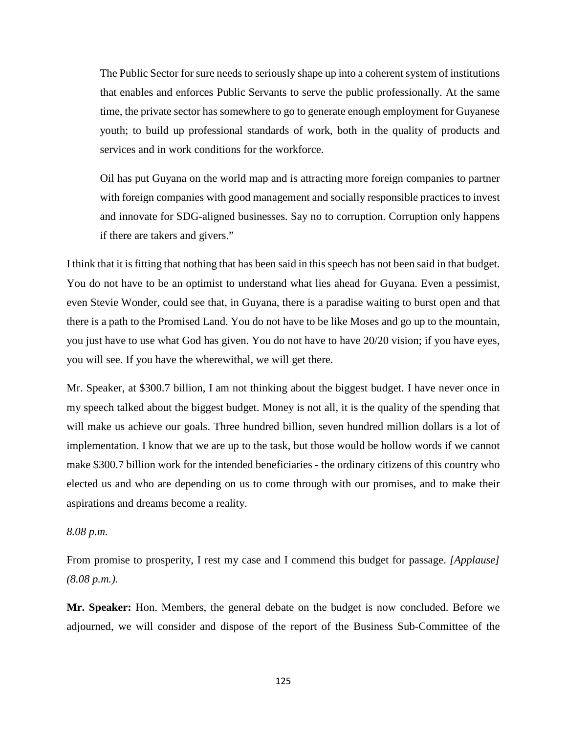The Public Sector for sure needs to seriously shape up into a coherent system of institutions that enables and enforces Public Servants to serve the public professionally. At the same time, the private sector has somewhere to go to generate enough employment for Guyanese youth; to build up professional standards of work, both in the quality of products and services and in work conditions for the workforce.

Oil has put Guyana on the world map and is attracting more foreign companies to partner with foreign companies with good management and socially responsible practices to invest and innovate for SDG-aligned businesses. Say no to corruption. Corruption only happens if there are takers and givers."

I think that it is fitting that nothing that has been said in this speech has not been said in that budget. You do not have to be an optimist to understand what lies ahead for Guyana. Even a pessimist, even Stevie Wonder, could see that, in Guyana, there is a paradise waiting to burst open and that there is a path to the Promised Land. You do not have to be like Moses and go up to the mountain, you just have to use what God has given. You do not have to have 20/20 vision; if you have eyes, you will see. If you have the wherewithal, we will get there.

Mr. Speaker, at \$300.7 billion, I am not thinking about the biggest budget. I have never once in my speech talked about the biggest budget. Money is not all, it is the quality of the spending that will make us achieve our goals. Three hundred billion, seven hundred million dollars is a lot of implementation. I know that we are up to the task, but those would be hollow words if we cannot make \$300.7 billion work for the intended beneficiaries - the ordinary citizens of this country who elected us and who are depending on us to come through with our promises, and to make their aspirations and dreams become a reality.

# *8.08 p.m.*

From promise to prosperity, I rest my case and I commend this budget for passage. *[Applause] (8.08 p.m.)*.

**Mr. Speaker:** Hon. Members, the general debate on the budget is now concluded. Before we adjourned, we will consider and dispose of the report of the Business Sub-Committee of the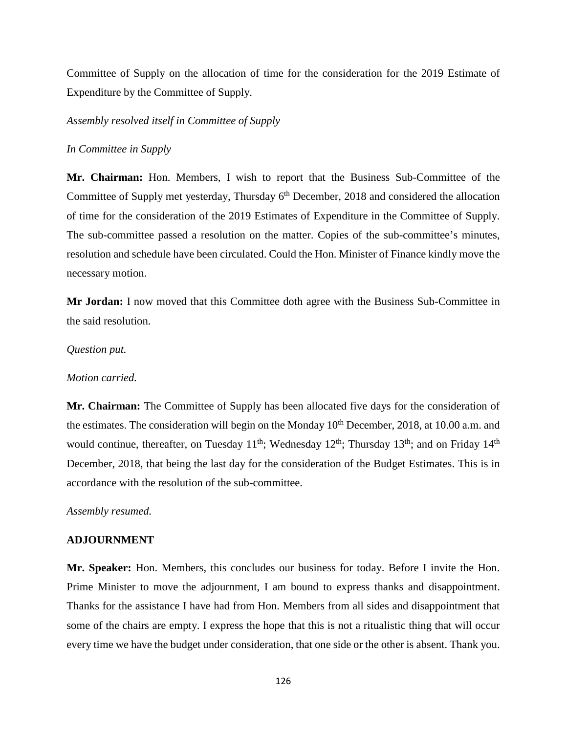Committee of Supply on the allocation of time for the consideration for the 2019 Estimate of Expenditure by the Committee of Supply.

*Assembly resolved itself in Committee of Supply* 

### *In Committee in Supply*

**Mr. Chairman:** Hon. Members, I wish to report that the Business Sub-Committee of the Committee of Supply met yesterday, Thursday 6<sup>th</sup> December, 2018 and considered the allocation of time for the consideration of the 2019 Estimates of Expenditure in the Committee of Supply. The sub-committee passed a resolution on the matter. Copies of the sub-committee's minutes, resolution and schedule have been circulated. Could the Hon. Minister of Finance kindly move the necessary motion.

**Mr Jordan:** I now moved that this Committee doth agree with the Business Sub-Committee in the said resolution.

#### *Question put.*

## *Motion carried.*

**Mr. Chairman:** The Committee of Supply has been allocated five days for the consideration of the estimates. The consideration will begin on the Monday  $10<sup>th</sup>$  December, 2018, at 10.00 a.m. and would continue, thereafter, on Tuesday  $11^{th}$ ; Wednesday  $12^{th}$ ; Thursday  $13^{th}$ ; and on Friday  $14^{th}$ December, 2018, that being the last day for the consideration of the Budget Estimates. This is in accordance with the resolution of the sub-committee.

*Assembly resumed.* 

### **ADJOURNMENT**

**Mr. Speaker:** Hon. Members, this concludes our business for today. Before I invite the Hon. Prime Minister to move the adjournment, I am bound to express thanks and disappointment. Thanks for the assistance I have had from Hon. Members from all sides and disappointment that some of the chairs are empty. I express the hope that this is not a ritualistic thing that will occur every time we have the budget under consideration, that one side or the other is absent. Thank you.